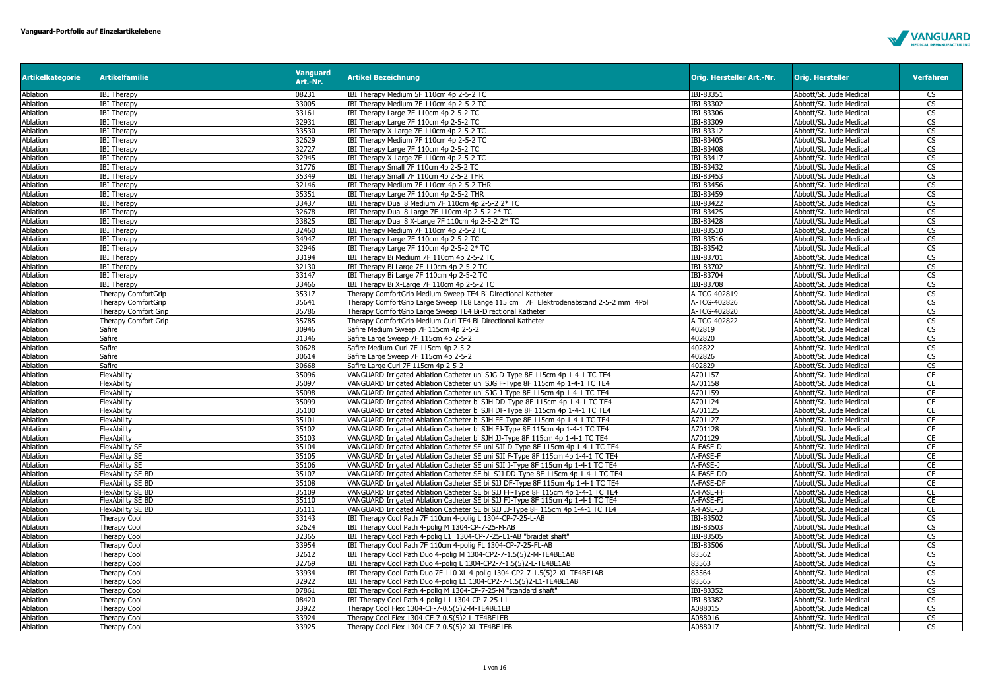

| <b>Artikelkategorie</b> | <b>Artikelfamilie</b>                      | <b>Vanguard</b><br>Art.-Nr. | <b>Artikel Bezeichnung</b>                                                          | Orig. Hersteller Art.-Nr. | <b>Orig. Hersteller</b>                            | <b>Verfahren</b>       |
|-------------------------|--------------------------------------------|-----------------------------|-------------------------------------------------------------------------------------|---------------------------|----------------------------------------------------|------------------------|
| Ablation                | <b>IBI Therapy</b>                         | 08231                       | IBI Therapy Medium 5F 110cm 4p 2-5-2 TC                                             | IBI-83351                 | Abbott/St. Jude Medical                            | <b>CS</b>              |
| Ablation                | <b>IBI Therapy</b>                         | 33005                       | IBI Therapy Medium 7F 110cm 4p 2-5-2 TC                                             | IBI-83302                 | Abbott/St. Jude Medical                            | CS                     |
| Ablation                | <b>IBI Therapy</b>                         | 33161                       | IBI Therapy Large 7F 110cm 4p 2-5-2 TC                                              | IBI-83306                 | Abbott/St. Jude Medical                            | CS                     |
| Ablation                | <b>IBI Therapy</b>                         | 32931                       | IBI Therapy Large 7F 110cm 4p 2-5-2 TC                                              | IBI-83309                 | Abbott/St. Jude Medical                            | CS                     |
| Ablation                | <b>IBI Therapy</b>                         | 33530                       | IBI Therapy X-Large 7F 110cm 4p 2-5-2 TC                                            | IBI-83312                 | Abbott/St. Jude Medical                            | $\overline{\text{CS}}$ |
| Ablation                | <b>IBI Therapy</b>                         | 32629                       | IBI Therapy Medium 7F 110cm 4p 2-5-2 TC                                             | IBI-83405                 | Abbott/St. Jude Medical                            | CS                     |
| Ablation                | <b>IBI Therapy</b>                         | 32727                       | IBI Therapy Large 7F 110cm 4p 2-5-2 TC                                              | IBI-83408                 | Abbott/St. Jude Medical                            | CS                     |
| Ablation                | <b>IBI Therapy</b>                         | 32945                       | IBI Therapy X-Large 7F 110cm 4p 2-5-2 TC                                            | IBI-83417                 | Abbott/St. Jude Medical                            | CS                     |
| Ablation                | <b>IBI Therapy</b>                         | 31776                       | IBI Therapy Small 7F 110cm 4p 2-5-2 TC                                              | IBI-83432                 | Abbott/St. Jude Medical                            | CS                     |
| Ablation                | <b>IBI Therapy</b>                         | 35349                       | IBI Therapy Small 7F 110cm 4p 2-5-2 THR                                             | IBI-83453                 | Abbott/St. Jude Medical                            | CS                     |
| Ablation                | <b>IBI Therapy</b>                         | 32146                       | IBI Therapy Medium 7F 110cm 4p 2-5-2 THR                                            | IBI-83456                 | Abbott/St. Jude Medical                            | CS                     |
| Ablation                | <b>IBI Therapy</b>                         | 35351                       | IBI Therapy Large 7F 110cm 4p 2-5-2 THR                                             | IBI-83459                 | Abbott/St. Jude Medical                            | $\overline{\text{CS}}$ |
| Ablation                | <b>IBI Therapy</b>                         | 33437                       | IBI Therapy Dual 8 Medium 7F 110cm 4p 2-5-2 2* TC                                   | IBI-83422                 | Abbott/St. Jude Medical                            | <b>CS</b>              |
| Ablation                | <b>IBI Therapy</b>                         | 32678                       | IBI Therapy Dual 8 Large 7F 110cm 4p 2-5-2 2* TC                                    | IBI-83425                 | Abbott/St. Jude Medical                            | CS                     |
| Ablation                | <b>IBI Therapy</b>                         | 33825                       | IBI Therapy Dual 8 X-Large 7F 110cm 4p 2-5-2 2* TC                                  | IBI-83428                 | Abbott/St. Jude Medical                            | CS                     |
| Ablation                | <b>IBI Therapy</b>                         | 32460                       | IBI Therapy Medium 7F 110cm 4p 2-5-2 TC                                             | IBI-83510                 | Abbott/St. Jude Medical                            | CS                     |
| Ablation                | <b>IBI Therapy</b>                         | 34947                       | IBI Therapy Large 7F 110cm 4p 2-5-2 TC                                              | IBI-83516                 | Abbott/St. Jude Medical                            | <b>CS</b>              |
| Ablation                | <b>IBI Therapy</b>                         | 32946                       | IBI Therapy Large 7F 110cm 4p 2-5-2 2* TC                                           | IBI-83542                 | Abbott/St. Jude Medical                            | $\overline{\text{CS}}$ |
| Ablation                | <b>IBI Therapy</b>                         | 33194                       | IBI Therapy Bi Medium 7F 110cm 4p 2-5-2 TC                                          | IBI-83701                 | Abbott/St. Jude Medical                            | CS                     |
| Ablation                | <b>IBI Therapy</b>                         | 32130                       | IBI Therapy Bi Large 7F 110cm 4p 2-5-2 TC                                           | IBI-83702                 | Abbott/St. Jude Medical                            | $\overline{\text{cs}}$ |
| Ablation                | <b>IBI Therapy</b>                         | 33147                       | IBI Therapy Bi Large 7F 110cm 4p 2-5-2 TC                                           | IBI-83704                 | Abbott/St. Jude Medical                            | CS                     |
| Ablation                | <b>IBI Therapy</b>                         | 33466                       | IBI Therapy Bi X-Large 7F 110cm 4p 2-5-2 TC                                         | IBI-83708                 | Abbott/St. Jude Medical                            | $\overline{\text{cs}}$ |
| Ablation                | <b>Therapy ComfortGrip</b>                 | 35317                       | Therapy ComfortGrip Medium Sweep TE4 Bi-Directional Katheter                        | A-TCG-402819              | Abbott/St. Jude Medical                            | CS                     |
| Ablation                | Therapy ComfortGrip                        | 35641                       | Therapy ComfortGrip Large Sweep TE8 Länge 115 cm 7F Elektrodenabstand 2-5-2 mm 4Pol | A-TCG-402826              | Abbott/St. Jude Medical                            | CS                     |
| Ablation                | <b>Therapy Comfort Grip</b>                | 35786                       | Therapy ComfortGrip Large Sweep TE4 Bi-Directional Katheter                         | A-TCG-402820              | Abbott/St. Jude Medical                            | $\overline{\text{cs}}$ |
| Ablation                | Therapy Comfort Grip                       | 35785                       | Therapy ComfortGrip Medium Curl TE4 Bi-Directional Katheter                         | A-TCG-402822              | Abbott/St. Jude Medical                            | CS                     |
| Ablation                | Safire                                     | 30946                       | Safire Medium Sweep 7F 115cm 4p 2-5-2                                               | 402819                    | Abbott/St. Jude Medical                            | CS                     |
| Ablation                | Safire                                     | 31346                       | Safire Large Sweep 7F 115cm 4p 2-5-2                                                | 402820                    | Abbott/St. Jude Medical                            | CS                     |
| Ablation                | Safire                                     | 30628                       | Safire Medium Curl 7F 115cm 4p 2-5-2                                                | 402822                    | Abbott/St. Jude Medical                            | CS                     |
| Ablation                | Safire                                     | 30614                       | Safire Large Sweep 7F 115cm 4p 2-5-2                                                | 402826                    | Abbott/St. Jude Medical                            | $\overline{\text{CS}}$ |
| Ablation                | Safire                                     | 30668                       | Safire Large Curl 7F 115cm 4p 2-5-2                                                 | 402829                    | Abbott/St. Jude Medical                            | $\overline{\text{cs}}$ |
| Ablation                | FlexAbility                                | 35096                       | VANGUARD Irrigated Ablation Catheter uni SJG D-Type 8F 115cm 4p 1-4-1 TC TE4        | A701157                   | Abbott/St. Jude Medical                            | CE                     |
| Ablation                | FlexAbility                                | 35097                       | VANGUARD Irrigated Ablation Catheter uni SJG F-Type 8F 115cm 4p 1-4-1 TC TE4        | A701158                   | Abbott/St. Jude Medical                            | CE                     |
| Ablation                | FlexAbility                                | 35098                       | VANGUARD Irrigated Ablation Catheter uni SJG J-Type 8F 115cm 4p 1-4-1 TC TE4        | A701159                   | Abbott/St. Jude Medical                            | CE                     |
| Ablation                | FlexAbility                                | 35099                       | VANGUARD Irrigated Ablation Catheter bi SJH DD-Type 8F 115cm 4p 1-4-1 TC TE4        | A701124                   | Abbott/St. Jude Medical                            | CE                     |
| Ablation                | FlexAbility                                | 35100                       | VANGUARD Irrigated Ablation Catheter bi SJH DF-Type 8F 115cm 4p 1-4-1 TC TE4        | A701125                   | Abbott/St. Jude Medical                            | CE                     |
| Ablation                | FlexAbility                                | 35101                       | VANGUARD Irrigated Ablation Catheter bi SJH FF-Type 8F 115cm 4p 1-4-1 TC TE4        | A701127                   | Abbott/St. Jude Medical                            | CE                     |
| Ablation                | FlexAbility                                | 35102                       | VANGUARD Irrigated Ablation Catheter bi SJH FJ-Type 8F 115cm 4p 1-4-1 TC TE4        | A701128                   | Abbott/St. Jude Medical                            | CE                     |
| Ablation                | FlexAbility                                | 35103                       | VANGUARD Irrigated Ablation Catheter bi SJH JJ-Type 8F 115cm 4p 1-4-1 TC TE4        | A701129                   | Abbott/St. Jude Medical                            | CE                     |
| Ablation                | FlexAbility SE                             | 35104                       | VANGUARD Irrigated Ablation Catheter SE uni SJI D-Type 8F 115cm 4p 1-4-1 TC TE4     | A-FASE-D                  | Abbott/St. Jude Medical                            | CE                     |
| Ablation                | <b>FlexAbility SE</b>                      | 35105                       | VANGUARD Irrigated Ablation Catheter SE uni SJI F-Type 8F 115cm 4p 1-4-1 TC TE4     | A-FASE-F                  | Abbott/St. Jude Medical                            | CE                     |
| Ablation                | <b>FlexAbility SE</b>                      | 35106                       | VANGUARD Irrigated Ablation Catheter SE uni SJI J-Type 8F 115cm 4p 1-4-1 TC TE4     | A-FASE-J                  | Abbott/St. Jude Medical                            | CE                     |
| Ablation                | FlexAbility SE BD                          | 35107                       | VANGUARD Irrigated Ablation Catheter SE bi SJJ DD-Type 8F 115cm 4p 1-4-1 TC TE4     | A-FASE-DD                 | Abbott/St. Jude Medical                            | CE                     |
| Ablation                | <b>FlexAbility SE BD</b>                   | 35108                       | VANGUARD Irrigated Ablation Catheter SE bi SJJ DF-Type 8F 115cm 4p 1-4-1 TC TE4     | A-FASE-DF                 | Abbott/St. Jude Medical                            | CE                     |
| Ablation                | FlexAbility SE BD                          | 35109                       | VANGUARD Irrigated Ablation Catheter SE bi SJJ FF-Type 8F 115cm 4p 1-4-1 TC TE4     | A-FASE-FF                 | Abbott/St. Jude Medical                            | CE                     |
| Ablation                | FlexAbility SE BD                          | 35110                       | VANGUARD Irrigated Ablation Catheter SE bi SJJ FJ-Type 8F 115cm 4p 1-4-1 TC TE4     | A-FASE-FJ                 | Abbott/St. Jude Medical                            | <b>CE</b>              |
| Ablation                | <b>FlexAbility SE BD</b>                   | 35111                       | VANGUARD Irrigated Ablation Catheter SE bi SJJ JJ-Type 8F 115cm 4p 1-4-1 TC TE4     | A-FASE-JJ                 | Abbott/St. Jude Medical                            | CE                     |
| <b>Ablation</b>         | <b>Therapy Cool</b>                        | 33143                       | IBI Therapy Cool Path 7F 110cm 4-polig L 1304-CP-7-25-L-AB                          | IBI-83502                 | Abbott/St. Jude Medical                            | CS                     |
| Ablation                | Therapy Cool                               | 32624                       | IBI Therapy Cool Path 4-polig M 1304-CP-7-25-M-AB                                   | IBI-83503                 | Abbott/St. Jude Medical                            | CS                     |
| Ablation                | <b>Therapy Cool</b>                        | 32365                       | IBI Therapy Cool Path 4-polig L1 1304-CP-7-25-L1-AB "braidet shaft"                 | IBI-83505                 | Abbott/St. Jude Medical                            | CS                     |
| Ablation                | Therapy Cool                               | 33954                       | IBI Therapy Cool Path 7F 110cm 4-polig FL 1304-CP-7-25-FL-AB                        | IBI-83506                 | Abbott/St. Jude Medical                            | $\overline{\text{CS}}$ |
| Ablation                | <b>Therapy Cool</b>                        | 32612                       | IBI Therapy Cool Path Duo 4-polig M 1304-CP2-7-1.5(5)2-M-TE4BE1AB                   | 83562                     | Abbott/St. Jude Medical                            | CS                     |
| Ablation                | <b>Therapy Cool</b>                        | 32769                       | IBI Therapy Cool Path Duo 4-polig L 1304-CP2-7-1.5(5)2-L-TE4BE1AB                   | 83563                     | Abbott/St. Jude Medical                            | CS                     |
|                         |                                            | 33934                       | IBI Therapy Cool Path Duo 7F 110 XL 4-polig 1304-CP2-7-1.5(5)2-XL-TE4BE1AB          | 83564                     |                                                    | $\overline{\text{CS}}$ |
| Ablation<br>Ablation    | <b>Therapy Cool</b><br><b>Therapy Cool</b> | 32922                       | IBI Therapy Cool Path Duo 4-polig L1 1304-CP2-7-1.5(5)2-L1-TE4BE1AB                 | 83565                     | Abbott/St. Jude Medical<br>Abbott/St. Jude Medical | <b>CS</b>              |
| Ablation                |                                            | 07861                       | IBI Therapy Cool Path 4-polig M 1304-CP-7-25-M "standard shaft"                     | IBI-83352                 |                                                    | $\overline{\text{CS}}$ |
|                         | Therapy Cool                               |                             |                                                                                     |                           | Abbott/St. Jude Medical                            |                        |
| Ablation                | Therapy Cool                               | 08420                       | IBI Therapy Cool Path 4-polig L1 1304-CP-7-25-L1                                    | IBI-83382                 | Abbott/St. Jude Medical                            | CS                     |
| Ablation                | <b>Therapy Cool</b>                        | 33922                       | Therapy Cool Flex 1304-CF-7-0.5(5)2-M-TE4BE1EB                                      | A088015                   | Abbott/St. Jude Medical                            | CS                     |
| Ablation                | Therapy Cool                               | 33924                       | Therapy Cool Flex 1304-CF-7-0.5(5)2-L-TE4BE1EB                                      | A088016                   | Abbott/St. Jude Medical                            | CS                     |
| Ablation                | <b>Therapy Cool</b>                        | 33925                       | Therapy Cool Flex 1304-CF-7-0.5(5)2-XL-TE4BE1EB                                     | A088017                   | Abbott/St. Jude Medical                            | <b>CS</b>              |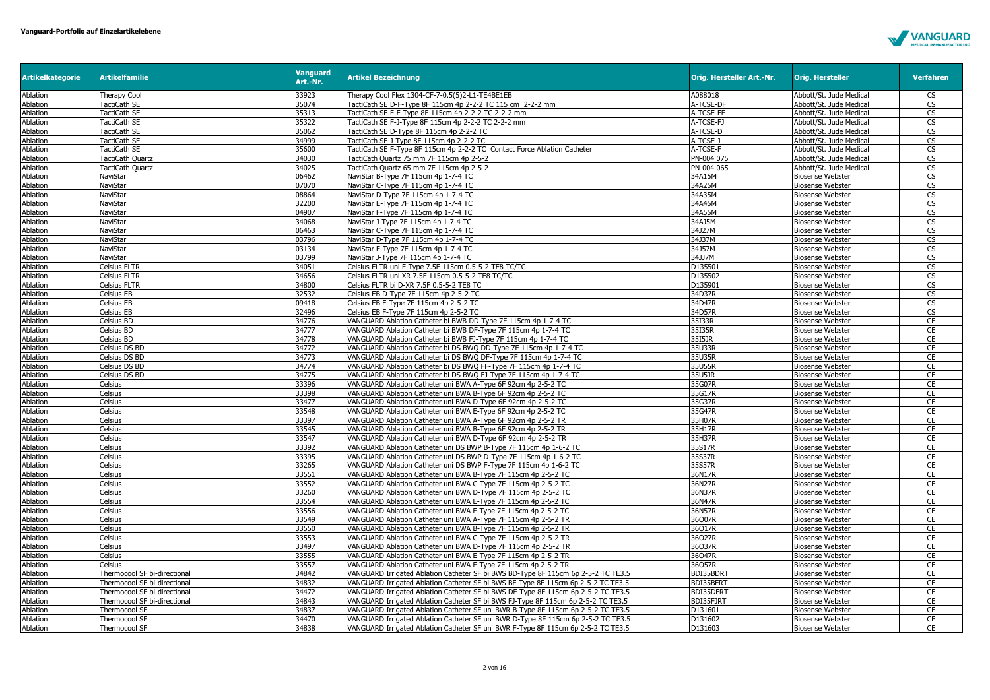

| <b>Artikelkategorie</b> | <b>Artikelfamilie</b>        | <b>Vanguard</b><br>Art.-Nr. | <b>Artikel Bezeichnung</b>                                                        | Orig. Hersteller Art.-Nr. | <b>Orig. Hersteller</b> | <b>Verfahren</b>       |
|-------------------------|------------------------------|-----------------------------|-----------------------------------------------------------------------------------|---------------------------|-------------------------|------------------------|
| Ablation                | Therapy Cool                 | 33923                       | Therapy Cool Flex 1304-CF-7-0.5(5)2-L1-TE4BE1EB                                   | A088018                   | Abbott/St. Jude Medical | <b>CS</b>              |
| Ablation                | TactiCath SE                 | 35074                       | TactiCath SE D-F-Type 8F 115cm 4p 2-2-2 TC 115 cm 2-2-2 mm                        | A-TCSE-DF                 | Abbott/St. Jude Medical | CS                     |
| Ablation                | TactiCath SE                 | 35313                       | TactiCath SE F-F-Type 8F 115cm 4p 2-2-2 TC 2-2-2 mm                               | A-TCSE-FF                 | Abbott/St. Jude Medical | CS                     |
| Ablation                | TactiCath SE                 | 35322                       | FactiCath SE F-J-Type 8F 115cm 4p 2-2-2 TC 2-2-2 mm                               | A-TCSE-FJ                 | Abbott/St. Jude Medical | $\overline{\text{cs}}$ |
| Ablation                | <b>TactiCath SE</b>          | 35062                       | TactiCath SE D-Type 8F 115cm 4p 2-2-2 TC                                          | A-TCSE-D                  | Abbott/St. Jude Medical | CS                     |
| Ablation                | TactiCath SE                 | 34999                       | TactiCath SE J-Type 8F 115cm 4p 2-2-2 TC                                          | A-TCSE-J                  | Abbott/St. Jude Medical | $\overline{\text{cs}}$ |
| Ablation                | TactiCath SE                 | 35600                       | TactiCath SE F-Type 8F 115cm 4p 2-2-2 TC Contact Force Ablation Catheter          | A-TCSE-F                  | Abbott/St. Jude Medical | CS                     |
| Ablation                | <b>TactiCath Ouartz</b>      | 34030                       | TactiCath Ouartz 75 mm 7F 115cm 4p 2-5-2                                          | PN-004 075                | Abbott/St. Jude Medical | <b>CS</b>              |
| Ablation                | <b>TactiCath Quartz</b>      | 34025                       | TactiCath Quartz 65 mm 7F 115cm 4p 2-5-2                                          | PN-004 065                | Abbott/St. Jude Medical | CS                     |
| Ablation                | NaviStar                     | 06462                       | NaviStar B-Type 7F 115cm 4p 1-7-4 TC                                              | 34A15M                    | <b>Biosense Webster</b> | CS                     |
| Ablation                | NaviStar                     | 07070                       | NaviStar C-Type 7F 115cm 4p 1-7-4 TC                                              | 34A25M                    | <b>Biosense Webster</b> | CS                     |
| Ablation                | NaviStar                     | 08864                       | NaviStar D-Type 7F 115cm 4p 1-7-4 TC                                              | 34A35M                    | <b>Biosense Webster</b> | $\overline{\text{cs}}$ |
| Ablation                | NaviStar                     | 32200                       | NaviStar E-Type 7F 115cm 4p 1-7-4 TC                                              | 34A45M                    | <b>Biosense Webster</b> | CS                     |
| Ablation                | NaviStar                     | 04907                       | NaviStar F-Type 7F 115cm 4p 1-7-4 TC                                              | 34A55M                    | <b>Biosense Webster</b> | $\overline{\text{cs}}$ |
| Ablation                | NaviStar                     | 34068                       | NaviStar J-Type 7F 115cm 4p 1-7-4 TC                                              | 34AJ5M                    | <b>Biosense Webster</b> | CS                     |
| Ablation                | NaviStar                     | 06463                       | NaviStar C-Type 7F 115cm 4p 1-7-4 TC                                              | 34J27M                    | <b>Biosense Webster</b> | CS                     |
| Ablation                | NaviStar                     | 03796                       | NaviStar D-Type 7F 115cm 4p 1-7-4 TC                                              | 34J37M                    | <b>Biosense Webster</b> | $\overline{\text{cs}}$ |
| Ablation                | NaviStar                     | 03134                       | NaviStar F-Type 7F 115cm 4p 1-7-4 TC                                              | 34J57M                    | <b>Biosense Webster</b> | CS                     |
| Ablation                | NaviStar                     | 03799                       | NaviStar J-Type 7F 115cm 4p 1-7-4 TC                                              | 34JJ7M                    | <b>Biosense Webster</b> | CS                     |
| Ablation                | Celsius FLTR                 | 34051                       | Celsius FLTR uni F-Type 7.5F 115cm 0.5-5-2 TE8 TC/TC                              | D135501                   | <b>Biosense Webster</b> | $\overline{\text{cs}}$ |
| Ablation                | <b>Celsius FLTR</b>          | 34656                       | Celsius FLTR uni XR 7.5F 115cm 0.5-5-2 TE8 TC/TC                                  | D135502                   | <b>Biosense Webster</b> | CS                     |
| Ablation                | Celsius FLTR                 | 34800                       | Celsius FLTR bi D-XR 7.5F 0.5-5-2 TE8 TC                                          | D135901                   | <b>Biosense Webster</b> | CS                     |
| Ablation                | Celsius EB                   | 32532                       | Celsius EB D-Type 7F 115cm 4p 2-5-2 TC                                            | 34D37R                    | <b>Biosense Webster</b> | CS                     |
| Ablation                | Celsius EB                   | 09418                       | Celsius EB E-Type 7F 115cm 4p 2-5-2 TC                                            | 34D47R                    | <b>Biosense Webster</b> | CS                     |
| Ablation                | Celsius EB                   | 32496                       | Celsius EB F-Type 7F 115cm 4p 2-5-2 TC                                            | 34D57R                    | <b>Biosense Webster</b> | $\overline{\text{cs}}$ |
| Ablation                | Celsius BD                   | 34776                       | VANGUARD Ablation Catheter bi BWB DD-Type 7F 115cm 4p 1-7-4 TC                    | 35I33R                    | <b>Biosense Webster</b> | CE                     |
| Ablation                | Celsius BD                   | 34777                       | VANGUARD Ablation Catheter bi BWB DF-Type 7F 115cm 4p 1-7-4 TC                    | 35I35R                    | <b>Biosense Webster</b> | CE                     |
| Ablation                | Celsius BD                   | 34778                       | VANGUARD Ablation Catheter bi BWB FJ-Type 7F 115cm 4p 1-7-4 TC                    | 35I5JR                    | <b>Biosense Webster</b> | CE                     |
| Ablation                | Celsius DS BD                | 34772                       | VANGUARD Ablation Catheter bi DS BWQ DD-Type 7F 115cm 4p 1-7-4 TC                 | 35U33R                    | <b>Biosense Webster</b> | CE                     |
| Ablation                | Celsius DS BD                | 34773                       | VANGUARD Ablation Catheter bi DS BWQ DF-Type 7F 115cm 4p 1-7-4 TC                 | 35U35R                    | <b>Biosense Webster</b> | CE                     |
| Ablation                | Celsius DS BD                | 34774                       | VANGUARD Ablation Catheter bi DS BWQ FF-Type 7F 115cm 4p 1-7-4 TC                 | 35U55R                    | <b>Biosense Webster</b> | CE                     |
| Ablation                | Celsius DS BD                | 34775                       | VANGUARD Ablation Catheter bi DS BWQ FJ-Type 7F 115cm 4p 1-7-4 TC                 | 35U5JR                    | <b>Biosense Webster</b> | CE                     |
| Ablation                | Celsius                      | 33396                       | VANGUARD Ablation Catheter uni BWA A-Type 6F 92cm 4p 2-5-2 TC                     | 35G07R                    | <b>Biosense Webster</b> | CE                     |
| Ablation                | Celsius                      | 33398                       | VANGUARD Ablation Catheter uni BWA B-Type 6F 92cm 4p 2-5-2 TC                     | 35G17R                    | <b>Biosense Webster</b> | CE                     |
| Ablation                | Celsius                      | 33477                       | VANGUARD Ablation Catheter uni BWA D-Type 6F 92cm 4p 2-5-2 TC                     | 35G37R                    | <b>Biosense Webster</b> | CE                     |
| Ablation                | Celsius                      | 33548                       | VANGUARD Ablation Catheter uni BWA E-Type 6F 92cm 4p 2-5-2 TC                     | 35G47R                    | <b>Biosense Webster</b> | CE                     |
| Ablation                | Celsius                      | 33397                       | VANGUARD Ablation Catheter uni BWA A-Type 6F 92cm 4p 2-5-2 TR                     | 35H07R                    | <b>Biosense Webster</b> | CE                     |
| Ablation                | Celsius                      | 33545                       | VANGUARD Ablation Catheter uni BWA B-Type 6F 92cm 4p 2-5-2 TR                     | 35H17R                    | <b>Biosense Webster</b> | CE                     |
| Ablation                | Celsius                      | 33547                       | VANGUARD Ablation Catheter uni BWA D-Type 6F 92cm 4p 2-5-2 TR                     | 35H37R                    | <b>Biosense Webster</b> | CE                     |
| Ablation                | Celsius                      | 33392                       | VANGUARD Ablation Catheter uni DS BWP B-Type 7F 115cm 4p 1-6-2 TC                 | 35S17R                    | <b>Biosense Webster</b> | CE                     |
| Ablation                | Celsius                      | 33395                       | VANGUARD Ablation Catheter uni DS BWP D-Type 7F 115cm 4p 1-6-2 TC                 | 35S37R                    | <b>Biosense Webster</b> | CE                     |
| Ablation                | Celsius                      | 33265                       | VANGUARD Ablation Catheter uni DS BWP F-Type 7F 115cm 4p 1-6-2 TC                 | 35S57R                    | <b>Biosense Webster</b> | CE                     |
| Ablation                | Celsius                      | 33551                       | VANGUARD Ablation Catheter uni BWA B-Type 7F 115cm 4p 2-5-2 TC                    | 36N17R                    | <b>Biosense Webster</b> | CE                     |
| Ablation                | Celsius                      | 33552                       | VANGUARD Ablation Catheter uni BWA C-Type 7F 115cm 4p 2-5-2 TC                    | 36N27R                    | <b>Biosense Webster</b> | CE                     |
| Ablation                | Celsius                      | 33260                       | VANGUARD Ablation Catheter uni BWA D-Type 7F 115cm 4p 2-5-2 TC                    | 36N37R                    | <b>Biosense Webster</b> | CE                     |
| Ablation                | Celsius                      | 33554                       | VANGUARD Ablation Catheter uni BWA E-Type 7F 115cm 4p 2-5-2 TC                    | 36N47R                    | <b>Biosense Webster</b> | CE                     |
| Ablation                | Celsius                      | 33556                       | VANGUARD Ablation Catheter uni BWA F-Type 7F 115cm 4p 2-5-2 TC                    | 36N57R                    | <b>Biosense Webster</b> | CE                     |
| Ablation                | Celsius                      | 33549                       | VANGUARD Ablation Catheter uni BWA A-Type 7F 115cm 4p 2-5-2 TR                    | 36O07R                    | <b>Biosense Webster</b> | CE                     |
| Ablation                | Celsius                      | 33550                       | VANGUARD Ablation Catheter uni BWA B-Type 7F 115cm 4p 2-5-2 TR                    | 36O17R                    | <b>Biosense Webster</b> | CE                     |
| Ablation                | Celsius                      | 33553                       | VANGUARD Ablation Catheter uni BWA C-Type 7F 115cm 4p 2-5-2 TR                    | 36027R                    | <b>Biosense Webster</b> | CE                     |
| Ablation                | Celsius                      | 33497                       | VANGUARD Ablation Catheter uni BWA D-Type 7F 115cm 4p 2-5-2 TR                    | 36037R                    | <b>Biosense Webster</b> | CE                     |
| Ablation                | Celsius                      | 33555                       | VANGUARD Ablation Catheter uni BWA E-Type 7F 115cm 4p 2-5-2 TR                    | 36047R                    | <b>Biosense Webster</b> | CE                     |
| Ablation                | Celsius                      | 33557                       | VANGUARD Ablation Catheter uni BWA F-Type 7F 115cm 4p 2-5-2 TR                    | 36057R                    | <b>Biosense Webster</b> | CE                     |
| Ablation                | Thermocool SF bi-directional | 34842                       | VANGUARD Irrigated Ablation Catheter SF bi BWS BD-Type 8F 115cm 6p 2-5-2 TC TE3.5 | BDI35BDR1                 | <b>Biosense Webster</b> | CE                     |
| Ablation                | Thermocool SF bi-directional | 34832                       | VANGUARD Irrigated Ablation Catheter SF bi BWS BF-Type 8F 115cm 6p 2-5-2 TC TE3.5 | BDI35BFRT                 | <b>Biosense Webster</b> | CE                     |
| Ablation                | Thermocool SF bi-directional | 34472                       | VANGUARD Irrigated Ablation Catheter SF bi BWS DF-Type 8F 115cm 6p 2-5-2 TC TE3.5 | BDI35DFRT                 | <b>Biosense Webster</b> | CE                     |
| Ablation                | Thermocool SF bi-directional | 34843                       | VANGUARD Irrigated Ablation Catheter SF bi BWS FJ-Type 8F 115cm 6p 2-5-2 TC TE3.5 | BDI35FJRT                 | <b>Biosense Webster</b> | <b>CE</b>              |
| Ablation                | Thermocool SF                | 34837                       | VANGUARD Irrigated Ablation Catheter SF uni BWR B-Type 8F 115cm 6p 2-5-2 TC TE3.5 | D131601                   | <b>Biosense Webster</b> | CE                     |
| Ablation                | Thermocool SF                | 34470                       | VANGUARD Irrigated Ablation Catheter SF uni BWR D-Type 8F 115cm 6p 2-5-2 TC TE3.5 | D131602                   | <b>Biosense Webster</b> | CE                     |
| Ablation                | Thermocool SF                | 34838                       | VANGUARD Irrigated Ablation Catheter SF uni BWR F-Type 8F 115cm 6p 2-5-2 TC TE3.5 | D131603                   | <b>Biosense Webster</b> | CE                     |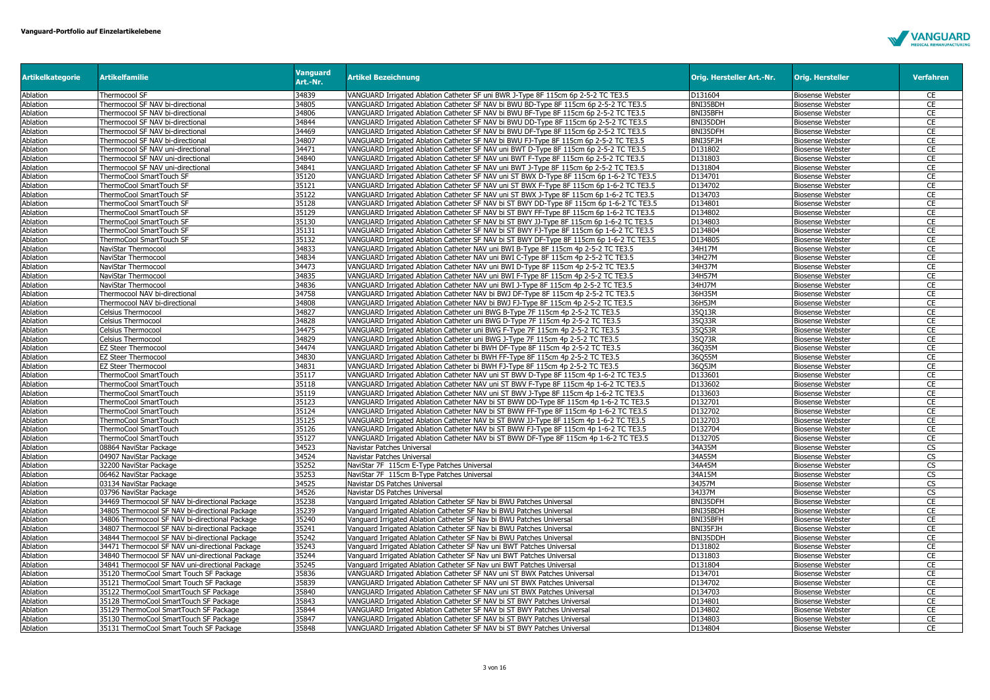

| <b>Artikelkategorie</b> | <b>Artikelfamilie</b>                           | <b>Vanguard</b><br>Art.-Nr. | <b>Artikel Bezeichnung</b>                                                               | Orig. Hersteller Art.-Nr. | <b>Orig. Hersteller</b> | <b>Verfahren</b>       |
|-------------------------|-------------------------------------------------|-----------------------------|------------------------------------------------------------------------------------------|---------------------------|-------------------------|------------------------|
| Ablation                | Thermocool SF                                   | 34839                       | VANGUARD Irrigated Ablation Catheter SF uni BWR J-Type 8F 115cm 6p 2-5-2 TC TE3.5        | D131604                   | <b>Biosense Webster</b> | CE                     |
| Ablation                | Thermocool SF NAV bi-directional                | 34805                       | VANGUARD Irrigated Ablation Catheter SF NAV bi BWU BD-Type 8F 115cm 6p 2-5-2 TC TE3.5    | BNI35BDH                  | <b>Biosense Webster</b> | CE                     |
| Ablation                | Thermocool SF NAV bi-directional                | 34806                       | VANGUARD Irrigated Ablation Catheter SF NAV bi BWU BF-Type 8F 115cm 6p 2-5-2 TC TE3.5    | BNI35BFH                  | <b>Biosense Webster</b> | <b>CE</b>              |
| Ablation                | Thermocool SF NAV bi-directional                | 34844                       | VANGUARD Irrigated Ablation Catheter SF NAV bi BWU DD-Type 8F 115cm 6p 2-5-2 TC TE3.5    | BNI35DDH                  | <b>Biosense Webster</b> | <b>CE</b>              |
| Ablation                | Thermocool SF NAV bi-directional                | 34469                       | VANGUARD Irrigated Ablation Catheter SF NAV bi BWU DF-Type 8F 115cm 6p 2-5-2 TC TE3.5    | BNI35DFH                  | <b>Biosense Webster</b> | CE                     |
| Ablation                | Thermocool SF NAV bi-directional                | 34807                       | VANGUARD Irrigated Ablation Catheter SF NAV bi BWU FJ-Type 8F 115cm 6p 2-5-2 TC TE3.5    | BNI35FJH                  | <b>Biosense Webster</b> | CE                     |
| Ablation                | Thermocool SF NAV uni-directional               | 34471                       | VANGUARD Irrigated Ablation Catheter SF NAV uni BWT D-Type 8F 115cm 6p 2-5-2 TC TE3.5    | D131802                   | <b>Biosense Webster</b> | CE                     |
| Ablation                | Thermocool SF NAV uni-directional               | 34840                       | VANGUARD Irrigated Ablation Catheter SF NAV uni BWT F-Type 8F 115cm 6p 2-5-2 TC TE3.5    | D131803                   | <b>Biosense Webster</b> | <b>CE</b>              |
| Ablation                | Thermocool SF NAV uni-directional               | 34841                       | VANGUARD Irrigated Ablation Catheter SF NAV uni BWT J-Type 8F 115cm 6p 2-5-2 TC TE3.5    | D131804                   | <b>Biosense Webster</b> | CE                     |
| Ablation                | ThermoCool SmartTouch SF                        | 35120                       | VANGUARD Irrigated Ablation Catheter SF NAV uni ST BWX D-Type 8F 115cm 6p 1-6-2 TC TE3.5 | D134701                   | <b>Biosense Webster</b> | CE                     |
| Ablation                | ThermoCool SmartTouch SF                        | 35121                       | VANGUARD Irrigated Ablation Catheter SF NAV uni ST BWX F-Type 8F 115cm 6p 1-6-2 TC TE3.5 | D134702                   | <b>Biosense Webster</b> | CE                     |
| Ablation                | ThermoCool SmartTouch SF                        | 35122                       | VANGUARD Irrigated Ablation Catheter SF NAV uni ST BWX J-Type 8F 115cm 6p 1-6-2 TC TE3.5 | D134703                   | <b>Biosense Webster</b> | CE                     |
| Ablation                | ThermoCool SmartTouch SF                        | 35128                       | VANGUARD Irrigated Ablation Catheter SF NAV bi ST BWY DD-Type 8F 115cm 6p 1-6-2 TC TE3.5 | D134801                   | <b>Biosense Webster</b> | CE                     |
| Ablation                | ThermoCool SmartTouch SF                        | 35129                       | VANGUARD Irrigated Ablation Catheter SF NAV bi ST BWY FF-Type 8F 115cm 6p 1-6-2 TC TE3.5 | D134802                   | <b>Biosense Webster</b> | CE                     |
| Ablation                | ThermoCool SmartTouch SF                        | 35130                       | VANGUARD Irrigated Ablation Catheter SF NAV bi ST BWY JJ-Type 8F 115cm 6p 1-6-2 TC TE3.5 | D134803                   | <b>Biosense Webster</b> | CE                     |
| Ablation                | ThermoCool SmartTouch SF                        | 35131                       | VANGUARD Irrigated Ablation Catheter SF NAV bi ST BWY FJ-Type 8F 115cm 6p 1-6-2 TC TE3.5 | D134804                   | <b>Biosense Webster</b> | CE                     |
| Ablation                | ThermoCool SmartTouch SF                        | 35132                       | VANGUARD Irrigated Ablation Catheter SF NAV bi ST BWY DF-Type 8F 115cm 6p 1-6-2 TC TE3.5 | D134805                   | <b>Biosense Webster</b> | <b>CE</b>              |
| Ablation                | NaviStar Thermocool                             | 34833                       | VANGUARD Irrigated Ablation Catheter NAV uni BWI B-Type 8F 115cm 4p 2-5-2 TC TE3.5       | 34H17M                    | <b>Biosense Webster</b> | <b>CE</b>              |
| Ablation                | NaviStar Thermocool                             | 34834                       | VANGUARD Irrigated Ablation Catheter NAV uni BWI C-Type 8F 115cm 4p 2-5-2 TC TE3.5       | 34H27M                    | <b>Biosense Webster</b> | CE                     |
| Ablation                | NaviStar Thermocool                             | 34473                       | VANGUARD Irrigated Ablation Catheter NAV uni BWI D-Type 8F 115cm 4p 2-5-2 TC TE3.5       | 34H37M                    | <b>Biosense Webster</b> | CE                     |
| Ablation                | NaviStar Thermocool                             | 34835                       | VANGUARD Irrigated Ablation Catheter NAV uni BWI F-Type 8F 115cm 4p 2-5-2 TC TE3.5       | 34H57M                    | <b>Biosense Webster</b> | CE                     |
| Ablation                | NaviStar Thermocool                             | 34836                       | VANGUARD Irrigated Ablation Catheter NAV uni BWI J-Type 8F 115cm 4p 2-5-2 TC TE3.5       | 34HJ7M                    | <b>Biosense Webster</b> | CE                     |
| Ablation                | Thermocool NAV bi-directional                   | 34758                       | VANGUARD Irrigated Ablation Catheter NAV bi BWJ DF-Type 8F 115cm 4p 2-5-2 TC TE3.5       | 36H35M                    | <b>Biosense Webster</b> | <b>CE</b>              |
| Ablation                | Thermocool NAV bi-directional                   | 34808                       | VANGUARD Irrigated Ablation Catheter NAV bi BWJ FJ-Type 8F 115cm 4p 2-5-2 TC TE3.5       | 36H5JM                    | <b>Biosense Webster</b> | CE                     |
| Ablation                | Celsius Thermocool                              | 34827                       | VANGUARD Irrigated Ablation Catheter uni BWG B-Type 7F 115cm 4p 2-5-2 TC TE3.5           | 35Q13R                    | <b>Biosense Webster</b> | CE                     |
| Ablation                | Celsius Thermocool                              | 34828                       | VANGUARD Irrigated Ablation Catheter uni BWG D-Type 7F 115cm 4p 2-5-2 TC TE3.5           | 35Q33R                    | <b>Biosense Webster</b> | CE                     |
| Ablation                | Celsius Thermocool                              | 34475                       | VANGUARD Irrigated Ablation Catheter uni BWG F-Type 7F 115cm 4p 2-5-2 TC TE3.5           | 35Q53R                    | <b>Biosense Webster</b> | CE                     |
| Ablation                | Celsius Thermocool                              | 34829                       | VANGUARD Irrigated Ablation Catheter uni BWG J-Type 7F 115cm 4p 2-5-2 TC TE3.5           | 35Q73R                    | <b>Biosense Webster</b> | <b>CE</b>              |
| Ablation                | <b>EZ Steer Thermocool</b>                      | 34474                       | VANGUARD Irrigated Ablation Catheter bi BWH DF-Type 8F 115cm 4p 2-5-2 TC TE3.5           | 36Q35M                    | <b>Biosense Webster</b> | CE                     |
| Ablation                | <b>EZ Steer Thermocool</b>                      | 34830                       | VANGUARD Irrigated Ablation Catheter bi BWH FF-Type 8F 115cm 4p 2-5-2 TC TE3.5           | 36Q55M                    | <b>Biosense Webster</b> | CE                     |
| Ablation                | <b>EZ Steer Thermocool</b>                      | 34831                       | VANGUARD Irrigated Ablation Catheter bi BWH FJ-Type 8F 115cm 4p 2-5-2 TC TE3.5           | 36Q5JM                    | <b>Biosense Webster</b> | <b>CE</b>              |
| Ablation                | ThermoCool SmartTouch                           | 35117                       | VANGUARD Irrigated Ablation Catheter NAV uni ST BWV D-Type 8F 115cm 4p 1-6-2 TC TE3.5    | D133601                   | <b>Biosense Webster</b> | CE                     |
| Ablation                | ThermoCool SmartTouch                           | 35118                       | VANGUARD Irrigated Ablation Catheter NAV uni ST BWV F-Type 8F 115cm 4p 1-6-2 TC TE3.5    | D133602                   | <b>Biosense Webster</b> | CE                     |
| Ablation                | ThermoCool SmartTouch                           | 35119                       | VANGUARD Irrigated Ablation Catheter NAV uni ST BWV J-Type 8F 115cm 4p 1-6-2 TC TE3.5    | D133603                   | <b>Biosense Webster</b> | CE                     |
| Ablation                | ThermoCool SmartTouch                           | 35123                       | VANGUARD Irrigated Ablation Catheter NAV bi ST BWW DD-Type 8F 115cm 4p 1-6-2 TC TE3.5    | D132701                   | <b>Biosense Webster</b> | CE                     |
| Ablation                | ThermoCool SmartTouch                           | 35124                       | VANGUARD Irrigated Ablation Catheter NAV bi ST BWW FF-Type 8F 115cm 4p 1-6-2 TC TE3.5    | D132702                   | <b>Biosense Webster</b> | CE                     |
| Ablation                | ThermoCool SmartTouch                           | 35125                       | VANGUARD Irrigated Ablation Catheter NAV bi ST BWW JJ-Type 8F 115cm 4p 1-6-2 TC TE3.5    | D132703                   | <b>Biosense Webster</b> | CE                     |
| Ablation                | ThermoCool SmartTouch                           | 35126                       | VANGUARD Irrigated Ablation Catheter NAV bi ST BWW FJ-Type 8F 115cm 4p 1-6-2 TC TE3.5    | D132704                   | <b>Biosense Webster</b> | CE                     |
| Ablation                | ThermoCool SmartTouch                           | 35127                       | VANGUARD Irrigated Ablation Catheter NAV bi ST BWW DF-Type 8F 115cm 4p 1-6-2 TC TE3.5    | D132705                   | <b>Biosense Webster</b> | CE                     |
| Ablation                | 08864 NaviStar Package                          | 34523                       | Navistar Patches Universal                                                               | 34A35M                    | <b>Biosense Webster</b> | $\overline{\text{cs}}$ |
| Ablation                | 04907 NaviStar Package                          | 34524                       | Navistar Patches Universal                                                               | 34A55M                    | <b>Biosense Webster</b> | $\overline{\text{CS}}$ |
| Ablation                | 32200 NaviStar Package                          | 35252                       | NaviStar 7F 115cm E-Type Patches Universal                                               | 34A45M                    | <b>Biosense Webster</b> | CS                     |
| Ablation                | 06462 NaviStar Package                          | 35253                       | NaviStar 7F 115cm B-Type Patches Universal                                               | 34A15M                    | <b>Biosense Webster</b> | $\overline{\text{cs}}$ |
| Ablation                | 03134 NaviStar Package                          | 34525                       | Navistar DS Patches Universal                                                            | 34J57M                    | <b>Biosense Webster</b> | CS                     |
| Ablation                | 03796 NaviStar Package                          | 34526                       | Navistar DS Patches Universal                                                            | 34J37M                    | <b>Biosense Webster</b> | CS                     |
| Ablation                | 34469 Thermocool SF NAV bi-directional Package  | 35238                       | Vanguard Irrigated Ablation Catheter SF Nav bi BWU Patches Universal                     | BNI35DFH                  | <b>Biosense Webster</b> | CE                     |
| Ablation                | 34805 Thermocool SF NAV bi-directional Package  | 35239                       | Vanguard Irrigated Ablation Catheter SF Nav bi BWU Patches Universal                     | BNI35BDH                  | <b>Biosense Webster</b> | CE                     |
| Ablation                | 34806 Thermocool SF NAV bi-directional Package  | 35240                       | Vanguard Irrigated Ablation Catheter SF Nav bi BWU Patches Universal                     | BNI35BFH                  | <b>Biosense Webster</b> | CE                     |
| Ablation                | 34807 Thermocool SF NAV bi-directional Package  | 35241                       | Vanguard Irrigated Ablation Catheter SF Nav bi BWU Patches Universal                     | BNI35FJH                  | <b>Biosense Webster</b> | <b>CE</b>              |
| Ablation                | 34844 Thermocool SF NAV bi-directional Package  | 35242                       | Vanguard Irrigated Ablation Catheter SF Nav bi BWU Patches Universal                     | BNI35DDH                  | <b>Biosense Webster</b> | CE                     |
| Ablation                | 34471 Thermocool SF NAV uni-directional Package | 35243                       | Vanguard Irrigated Ablation Catheter SF Nav uni BWT Patches Universal                    | D131802                   | <b>Biosense Webster</b> | CE                     |
| Ablation                | 34840 Thermocool SF NAV uni-directional Package | 35244                       | Vanguard Irrigated Ablation Catheter SF Nav uni BWT Patches Universal                    | D131803                   | <b>Biosense Webster</b> | CE                     |
| Ablation                | 34841 Thermocool SF NAV uni-directional Package | 35245                       | Vanguard Irrigated Ablation Catheter SF Nav uni BWT Patches Universal                    | D131804                   | <b>Biosense Webster</b> | CE                     |
| Ablation                | 35120 ThermoCool Smart Touch SF Package         | 35836                       | VANGUARD Irrigated Ablation Catheter SF NAV uni ST BWX Patches Universal                 | D134701                   | <b>Biosense Webster</b> | <b>CE</b>              |
| Ablation                | 35121 ThermoCool Smart Touch SF Package         | 35839                       | VANGUARD Irrigated Ablation Catheter SF NAV uni ST BWX Patches Universal                 | D134702                   | <b>Biosense Webster</b> | CE                     |
| Ablation                | 35122 ThermoCool SmartTouch SF Package          | 35840                       | VANGUARD Irrigated Ablation Catheter SF NAV uni ST BWX Patches Universal                 | D134703                   | <b>Biosense Webster</b> | CE                     |
| Ablation                | 35128 ThermoCool SmartTouch SF Package          | 35843                       | VANGUARD Irrigated Ablation Catheter SF NAV bi ST BWY Patches Universal                  | D134801                   | <b>Biosense Webster</b> | CE                     |
| Ablation                | 35129 ThermoCool SmartTouch SF Package          | 35844                       | VANGUARD Irrigated Ablation Catheter SF NAV bi ST BWY Patches Universal                  | D134802                   | <b>Biosense Webster</b> | CE                     |
| Ablation                | 35130 ThermoCool SmartTouch SF Package          | 35847                       | VANGUARD Irrigated Ablation Catheter SF NAV bi ST BWY Patches Universal                  | D134803                   | <b>Biosense Webster</b> | <b>CE</b>              |
| Ablation                | 35131 ThermoCool Smart Touch SF Package         | 35848                       | VANGUARD Irrigated Ablation Catheter SF NAV bi ST BWY Patches Universal                  | D134804                   | <b>Biosense Webster</b> | <b>CE</b>              |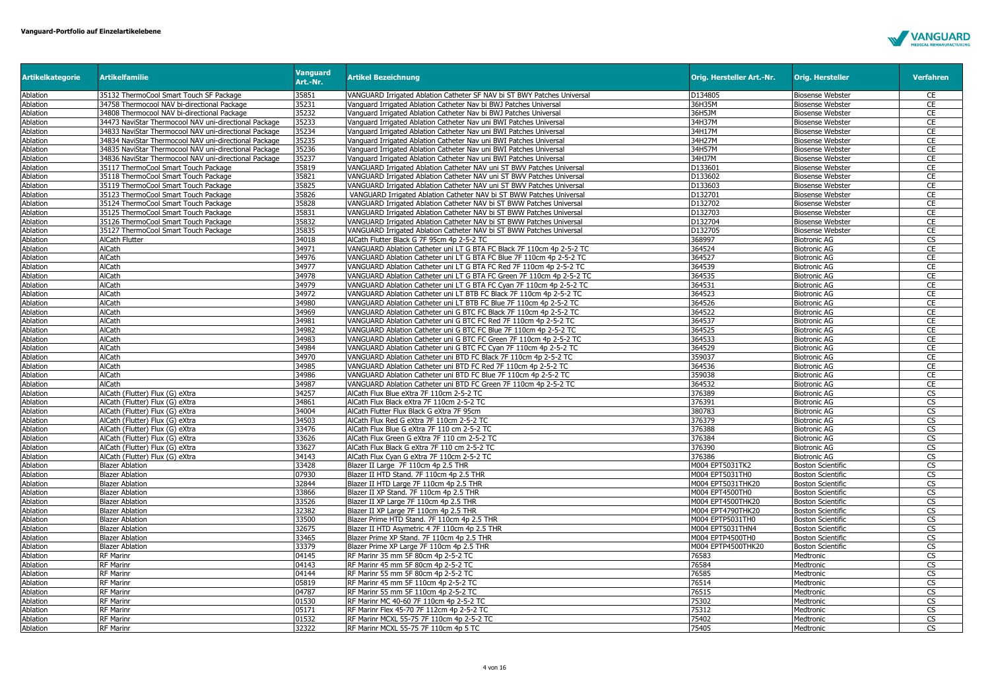

| <b>Artikelkategorie</b> | <b>Artikelfamilie</b>                                 | <b>Vanguard</b><br>Art.-Nr. | <b>Artikel Bezeichnung</b>                                              | Orig. Hersteller Art.-Nr. | <b>Orig. Hersteller</b>  | Verfahren              |
|-------------------------|-------------------------------------------------------|-----------------------------|-------------------------------------------------------------------------|---------------------------|--------------------------|------------------------|
| Ablation                | 35132 ThermoCool Smart Touch SF Package               | 35851                       | VANGUARD Irrigated Ablation Catheter SF NAV bi ST BWY Patches Universal | D134805                   | <b>Biosense Webster</b>  | CE                     |
| Ablation                | 34758 Thermocool NAV bi-directional Package           | 35231                       | Vanguard Irrigated Ablation Catheter Nav bi BWJ Patches Universal       | 36H35M                    | <b>Biosense Webster</b>  | <b>CE</b>              |
| Ablation                | 34808 Thermocool NAV bi-directional Package           | 35232                       | Vanguard Irrigated Ablation Catheter Nav bi BWJ Patches Universal       | 36H5JM                    | <b>Biosense Webster</b>  | CE                     |
| Ablation                | 34473 NaviStar Thermocool NAV uni-directional Package | 35233                       | Vanguard Irrigated Ablation Catheter Nav uni BWI Patches Universal      | 34H37M                    | <b>Biosense Webster</b>  | CE                     |
| Ablation                | 34833 NaviStar Thermocool NAV uni-directional Package | 35234                       | Vanguard Irrigated Ablation Catheter Nav uni BWI Patches Universal      | 34H17M                    | <b>Biosense Webster</b>  | CE                     |
| Ablation                | 34834 NaviStar Thermocool NAV uni-directional Package | 35235                       | Vanguard Irrigated Ablation Catheter Nav uni BWI Patches Universal      | 34H27M                    | <b>Biosense Webster</b>  | CE                     |
| Ablation                | 34835 NaviStar Thermocool NAV uni-directional Package | 35236                       | Vanguard Irrigated Ablation Catheter Nav uni BWI Patches Universal      | 34H57M                    | <b>Biosense Webster</b>  | CE                     |
| Ablation                | 34836 NaviStar Thermocool NAV uni-directional Package | 35237                       | Vanguard Irrigated Ablation Catheter Nav uni BWI Patches Universal      | 34HJ7M                    | <b>Biosense Webster</b>  | CE                     |
| Ablation                | 35117 ThermoCool Smart Touch Package                  | 35819                       | VANGUARD Irrigated Ablation Catheter NAV uni ST BWV Patches Universal   | D133601                   | <b>Biosense Webster</b>  | CE                     |
| Ablation                | 35118 ThermoCool Smart Touch Package                  | 35821                       | VANGUARD Irrigated Ablation Catheter NAV uni ST BWV Patches Universal   | D133602                   | <b>Biosense Webster</b>  | CE                     |
| Ablation                | 35119 ThermoCool Smart Touch Package                  | 35825                       | VANGUARD Irrigated Ablation Catheter NAV uni ST BWV Patches Universal   | D133603                   | <b>Biosense Webster</b>  | CE                     |
| Ablation                | 35123 ThermoCool Smart Touch Package                  | 35826                       | VANGUARD Irrigated Ablation Catheter NAV bi ST BWW Patches Universal    | D132701                   | <b>Biosense Webster</b>  | CE                     |
| Ablation                | 35124 ThermoCool Smart Touch Package                  | 35828                       | VANGUARD Irrigated Ablation Catheter NAV bi ST BWW Patches Universal    | D132702                   | <b>Biosense Webster</b>  | <b>CE</b>              |
| Ablation                | 35125 ThermoCool Smart Touch Package                  | 35831                       | VANGUARD Irrigated Ablation Catheter NAV bi ST BWW Patches Universal    | D132703                   | <b>Biosense Webster</b>  | CE                     |
| Ablation                | 35126 ThermoCool Smart Touch Package                  | 35832                       | VANGUARD Irrigated Ablation Catheter NAV bi ST BWW Patches Universal    | D132704                   | <b>Biosense Webster</b>  | CE                     |
| Ablation                | 35127 ThermoCool Smart Touch Package                  | 35835                       | VANGUARD Irrigated Ablation Catheter NAV bi ST BWW Patches Universal    | D132705                   | <b>Biosense Webster</b>  | CE                     |
| Ablation                | AlCath Flutter                                        | 34018                       | AlCath Flutter Black G 7F 95cm 4p 2-5-2 TC                              | 368997                    | <b>Biotronic AG</b>      | CS                     |
| Ablation                | AlCath                                                | 34971                       | VANGUARD Ablation Catheter uni LT G BTA FC Black 7F 110cm 4p 2-5-2 TC   | 364524                    | <b>Biotronic AG</b>      | CE                     |
| Ablation                | AlCath                                                | 34976                       | VANGUARD Ablation Catheter uni LT G BTA FC Blue 7F 110cm 4p 2-5-2 TC    | 364527                    | <b>Biotronic AG</b>      | CE                     |
| Ablation                | AlCath                                                | 34977                       | VANGUARD Ablation Catheter uni LT G BTA FC Red 7F 110cm 4p 2-5-2 TC     | 364539                    | <b>Biotronic AG</b>      | CE                     |
| Ablation                | AlCath                                                | 34978                       | VANGUARD Ablation Catheter uni LT G BTA FC Green 7F 110cm 4p 2-5-2 TC   | 364535                    | <b>Biotronic AG</b>      | CE                     |
| Ablation                | AlCath                                                | 34979                       | VANGUARD Ablation Catheter uni LT G BTA FC Cyan 7F 110cm 4p 2-5-2 TC    | 364531                    | <b>Biotronic AG</b>      | CE                     |
| Ablation                | AlCath                                                | 34972                       | VANGUARD Ablation Catheter uni LT BTB FC Black 7F 110cm 4p 2-5-2 TC     | 364523                    | <b>Biotronic AG</b>      | CE                     |
| Ablation                | AlCath                                                | 34980                       | VANGUARD Ablation Catheter uni LT BTB FC Blue 7F 110cm 4p 2-5-2 TC      | 364526                    | <b>Biotronic AG</b>      | CE                     |
| Ablation                | <b>AlCath</b>                                         | 34969                       | VANGUARD Ablation Catheter uni G BTC FC Black 7F 110cm 4p 2-5-2 TC      | 364522                    | <b>Biotronic AG</b>      | CE                     |
| Ablation                | AlCath                                                | 34981                       | VANGUARD Ablation Catheter uni G BTC FC Red 7F 110cm 4p 2-5-2 TC        | 364537                    | <b>Biotronic AG</b>      | CE                     |
| Ablation                | AlCath                                                | 34982                       | VANGUARD Ablation Catheter uni G BTC FC Blue 7F 110cm 4p 2-5-2 TC       | 364525                    | <b>Biotronic AG</b>      | CE                     |
| Ablation                | AlCath                                                | 34983                       | VANGUARD Ablation Catheter uni G BTC FC Green 7F 110cm 4p 2-5-2 TC      | 364533                    | <b>Biotronic AG</b>      | CE                     |
| Ablation                | AlCath                                                | 34984                       | VANGUARD Ablation Catheter uni G BTC FC Cyan 7F 110cm 4p 2-5-2 TC       | 364529                    | <b>Biotronic AG</b>      | CE                     |
| Ablation                | <b>AlCath</b>                                         | 34970                       | VANGUARD Ablation Catheter uni BTD FC Black 7F 110cm 4p 2-5-2 TC        | 359037                    | <b>Biotronic AG</b>      | CE                     |
| Ablation                | AlCath                                                | 34985                       | VANGUARD Ablation Catheter uni BTD FC Red 7F 110cm 4p 2-5-2 TC          | 364536                    | <b>Biotronic AG</b>      | CE                     |
| Ablation                | AlCath                                                | 34986                       | VANGUARD Ablation Catheter uni BTD FC Blue 7F 110cm 4p 2-5-2 TC         | 359038                    | <b>Biotronic AG</b>      | CE                     |
| Ablation                | AlCath                                                | 34987                       | VANGUARD Ablation Catheter uni BTD FC Green 7F 110cm 4p 2-5-2 TC        | 364532                    | <b>Biotronic AG</b>      | CE                     |
| <b>Ablation</b>         | AlCath (Flutter) Flux (G) eXtra                       | 34257                       | AlCath Flux Blue eXtra 7F 110cm 2-5-2 TC                                | 376389                    | <b>Biotronic AG</b>      | CS                     |
| Ablation                | AlCath (Flutter) Flux (G) eXtra                       | 34861                       | AlCath Flux Black eXtra 7F 110cm 2-5-2 TC                               | 376391                    | <b>Biotronic AG</b>      | <b>CS</b>              |
| Ablation                | AlCath (Flutter) Flux (G) eXtra                       | 34004                       | AlCath Flutter Flux Black G eXtra 7F 95cm                               | 380783                    | <b>Biotronic AG</b>      | $\overline{\text{CS}}$ |
| Ablation                | AlCath (Flutter) Flux (G) eXtra                       | 34503                       | AlCath Flux Red G eXtra 7F 110cm 2-5-2 TC                               | 376379                    | <b>Biotronic AG</b>      | CS                     |
| Ablation                | AlCath (Flutter) Flux (G) eXtra                       | 33476                       | AlCath Flux Blue G eXtra 7F 110 cm 2-5-2 TC                             | 376388                    | <b>Biotronic AG</b>      | $\overline{\text{cs}}$ |
| Ablation                | AlCath (Flutter) Flux (G) eXtra                       | 33626                       | AlCath Flux Green G eXtra 7F 110 cm 2-5-2 TC                            | 376384                    | <b>Biotronic AG</b>      | CS                     |
| Ablation                | AlCath (Flutter) Flux (G) eXtra                       | 33627                       | AlCath Flux Black G eXtra 7F 110 cm 2-5-2 TC                            | 376390                    | <b>Biotronic AG</b>      | <b>CS</b>              |
| Ablation                | AlCath (Flutter) Flux (G) eXtra                       | 34143                       | AlCath Flux Cyan G eXtra 7F 110cm 2-5-2 TC                              | 376386                    | Biotronic AG             | $\overline{\text{CS}}$ |
| Ablation                | <b>Blazer Ablation</b>                                | 33428                       | Blazer II Large 7F 110cm 4p 2.5 THR                                     | M004 EPT5031TK2           | <b>Boston Scientific</b> | CS                     |
| Ablation                | <b>Blazer Ablation</b>                                | 07930                       | Blazer II HTD Stand. 7F 110cm 4p 2.5 THR                                | M004 EPT5031TH0           | <b>Boston Scientific</b> | $\overline{\text{CS}}$ |
| Ablation                | <b>Blazer Ablation</b>                                | 32844                       | Blazer II HTD Large 7F 110cm 4p 2.5 THR                                 | M004 EPT5031THK20         | <b>Boston Scientific</b> | CS                     |
| Ablation                | <b>Blazer Ablation</b>                                | 33866                       | Blazer II XP Stand. 7F 110cm 4p 2.5 THR                                 | M004 EPT4500TH0           | <b>Boston Scientific</b> | CS                     |
| Ablation                | Blazer Ablation                                       | 33526                       | Blazer II XP Large 7F 110cm 4p 2.5 THR                                  | M004 EPT4500THK20         | Boston Scientific        | $\overline{\text{CS}}$ |
| Ablation                | <b>Blazer Ablation</b>                                | 32382                       | Blazer II XP Large 7F 110cm 4p 2.5 THR                                  | M004 EPT4790THK20         | Boston Scientific        | CS                     |
| Ablation                | <b>Blazer Ablation</b>                                | 33500                       | Blazer Prime HTD Stand. 7F 110cm 4p 2.5 THR                             | M004 EPTP5031TH0          | Boston Scientific        | $\overline{\text{cs}}$ |
| Ablation                | <b>Blazer Ablation</b>                                | 32675                       | Blazer II HTD Asymetric 4 7F 110cm 4p 2.5 THR                           | M004 EPT5031THN4          | <b>Boston Scientific</b> | CS                     |
| Ablation                | <b>Blazer Ablation</b>                                | 33465                       | Blazer Prime XP Stand. 7F 110cm 4p 2.5 THR                              | M004 EPTP4500TH0          | <b>Boston Scientific</b> | $\overline{\text{CS}}$ |
| Ablation                | Blazer Ablation                                       | 33379                       | Blazer Prime XP Large 7F 110cm 4p 2.5 THR                               | M004 EPTP4500THK20        | Boston Scientific        | $\overline{\text{CS}}$ |
| Ablation                | RF Marinr                                             | 04145                       | RF Marinr 35 mm 5F 80cm 4p 2-5-2 TC                                     | 76583                     | Medtronic                | <b>CS</b>              |
| Ablation                | RF Marinr                                             | 04143                       | RF Marinr 45 mm 5F 80cm 4p 2-5-2 TC                                     | 76584                     | Medtronic                | CS                     |
| Ablation                | RF Marinr                                             | 04144                       | RF Marinr 55 mm 5F 80cm 4p 2-5-2 TC                                     | 76585                     | Medtronic                | CS                     |
| Ablation                | RF Marinr                                             | 05819                       | RF Marinr 45 mm 5F 110cm 4p 2-5-2 TC                                    | 76514                     | Medtronic                | <b>CS</b>              |
| Ablation                | RF Marinr                                             | 04787                       | RF Marinr 55 mm 5F 110cm 4p 2-5-2 TC                                    | 76515                     | Medtronic                | $\overline{\text{CS}}$ |
| Ablation                | RF Marinr                                             | 01530                       | RF Marinr MC 40-60 7F 110cm 4p 2-5-2 TC                                 | 75302                     | Medtronic                | CS                     |
| Ablation                | RF Marinr                                             | 05171                       | RF Marinr Flex 45-70 7F 112cm 4p 2-5-2 TC                               | 75312                     | Medtronic                | CS                     |
| Ablation                | RF Marinr                                             | 01532                       | RF Marinr MCXL 55-75 7F 110cm 4p 2-5-2 TC                               | 75402                     | Medtronic                | CS                     |
| Ablation                | RF Marinr                                             | 32322                       | RF Marinr MCXL 55-75 7F 110cm 4p 5 TC                                   | 75405                     | Medtronic                | <b>CS</b>              |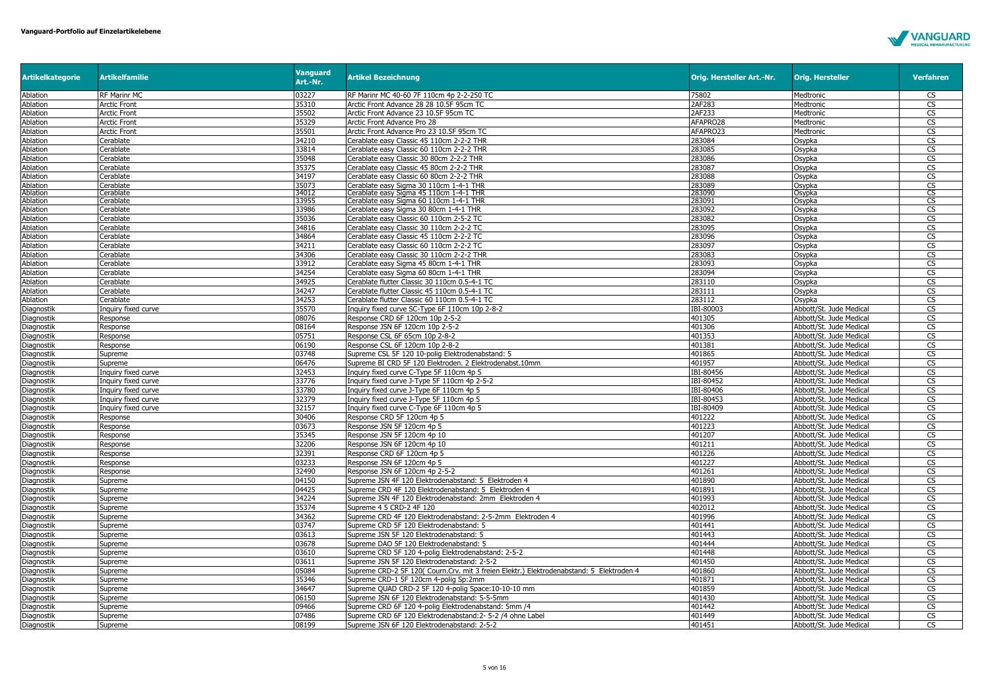

| <b>Artikelkategorie</b> | <b>Artikelfamilie</b> | <b>Vanguard</b><br>Art.-Nr. | <b>Artikel Bezeichnung</b>                                                               | Orig. Hersteller Art.-Nr. | <b>Orig. Hersteller</b> | <b>Verfahren</b>              |
|-------------------------|-----------------------|-----------------------------|------------------------------------------------------------------------------------------|---------------------------|-------------------------|-------------------------------|
| Ablation                | <b>RF Marinr MC</b>   | 03227                       | RF Marinr MC 40-60 7F 110cm 4p 2-2-250 TC                                                | 75802                     | Medtronic               | <b>CS</b>                     |
| Ablation                | <b>Arctic Front</b>   | 35310                       | Arctic Front Advance 28 28 10.5F 95cm TC                                                 | 2AF283                    | Medtronic               | <b>CS</b>                     |
| Ablation                | <b>Arctic Front</b>   | 35502                       | Arctic Front Advance 23 10.5F 95cm TC                                                    | 2AF233                    | Medtronic               | <b>CS</b>                     |
| Ablation                | <b>Arctic Front</b>   | 35329                       | Arctic Front Advance Pro 28                                                              | AFAPRO28                  | Medtronic               | CS                            |
| Ablation                | <b>Arctic Front</b>   | 35501                       | Arctic Front Advance Pro 23 10.5F 95cm TC                                                | AFAPRO23                  | Medtronic               | $\overline{\text{cs}}$        |
| Ablation                | Cerablate             | 34210                       | Cerablate easy Classic 45 110cm 2-2-2 THR                                                | 283084                    | Osypka                  | CS                            |
| Ablation                | Cerablate             | 33814                       | Cerablate easy Classic 60 110cm 2-2-2 THR                                                | 283085                    | Osypka                  | <b>CS</b>                     |
| Ablation                | Cerablate             | 35048                       | Cerablate easy Classic 30 80cm 2-2-2 THR                                                 | 283086                    | Osypka                  | CS                            |
| Ablation                | Cerablate             | 35375                       | Cerablate easy Classic 45 80cm 2-2-2 THR                                                 | 283087                    | Osypka                  | CS                            |
| Ablation                | Cerablate             | 34197                       | Cerablate easy Classic 60 80cm 2-2-2 THR                                                 | 283088                    | Osypka                  | CS                            |
| Ablation                | Cerablate             | 35073                       | Cerablate easy Sigma 30 110cm 1-4-1 THR                                                  | 283089                    | Osypka                  | <b>CS</b>                     |
| Ablation                | Cerablate             | 34012                       | Cerablate easy Sigma 45 110cm 1-4-1 THR                                                  | 283090                    | Osypka                  | $\frac{\text{CS}}{\text{CS}}$ |
| Ablation                | Cerablate             | 33955                       | Cerablate easy Sigma 60 110cm 1-4-1 THR                                                  | 283091                    | Osypka                  |                               |
| Ablation                | Cerablate             | 33986                       | Cerablate easy Sigma 30 80cm 1-4-1 THR                                                   | 283092                    | Osypka                  | <b>CS</b>                     |
| Ablation                | Cerablate             | 35036                       | Cerablate easy Classic 60 110cm 2-5-2 TC                                                 | 283082                    | Osypka                  | CS                            |
| Ablation                | Cerablate             | 34816                       | Cerablate easy Classic 30 110cm 2-2-2 TC                                                 | 283095                    | Osypka                  | CS                            |
| Ablation                | Cerablate             | 34864                       | Cerablate easy Classic 45 110cm 2-2-2 TC                                                 | 283096                    | Osypka                  | $\overline{\text{cs}}$        |
| Ablation                | Cerablate             | 34211                       | Cerablate easy Classic 60 110cm 2-2-2 TC                                                 | 283097                    | Osypka                  | CS                            |
| Ablation                | Cerablate             | 34306                       | Cerablate easy Classic 30 110cm 2-2-2 THR                                                | 283083                    | Osypka                  | <b>CS</b>                     |
| Ablation                | Cerablate             | 33912                       | Cerablate easy Sigma 45 80cm 1-4-1 THR                                                   | 283093                    | Osypka                  | CS                            |
| Ablation                | Cerablate             | 34254                       | Cerablate easy Sigma 60 80cm 1-4-1 THR                                                   | 283094                    | Osypka                  | CS                            |
| Ablation                | Cerablate             | 34925                       | Cerablate flutter Classic 30 110cm 0.5-4-1 TC                                            | 283110                    | Osypka                  | CS                            |
| Ablation                | Cerablate             | 34247                       | Cerablate flutter Classic 45 110cm 0.5-4-1 TC                                            | 283111                    | Osypka                  | <b>CS</b>                     |
| Ablation                | Cerablate             | 34253                       | Cerablate flutter Classic 60 110cm 0.5-4-1 TC                                            | 283112                    | Osypka                  | <b>CS</b>                     |
| Diagnostik              | Inquiry fixed curve   | 35570                       | Inquiry fixed curve SC-Type 6F 110cm 10p 2-8-2                                           | IBI-80003                 | Abbott/St. Jude Medical | CS                            |
| Diagnostik              | Response              | 08076                       | Response CRD 6F 120cm 10p 2-5-2                                                          | 401305                    | Abbott/St. Jude Medical | CS                            |
| Diagnostik              | Response              | 08164                       | Response JSN 6F 120cm 10p 2-5-2                                                          | 401306                    | Abbott/St. Jude Medical | <b>CS</b>                     |
| Diagnostik              | Response              | 05751                       | Response CSL 6F 65cm 10p 2-8-2                                                           | 401353                    | Abbott/St. Jude Medical | CS                            |
| Diagnostik              | Response              | 06190                       | Response CSL 6F 120cm 10p 2-8-2                                                          | 401381                    | Abbott/St. Jude Medical | <b>CS</b>                     |
| Diagnostik              | Supreme               | 03748                       | Supreme CSL 5F 120 10-polig Elektrodenabstand: 5                                         | 401865                    | Abbott/St. Jude Medical | CS                            |
| Diagnostik              | Supreme               | 06476                       | Supreme BI CRD 5F 120 Elektroden. 2 Elektrodenabst.10mm                                  | 401957                    | Abbott/St. Jude Medical | CS                            |
| Diagnostik              | Inquiry fixed curve   | 32453                       | Inquiry fixed curve C-Type 5F 110cm 4p 5                                                 | IBI-80456                 | Abbott/St. Jude Medical | CS                            |
| Diagnostik              | Inquiry fixed curve   | 33776                       | Inquiry fixed curve J-Type 5F 110cm 4p 2-5-2                                             | IBI-80452                 | Abbott/St. Jude Medical | <b>CS</b>                     |
| Diagnostik              | Inguiry fixed curve   | 33780                       | Inquiry fixed curve J-Type 6F 110cm 4p 5                                                 | IBI-80406                 | Abbott/St. Jude Medical | <b>CS</b>                     |
| Diagnostik              | Inquiry fixed curve   | 32379                       | Inquiry fixed curve J-Type 5F 110cm 4p 5                                                 | IBI-80453                 | Abbott/St. Jude Medical | CS                            |
| Diagnostik              | Inquiry fixed curve   | 32157                       | Inquiry fixed curve C-Type 6F 110cm 4p 5                                                 | IBI-80409                 | Abbott/St. Jude Medical | $\overline{\text{CS}}$        |
| Diagnostik              | Response              | 30406                       | Response CRD 5F 120cm 4p 5                                                               | 401222                    | Abbott/St. Jude Medical | <b>CS</b>                     |
| Diagnostik              | Response              | 03673                       | Response JSN 5F 120cm 4p 5                                                               | 401223                    | Abbott/St. Jude Medical | CS                            |
| Diagnostik              | Response              | 35345                       | Response JSN 5F 120cm 4p 10                                                              | 401207                    | Abbott/St. Jude Medical | CS                            |
| Diagnostik              | Response              | 32206                       | Response JSN 6F 120cm 4p 10                                                              | 401211                    | Abbott/St. Jude Medical | CS                            |
| Diagnostik              | Response              | 32391                       | Response CRD 6F 120cm 4p 5                                                               | 401226                    | Abbott/St. Jude Medical | CS                            |
| Diagnostik              | Response              | 03233                       | Response JSN 6F 120cm 4p 5                                                               | 401227                    | Abbott/St. Jude Medical | <b>CS</b>                     |
| Diagnostik              | Response              | 32490                       | Response JSN 6F 120cm 4p 2-5-2                                                           | 401261                    | Abbott/St. Jude Medical | <b>CS</b>                     |
| Diagnostik              | Supreme               | 04150                       | Supreme JSN 4F 120 Elektrodenabstand: 5 Elektroden 4                                     | 401890                    | Abbott/St. Jude Medical | <b>CS</b>                     |
| Diagnostik              | Supreme               | 04425                       | Supreme CRD 4F 120 Elektrodenabstand: 5 Elektroden 4                                     | 401891                    | Abbott/St. Jude Medical | CS                            |
| Diagnostik              | Supreme               | 34224                       | Supreme JSN 4F 120 Elektrodenabstand: 2mm Elektroden 4                                   | 401993                    | Abbott/St. Jude Medical | CS                            |
| Diagnostik              | Supreme               | 35374                       | Supreme 4 5 CRD-2 4F 120                                                                 | 402012                    | Abbott/St. Jude Medical | $\overline{\text{CS}}$        |
| Diagnostik              | Supreme               | 34362                       | Supreme CRD 4F 120 Elektrodenabstand: 2-5-2mm Elektroden 4                               | 401996                    | Abbott/St. Jude Medical | CS                            |
| Diagnostik              | Supreme               | 03747                       | Supreme CRD 5F 120 Elektrodenabstand: 5                                                  | 401441                    | Abbott/St. Jude Medical | <b>CS</b>                     |
| Diagnostik              | Supreme               | 03613                       | Supreme JSN 5F 120 Elektrodenabstand: 5                                                  | 401443                    | Abbott/St. Jude Medical | CS                            |
| Diagnostik              | Supreme               | 03678                       | Supreme DAO 5F 120 Elektrodenabstand: 5                                                  | 401444                    | Abbott/St. Jude Medical | CS                            |
| Diagnostik              | Supreme               | 03610                       | Supreme CRD 5F 120 4-polig Elektrodenabstand: 2-5-2                                      | 401448                    | Abbott/St. Jude Medical | $\overline{\text{CS}}$        |
| Diagnostik              | Supreme               | 03611                       | Supreme JSN 5F 120 Elektrodenabstand: 2-5-2                                              | 401450                    | Abbott/St. Jude Medical | CS                            |
| Diagnostik              | Supreme               | 05084                       | Supreme CRD-2 5F 120( Courn.Crv. mit 3 freien Elektr.) Elektrodenabstand: 5 Elektroden 4 | 401860                    | Abbott/St. Jude Medical | CS                            |
| Diagnostik              | Supreme               | 35346                       | Supreme CRD-1 5F 120cm 4-polig Sp:2mm                                                    | 401871                    | Abbott/St. Jude Medical | <b>CS</b>                     |
| Diagnostik              | Supreme               | 34647                       | Supreme QUAD CRD-2 5F 120 4-polig Space: 10-10-10 mm                                     | 401859                    | Abbott/St. Jude Medical | <b>CS</b>                     |
| Diagnostik              | Supreme               | 06150                       | Supreme JSN 6F 120 Elektrodenabstand: 5-5-5mm                                            | 401430                    | Abbott/St. Jude Medical | $\overline{\text{CS}}$        |
| Diagnostik              | Supreme               | 09466                       | Supreme CRD 6F 120 4-polig Elektrodenabstand: 5mm /4                                     | 401442                    | Abbott/St. Jude Medical | CS                            |
| Diagnostik              | Supreme               | 07486                       | Supreme CRD 6F 120 Elektrodenabstand: 2- 5-2 /4 ohne Label                               | 401449                    | Abbott/St. Jude Medical | <b>CS</b>                     |
| Diagnostik              | Supreme               | 08199                       | Supreme JSN 6F 120 Elektrodenabstand: 2-5-2                                              | 401451                    | Abbott/St. Jude Medical | <b>CS</b>                     |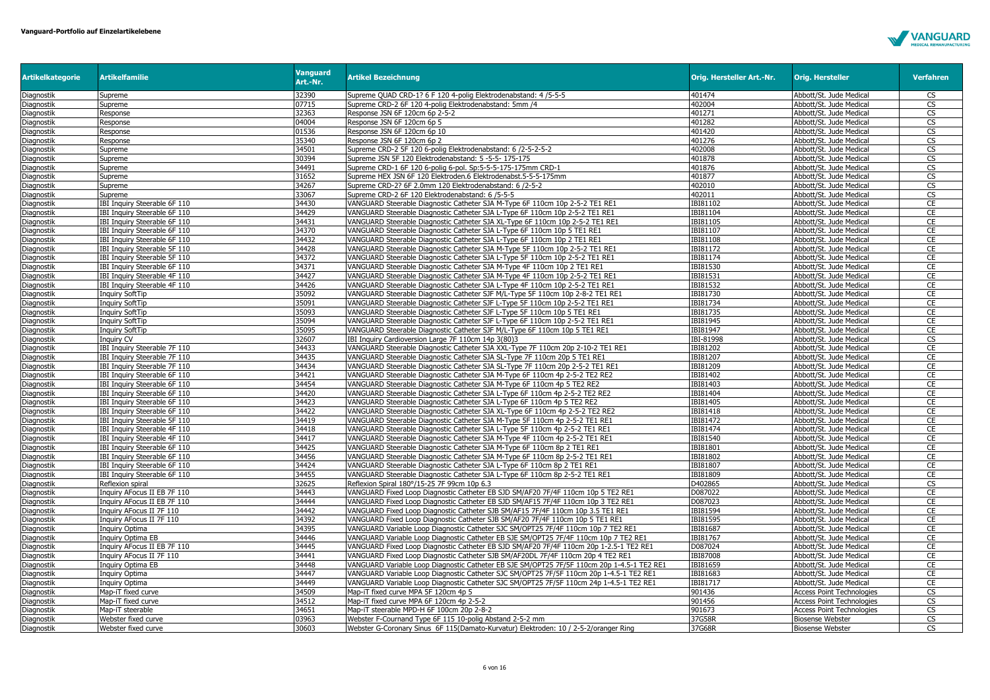

| <b>Artikelkategorie</b>  | <b>Artikelfamilie</b>                                        | <b>Vanguard</b><br>Art.-Nr. | <b>Artikel Bezeichnung</b>                                                                                                                                    | Orig. Hersteller Art.-Nr. | <b>Orig. Hersteller</b>                            | <b>Verfahren</b>       |
|--------------------------|--------------------------------------------------------------|-----------------------------|---------------------------------------------------------------------------------------------------------------------------------------------------------------|---------------------------|----------------------------------------------------|------------------------|
| Diagnostik               | Supreme                                                      | 32390                       | Supreme QUAD CRD-1? 6 F 120 4-polig Elektrodenabstand: 4 /5-5-5                                                                                               | 401474                    | Abbott/St. Jude Medical                            | CS                     |
| Diagnostik               | Supreme                                                      | 07715                       | Supreme CRD-2 6F 120 4-polig Elektrodenabstand: 5mm /4                                                                                                        | 402004                    | Abbott/St. Jude Medical                            | CS                     |
| Diagnostik               | Response                                                     | 32363                       | Response JSN 6F 120cm 6p 2-5-2                                                                                                                                | 401271                    | Abbott/St. Jude Medical                            | $\overline{\text{cs}}$ |
| Diagnostik               | Response                                                     | 04004                       | Response JSN 6F 120cm 6p 5                                                                                                                                    | 401282                    | Abbott/St. Jude Medical                            | CS                     |
| Diagnostik               | Response                                                     | 01536                       | Response JSN 6F 120cm 6p 10                                                                                                                                   | 401420                    | Abbott/St. Jude Medical                            | CS                     |
| Diagnostik               | Response                                                     | 35340                       | Response JSN 6F 120cm 6p 2                                                                                                                                    | 401276                    | Abbott/St. Jude Medical                            | $\overline{\text{cs}}$ |
| Diagnostik               | Supreme                                                      | 34501                       | Supreme CRD-2 5F 120 6-polig Elektrodenabstand: 6 /2-5-2-5-2                                                                                                  | 402008                    | Abbott/St. Jude Medical                            | CS                     |
| Diagnostik               | Supreme                                                      | 30394                       | Supreme JSN 5F 120 Elektrodenabstand: 5 -5-5- 175-175                                                                                                         | 401878                    | Abbott/St. Jude Medical                            | $\overline{\text{cs}}$ |
| Diagnostik               | Supreme                                                      | 34491                       | Supreme CRD-1 6F 120 6-polig 6-pol. Sp:5-5-5-175-175mm CRD-1                                                                                                  | 401876                    | Abbott/St. Jude Medical                            | CS                     |
| Diagnostik               | Supreme                                                      | 31652                       | Supreme HEX JSN 6F 120 Elektroden.6 Elektrodenabst.5-5-5-175mm                                                                                                | 401877                    | Abbott/St. Jude Medical                            | CS                     |
| Diagnostik               | Supreme                                                      | 34267<br>33067              | Supreme CRD-2? 6F 2.0mm 120 Elektrodenabstand: 6 /2-5-2                                                                                                       | 402010<br>402011          | Abbott/St. Jude Medical                            | CS                     |
| Diagnostik               | Supreme<br>IBI Inquiry Steerable 6F 110                      | 34430                       | Supreme CRD-2 6F 120 Elektrodenabstand: 6 /5-5-5                                                                                                              | IBI81102                  | Abbott/St. Jude Medical                            | CS<br>CE               |
| Diagnostik               |                                                              | 34429                       | VANGUARD Steerable Diagnostic Catheter SJA M-Type 6F 110cm 10p 2-5-2 TE1 RE1                                                                                  | IBI81104                  | Abbott/St. Jude Medical                            | CE                     |
| Diagnostik               | IBI Inquiry Steerable 6F 110<br>IBI Inquiry Steerable 6F 110 | 34431                       | VANGUARD Steerable Diagnostic Catheter SJA L-Type 6F 110cm 10p 2-5-2 TE1 RE1<br>VANGUARD Steerable Diagnostic Catheter SJA XL-Type 6F 110cm 10p 2-5-2 TE1 RE1 | IBI81105                  | Abbott/St. Jude Medical<br>Abbott/St. Jude Medical | CE                     |
| Diagnostik<br>Diagnostik | IBI Inquiry Steerable 6F 110                                 | 34370                       | VANGUARD Steerable Diagnostic Catheter SJA L-Type 6F 110cm 10p 5 TE1 RE1                                                                                      | IBI81107                  | Abbott/St. Jude Medical                            | CE                     |
| Diagnostik               | IBI Inquiry Steerable 6F 110                                 | 34432                       | VANGUARD Steerable Diagnostic Catheter SJA L-Type 6F 110cm 10p 2 TE1 RE1                                                                                      | IBI81108                  | Abbott/St. Jude Medical                            | CE                     |
|                          | IBI Inquiry Steerable 5F 110                                 | 34428                       | VANGUARD Steerable Diagnostic Catheter SJA M-Type 5F 110cm 10p 2-5-2 TE1 RE1                                                                                  | IBI81172                  |                                                    | CE                     |
| Diagnostik<br>Diagnostik | IBI Inquiry Steerable 5F 110                                 | 34372                       | VANGUARD Steerable Diagnostic Catheter SJA L-Type 5F 110cm 10p 2-5-2 TE1 RE1                                                                                  | IBI81174                  | Abbott/St. Jude Medical<br>Abbott/St. Jude Medical | CE                     |
| Diagnostik               | IBI Inquiry Steerable 6F 110                                 | 34371                       | VANGUARD Steerable Diagnostic Catheter SJA M-Type 4F 110cm 10p 2 TE1 RE1                                                                                      | <b>IBI81530</b>           | Abbott/St. Jude Medical                            | CE                     |
| Diagnostik               | IBI Inquiry Steerable 4F 110                                 | 34427                       | VANGUARD Steerable Diagnostic Catheter SJA M-Type 4F 110cm 10p 2-5-2 TE1 RE1                                                                                  | IBI81531                  | Abbott/St. Jude Medical                            | CE                     |
| Diagnostik               | IBI Inquiry Steerable 4F 110                                 | 34426                       | VANGUARD Steerable Diagnostic Catheter SJA L-Type 4F 110cm 10p 2-5-2 TE1 RE1                                                                                  | IBI81532                  | Abbott/St. Jude Medical                            | CE                     |
| Diagnostik               | Inquiry SoftTip                                              | 35092                       | VANGUARD Steerable Diagnostic Catheter SJF M/L-Type 5F 110cm 10p 2-8-2 TE1 RE1                                                                                | IBI81730                  | Abbott/St. Jude Medical                            | CE                     |
| Diagnostik               | <b>Inquiry SoftTip</b>                                       | 35091                       | VANGUARD Steerable Diagnostic Catheter SJF L-Type 5F 110cm 10p 2-5-2 TE1 RE1                                                                                  | IBI81734                  | Abbott/St. Jude Medical                            | CE                     |
| Diagnostik               | <b>Inquiry SoftTip</b>                                       | 35093                       | VANGUARD Steerable Diagnostic Catheter SJF L-Type 5F 110cm 10p 5 TE1 RE1                                                                                      | IBI81735                  | Abbott/St. Jude Medical                            | CE                     |
| Diagnostik               | Inquiry SoftTip                                              | 35094                       | VANGUARD Steerable Diagnostic Catheter SJF L-Type 6F 110cm 10p 2-5-2 TE1 RE1                                                                                  | IBI81945                  | Abbott/St. Jude Medical                            | CE                     |
| Diagnostik               | Inquiry SoftTip                                              | 35095                       | VANGUARD Steerable Diagnostic Catheter SJF M/L-Type 6F 110cm 10p 5 TE1 RE1                                                                                    | IBI81947                  | Abbott/St. Jude Medical                            | CE                     |
| Diagnostik               | Inguiry CV                                                   | 32607                       | IBI Inquiry Cardioversion Large 7F 110cm 14p 3(80)3                                                                                                           | IBI-81998                 | Abbott/St. Jude Medical                            | CS                     |
| Diagnostik               | IBI Inquiry Steerable 7F 110                                 | 34433                       | VANGUARD Steerable Diagnostic Catheter SJA XXL-Type 7F 110cm 20p 2-10-2 TE1 RE1                                                                               | IBI81202                  | Abbott/St. Jude Medical                            | CE                     |
| Diagnostik               | IBI Inquiry Steerable 7F 110                                 | 34435                       | VANGUARD Steerable Diagnostic Catheter SJA SL-Type 7F 110cm 20p 5 TE1 RE1                                                                                     | IBI81207                  | Abbott/St. Jude Medical                            | CE                     |
| Diagnostik               | IBI Inquiry Steerable 7F 110                                 | 34434                       | VANGUARD Steerable Diagnostic Catheter SJA SL-Type 7F 110cm 20p 2-5-2 TE1 RE1                                                                                 | IBI81209                  | Abbott/St. Jude Medical                            | CE                     |
| Diagnostik               | IBI Inquiry Steerable 6F 110                                 | 34421                       | VANGUARD Steerable Diagnostic Catheter SJA M-Type 6F 110cm 4p 2-5-2 TE2 RE2                                                                                   | IBI81402                  | Abbott/St. Jude Medical                            | CE                     |
| Diagnostik               | IBI Inquiry Steerable 6F 110                                 | 34454                       | VANGUARD Steerable Diagnostic Catheter SJA M-Type 6F 110cm 4p 5 TE2 RE2                                                                                       | IBI81403                  | Abbott/St. Jude Medical                            | CE                     |
| Diagnostik               | IBI Inquiry Steerable 6F 110                                 | 34420                       | VANGUARD Steerable Diagnostic Catheter SJA L-Type 6F 110cm 4p 2-5-2 TE2 RE2                                                                                   | IBI81404                  | Abbott/St. Jude Medical                            | CE                     |
| Diagnostik               | IBI Inquiry Steerable 6F 110                                 | 34423                       | VANGUARD Steerable Diagnostic Catheter SJA L-Type 6F 110cm 4p 5 TE2 RE2                                                                                       | IBI81405                  | Abbott/St. Jude Medical                            | CE                     |
| Diagnostik               | IBI Inquiry Steerable 6F 110                                 | 34422                       | VANGUARD Steerable Diagnostic Catheter SJA XL-Type 6F 110cm 4p 2-5-2 TE2 RE2                                                                                  | IBI81418                  | Abbott/St. Jude Medical                            | CE                     |
| Diagnostik               | IBI Inguiry Steerable 5F 110                                 | 34419                       | VANGUARD Steerable Diagnostic Catheter SJA M-Type 5F 110cm 4p 2-5-2 TE1 RE1                                                                                   | IBI81472                  | Abbott/St. Jude Medical                            | CE                     |
| Diagnostik               | IBI Inquiry Steerable 4F 110                                 | 34418                       | VANGUARD Steerable Diagnostic Catheter SJA L-Type 5F 110cm 4p 2-5-2 TE1 RE1                                                                                   | IBI81474                  | Abbott/St. Jude Medical                            | CE                     |
| Diagnostik               | IBI Inquiry Steerable 4F 110                                 | 34417                       | VANGUARD Steerable Diagnostic Catheter SJA M-Type 4F 110cm 4p 2-5-2 TE1 RE1                                                                                   | IBI81540                  | Abbott/St. Jude Medical                            | CE                     |
| Diagnostik               | IBI Inquiry Steerable 6F 110                                 | 34425                       | VANGUARD Steerable Diagnostic Catheter SJA M-Type 6F 110cm 8p 2 TE1 RE1                                                                                       | IBI81801                  | Abbott/St. Jude Medical                            | CE                     |
| Diagnostik               | IBI Inquiry Steerable 6F 110                                 | 34456                       | VANGUARD Steerable Diagnostic Catheter SJA M-Type 6F 110cm 8p 2-5-2 TE1 RE1                                                                                   | IBI81802                  | Abbott/St. Jude Medical                            | CE                     |
| Diagnostik               | IBI Inquiry Steerable 6F 110                                 | 34424                       | VANGUARD Steerable Diagnostic Catheter SJA L-Type 6F 110cm 8p 2 TE1 RE1                                                                                       | IBI81807                  | Abbott/St. Jude Medical                            | CE                     |
| Diagnostik               | IBI Inquiry Steerable 6F 110                                 | 34455                       | VANGUARD Steerable Diagnostic Catheter SJA L-Type 6F 110cm 8p 2-5-2 TE1 RE1                                                                                   | IBI81809                  | Abbott/St. Jude Medical                            | CE                     |
| Diagnostik               | Reflexion spiral                                             | 32625                       | Reflexion Spiral 180°/15-25 7F 99cm 10p 6.3                                                                                                                   | D402865                   | Abbott/St. Jude Medical                            | $\overline{\text{cs}}$ |
| Diagnostik               | Inquiry AFocus II EB 7F 110                                  | 34443                       | VANGUARD Fixed Loop Diagnostic Catheter EB SJD SM/AF20 7F/4F 110cm 10p 5 TE2 RE1                                                                              | D087022                   | Abbott/St. Jude Medical                            | CE                     |
| Diagnostik               | Inquiry AFocus II EB 7F 110                                  | 34444                       | VANGUARD Fixed Loop Diagnostic Catheter EB SJD SM/AF15 7F/4F 110cm 10p 3 TE2 RE1                                                                              | D087023                   | Abbott/St. Jude Medical                            | CE                     |
| Diagnostik               | Inquiry AFocus II 7F 110                                     | 34442                       | VANGUARD Fixed Loop Diagnostic Catheter SJB SM/AF15 7F/4F 110cm 10p 3.5 TE1 RE1                                                                               | <b>IBI81594</b>           | Abbott/St. Jude Medical                            | CE                     |
| Diagnostik               | Inquiry AFocus II 7F 110                                     | 34392                       | VANGUARD Fixed Loop Diagnostic Catheter SJB SM/AF20 7F/4F 110cm 10p 5 TE1 RE1                                                                                 | IBI81595                  | Abbott/St. Jude Medical                            | CE                     |
| Diagnostik               | Inquiry Optima                                               | 34395                       | VANGUARD Variable Loop Diagnostic Catheter SJC SM/OPT25 7F/4F 110cm 10p 7 TE2 RE1                                                                             | IBI81687                  | Abbott/St. Jude Medical                            | CE                     |
| Diagnostik               | Inquiry Optima EB                                            | 34446                       | VANGUARD Variable Loop Diagnostic Catheter EB SJE SM/OPT25 7F/4F 110cm 10p 7 TE2 RE1                                                                          | IBI81767                  | Abbott/St. Jude Medical                            | CE                     |
| Diagnostik               | Inquiry AFocus II EB 7F 110                                  | 34445                       | VANGUARD Fixed Loop Diagnostic Catheter EB SJD SM/AF20 7F/4F 110cm 20p 1-2.5-1 TE2 RE1                                                                        | D087024                   | Abbott/St. Jude Medical                            | CE                     |
| Diagnostik               | Inquiry AFocus II 7F 110                                     | 34441                       | VANGUARD Fixed Loop Diagnostic Catheter SJB SM/AF20DL 7F/4F 110cm 20p 4 TE2 RE1                                                                               | IBI87008                  | Abbott/St. Jude Medical                            | CE                     |
| Diagnostik               | Inquiry Optima EB                                            | 34448                       | VANGUARD Variable Loop Diagnostic Catheter EB SJE SM/OPT25 7F/5F 110cm 20p 1-4.5-1 TE2 RE1                                                                    | IBI81659                  | Abbott/St. Jude Medical                            | CE                     |
| Diagnostik               | Inquiry Optima                                               | 34447                       | VANGUARD Variable Loop Diagnostic Catheter SJC SM/OPT25 7F/5F 110cm 20p 1-4.5-1 TE2 RE1                                                                       | IBI81683                  | Abbott/St. Jude Medical                            | CE                     |
| Diagnostik               | Inquiry Optima                                               | 34449                       | VANGUARD Variable Loop Diagnostic Catheter SJC SM/OPT25 7F/5F 110cm 24p 1-4.5-1 TE2 RE1                                                                       | IBI81717                  | Abbott/St. Jude Medical                            | <b>CE</b>              |
| Diagnostik               | Map-iT fixed curve                                           | 34509                       | Map-iT fixed curve MPA 5F 120cm 4p 5                                                                                                                          | 901436                    | <b>Access Point Technologies</b>                   | CS                     |
| Diagnostik               | Map-iT fixed curve                                           | 34512                       | Map-iT fixed curve MPA 6F 120cm 4p 2-5-2                                                                                                                      | 901456                    | <b>Access Point Technologies</b>                   | CS                     |
| Diagnostik               | Map-iT steerable                                             | 34651                       | Map-iT steerable MPD-H 6F 100cm 20p 2-8-2                                                                                                                     | 901673                    | <b>Access Point Technologies</b>                   | CS                     |
| Diagnostik               | Webster fixed curve                                          | 03963                       | Webster F-Cournand Type 6F 115 10-polig Abstand 2-5-2 mm                                                                                                      | 37G58R                    | <b>Biosense Webster</b>                            | $\overline{\text{cs}}$ |
| Diagnostik               | Webster fixed curve                                          | 30603                       | Webster G-Coronary Sinus 6F 115(Damato-Kurvatur) Elektroden: 10 / 2-5-2/oranger Ring                                                                          | 37G68R                    | <b>Biosense Webster</b>                            | CS                     |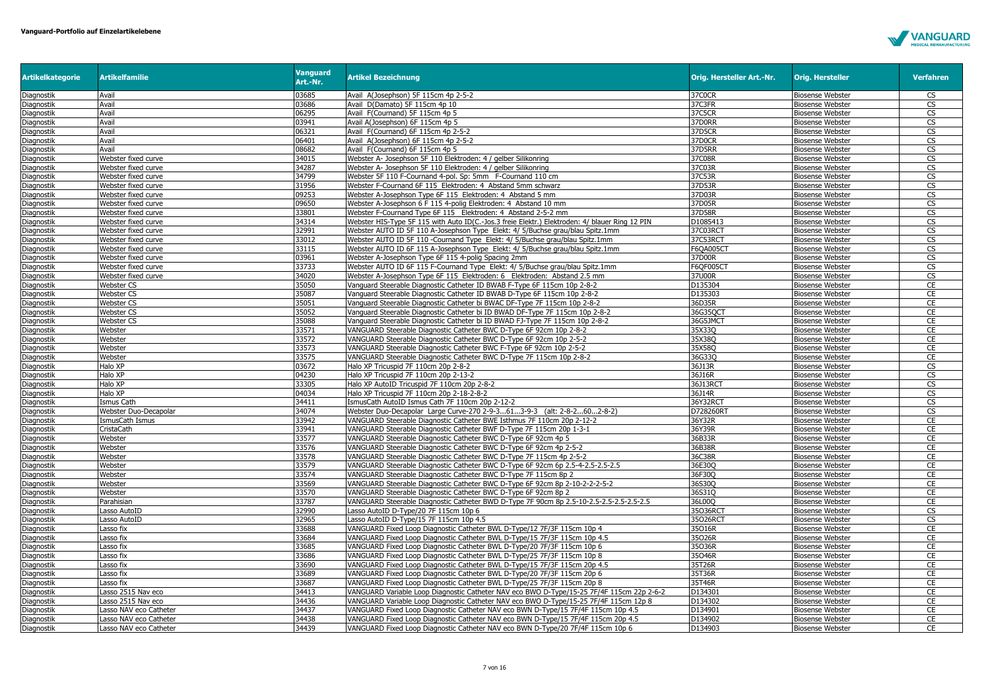

| <b>Artikelkategorie</b> | <b>Artikelfamilie</b>  | <b>Vanguard</b><br>Art.-Nr. | <b>Artikel Bezeichnung</b>                                                                     | Orig. Hersteller Art.-Nr. | <b>Orig. Hersteller</b> | <b>Verfahren</b>       |
|-------------------------|------------------------|-----------------------------|------------------------------------------------------------------------------------------------|---------------------------|-------------------------|------------------------|
| Diagnostik              | Avail                  | 03685                       | Avail A(Josephson) 5F 115cm 4p 2-5-2                                                           | 37C0CR                    | <b>Biosense Webster</b> | <b>CS</b>              |
| Diagnostik              | Avail                  | 03686                       | Avail D(Damato) 5F 115cm 4p 10                                                                 | 37C3FR                    | <b>Biosense Webster</b> | <b>CS</b>              |
| Diagnostik              | Avail                  | 06295                       | Avail F(Cournand) 5F 115cm 4p 5                                                                | 37C5CR                    | <b>Biosense Webster</b> | CS                     |
| Diagnostik              | Avail                  | 03941                       | Avail A(Josephson) 6F 115cm 4p 5                                                               | 37D0RR                    | <b>Biosense Webster</b> | $\overline{\text{CS}}$ |
| Diagnostik              | Avail                  | 06321                       | Avail F(Cournand) 6F 115cm 4p 2-5-2                                                            | 37D5CR                    | <b>Biosense Webster</b> | CS                     |
| Diagnostik              | Avail                  | 06401                       | Avail A(Josephson) 6F 115cm 4p 2-5-2                                                           | 37D0CR                    | <b>Biosense Webster</b> | CS                     |
| Diagnostik              | Avail                  | 08682                       | Avail F(Cournand) 6F 115cm 4p 5                                                                | <b>37D5RR</b>             | <b>Biosense Webster</b> | CS                     |
| Diagnostik              | Webster fixed curve    | 34015                       | Webster A- Josephson 5F 110 Elektroden: 4 / gelber Silikonring                                 | 37C08R                    | <b>Biosense Webster</b> | CS                     |
| Diagnostik              | Webster fixed curve    | 34287                       | Webster A- Josephson 5F 110 Elektroden: 4 / gelber Silikonring                                 | 37C03R                    | <b>Biosense Webster</b> | $\overline{\text{cs}}$ |
| Diagnostik              | Webster fixed curve    | 34799                       | Webster 5F 110 F-Cournand 4-pol. Sp: 5mm F-Cournand 110 cm                                     | 37C53R                    | <b>Biosense Webster</b> | CS                     |
| Diagnostik              | Webster fixed curve    | 31956                       | Webster F-Cournand 6F 115 Elektroden: 4 Abstand 5mm schwarz                                    | 37D53R                    | <b>Biosense Webster</b> | CS                     |
| Diagnostik              | Webster fixed curve    | 09253                       | Webster A-Josephson Type 6F 115 Elektroden: 4 Abstand 5 mm                                     | 37D03R                    | <b>Biosense Webster</b> | $\overline{\text{CS}}$ |
| Diagnostik              | Webster fixed curve    | 09650                       | Webster A-Josephson 6 F 115 4-polig Elektroden: 4 Abstand 10 mm                                | 37D05R                    | <b>Biosense Webster</b> | <b>CS</b>              |
| Diagnostik              | Webster fixed curve    | 33801                       | Webster F-Cournand Type 6F 115 Elektroden: 4 Abstand 2-5-2 mm                                  | 37D58R                    | <b>Biosense Webster</b> | $\overline{\text{cs}}$ |
| Diagnostik              | Webster fixed curve    | 34314                       | Webster HIS-Type 5F 115 with Auto ID(C.-Jos.3 freie Elektr.) Elektroden: 4/ blauer Ring 12 PIN | D1085413                  | <b>Biosense Webster</b> | CS                     |
| Diagnostik              | Webster fixed curve    | 32991                       | Webster AUTO ID 5F 110 A-Josephson Type Elekt: 4/ 5/Buchse grau/blau Spitz.1mm                 | 37C03RCT                  | <b>Biosense Webster</b> | $\overline{\text{CS}}$ |
| Diagnostik              | Webster fixed curve    | 33012                       | Webster AUTO ID 5F 110 -Cournand Type Elekt: 4/ 5/Buchse grau/blau Spitz.1mm                   | 37C53RCT                  | <b>Biosense Webster</b> | $\overline{\text{cs}}$ |
| Diagnostik              | Webster fixed curve    | 33115                       | Webster AUTO ID 6F 115 A-Josephson Type Elekt: 4/ 5/Buchse grau/blau Spitz.1mm                 | F6OA005CT                 | <b>Biosense Webster</b> | $\overline{\text{cs}}$ |
| Diagnostik              | Webster fixed curve    | 03961                       | Webster A-Josephson Type 6F 115 4-polig Spacing 2mm                                            | 37D00R                    | <b>Biosense Webster</b> | CS                     |
| Diagnostik              | Webster fixed curve    | 33733                       | Webster AUTO ID 6F 115 F-Cournand Type Elekt: 4/ 5/Buchse grau/blau Spitz.1mm                  | <b>F6QF005CT</b>          | <b>Biosense Webster</b> | CS                     |
| Diagnostik              | Webster fixed curve    | 34020                       | Webster A-Josephson Type 6F 115 Elektroden: 6 Elektroden: Abstand 2.5 mm                       | 37U00R                    | <b>Biosense Webster</b> | CS                     |
| Diagnostik              | <b>Webster CS</b>      | 35050                       | Vanquard Steerable Diagnostic Catheter ID BWAB F-Type 6F 115cm 10p 2-8-2                       | D135304                   | <b>Biosense Webster</b> | CE                     |
| Diagnostik              | <b>Webster CS</b>      | 35087                       | Vanguard Steerable Diagnostic Catheter ID BWAB D-Type 6F 115cm 10p 2-8-2                       | D135303                   | <b>Biosense Webster</b> | CE                     |
| Diagnostik              | <b>Webster CS</b>      | 35051                       | Vanquard Steerable Diagnostic Catheter bi BWAC DF-Type 7F 115cm 10p 2-8-2                      | 36D35R                    | <b>Biosense Webster</b> | CE                     |
| Diagnostik              | <b>Webster CS</b>      | 35052                       | Vanguard Steerable Diagnostic Catheter bi ID BWAD DF-Type 7F 115cm 10p 2-8-2                   | 36G35QCT                  | <b>Biosense Webster</b> | CE                     |
| <b>Diagnostik</b>       | <b>Webster CS</b>      | 35088                       | Vanguard Steerable Diagnostic Catheter bi ID BWAD FJ-Type 7F 115cm 10p 2-8-2                   | 36G5JMCT                  | <b>Biosense Webster</b> | CE                     |
| Diagnostik              | Webster                | 33571                       | VANGUARD Steerable Diagnostic Catheter BWC D-Type 6F 92cm 10p 2-8-2                            | 35X33O                    | <b>Biosense Webster</b> | CE                     |
| Diagnostik              | Webster                | 33572                       | VANGUARD Steerable Diagnostic Catheter BWC D-Type 6F 92cm 10p 2-5-2                            | 35X38Q                    | <b>Biosense Webster</b> | CE                     |
| Diagnostik              | Webster                | 33573                       | VANGUARD Steerable Diagnostic Catheter BWC F-Type 6F 92cm 10p 2-5-2                            | 35X58Q                    | <b>Biosense Webster</b> | CE                     |
| Diagnostik              | Webster                | 33575                       | VANGUARD Steerable Diagnostic Catheter BWC D-Type 7F 115cm 10p 2-8-2                           | 36G33Q                    | <b>Biosense Webster</b> | CE                     |
| Diagnostik              | Halo XP                | 03672                       | Halo XP Tricuspid 7F 110cm 20p 2-8-2                                                           | 36J13R                    | <b>Biosense Webster</b> | CS                     |
| Diagnostik              | Halo XP                | 04230                       | Halo XP Tricuspid 7F 110cm 20p 2-13-2                                                          | 36J16R                    | <b>Biosense Webster</b> | $\overline{\text{CS}}$ |
| Diagnostik              | Halo XP                | 33305                       | Halo XP AutoID Tricuspid 7F 110cm 20p 2-8-2                                                    | 36J13RCT                  | <b>Biosense Webster</b> | $\overline{\text{cs}}$ |
| <b>Diagnostik</b>       | Halo XP                | 04034                       | Halo XP Tricuspid 7F 110cm 20p 2-18-2-8-2                                                      | 36J14R                    | <b>Biosense Webster</b> | CS                     |
| Diagnostik              | Ismus Cath             | 34411                       | IsmusCath AutoID Ismus Cath 7F 110cm 20p 2-12-2                                                | 36Y32RCT                  | <b>Biosense Webster</b> | CS                     |
| Diagnostik              | Webster Duo-Decapolar  | 34074                       | Webster Duo-Decapolar Large Curve-270 2-9-3613-9-3 (alt: 2-8-2602-8-2)                         | D728260RT                 | <b>Biosense Webster</b> | CS                     |
| Diagnostik              | IsmusCath Ismus        | 33942                       | VANGUARD Steerable Diagnostic Catheter BWE Isthmus 7F 110cm 20p 2-12-2                         | 36Y32R                    | <b>Biosense Webster</b> | CE                     |
| Diagnostik              | CristaCath             | 33941                       | VANGUARD Steerable Diagnostic Catheter BWF D-Type 7F 115cm 20p 1-3-1                           | 36Y39R                    | <b>Biosense Webster</b> | CE                     |
| Diagnostik              | Webster                | 33577                       | VANGUARD Steerable Diagnostic Catheter BWC D-Type 6F 92cm 4p 5                                 | 36B33R                    | <b>Biosense Webster</b> | CE                     |
| Diagnostik              | Webster                | 33576                       | VANGUARD Steerable Diagnostic Catheter BWC D-Type 6F 92cm 4p 2-5-2                             | 36B38R                    | <b>Biosense Webster</b> | CE                     |
| Diagnostik              | Webster                | 33578                       | VANGUARD Steerable Diagnostic Catheter BWC D-Type 7F 115cm 4p 2-5-2                            | 36C38R                    | <b>Biosense Webster</b> | CE                     |
| Diagnostik              | Webster                | 33579                       | VANGUARD Steerable Diagnostic Catheter BWC D-Type 6F 92cm 6p 2.5-4-2.5-2.5-2.5                 | 36E30Q                    | <b>Biosense Webster</b> | CE                     |
| Diagnostik              | Webster                | 33574                       | VANGUARD Steerable Diagnostic Catheter BWC D-Type 7F 115cm 8p 2                                | 36F30O                    | <b>Biosense Webster</b> | CE                     |
| Diagnostik              | Webster                | 33569                       | VANGUARD Steerable Diagnostic Catheter BWC D-Type 6F 92cm 8p 2-10-2-2-2-5-2                    | 36S30Q                    | <b>Biosense Webster</b> | <b>CE</b>              |
| Diagnostik              | Webster                | 33570                       | VANGUARD Steerable Diagnostic Catheter BWC D-Type 6F 92cm 8p 2                                 | 36S31Q                    | <b>Biosense Webster</b> | CE                     |
| Diagnostik              | Parahisian             | 33787                       | VANGUARD Steerable Diagnostic Catheter BWD D-Type 7F 90cm 8p 2.5-10-2.5-2.5-2.5-2.5-2.5        | 36L00Q                    | <b>Biosense Webster</b> | CE                     |
| Diagnostik              | Lasso AutoID           | 32990                       | Lasso AutoID D-Type/20 7F 115cm 10p 6                                                          | 35036RCT                  | <b>Biosense Webster</b> | CS                     |
| Diagnostik              | Lasso AutoID           | 32965                       | Lasso AutoID D-Type/15 7F 115cm 10p 4.5                                                        | 35026RCT                  | <b>Biosense Webster</b> | CS                     |
| Diagnostik              | Lasso fix              | 33688                       | VANGUARD Fixed Loop Diagnostic Catheter BWL D-Type/12 7F/3F 115cm 10p 4                        | 35016R                    | <b>Biosense Webster</b> | CE                     |
| Diagnostik              | Lasso fix              | 33684                       | VANGUARD Fixed Loop Diagnostic Catheter BWL D-Type/15 7F/3F 115cm 10p 4.5                      | 35026R                    | <b>Biosense Webster</b> | CE                     |
| Diagnostik              | Lasso fix              | 33685                       | VANGUARD Fixed Loop Diagnostic Catheter BWL D-Type/20 7F/3F 115cm 10p 6                        | 35036R                    | <b>Biosense Webster</b> | CE                     |
| Diagnostik              | asso fix               | 33686                       | VANGUARD Fixed Loop Diagnostic Catheter BWL D-Type/25 7F/3F 115cm 10p 8                        | 35046R                    | <b>Biosense Webster</b> | CE                     |
| Diagnostik              | Lasso fix              | 33690                       | VANGUARD Fixed Loop Diagnostic Catheter BWL D-Type/15 7F/3F 115cm 20p 4.5                      | 35T26R                    | <b>Biosense Webster</b> | CE                     |
| Diagnostik              | Lasso fix              | 33689                       | VANGUARD Fixed Loop Diagnostic Catheter BWL D-Type/20 7F/3F 115cm 20p 6                        | 35T36R                    | <b>Biosense Webster</b> | CE                     |
| Diagnostik              | Lasso fix              | 33687                       | VANGUARD Fixed Loop Diagnostic Catheter BWL D-Type/25 7F/3F 115cm 20p 8                        | 35T46R                    | <b>Biosense Webster</b> | CE                     |
| Diagnostik              | Lasso 2515 Nav eco     | 34413                       | VANGUARD Variable Loop Diagnostic Catheter NAV eco BWO D-Type/15-25 7F/4F 115cm 22p 2-6-2      | D134301                   | <b>Biosense Webster</b> | CE                     |
| Diagnostik              | Lasso 2515 Nav eco     | 34436                       | VANGUARD Variable Loop Diagnostic Catheter NAV eco BWO D-Type/15-25 7F/4F 115cm 12p 8          | D134302                   | <b>Biosense Webster</b> | CE                     |
| Diagnostik              | Lasso NAV eco Catheter | 34437                       | VANGUARD Fixed Loop Diagnostic Catheter NAV eco BWN D-Type/15 7F/4F 115cm 10p 4.5              | D134901                   | <b>Biosense Webster</b> | CE                     |
| Diagnostik              | Lasso NAV eco Catheter | 34438                       | VANGUARD Fixed Loop Diagnostic Catheter NAV eco BWN D-Type/15 7F/4F 115cm 20p 4.5              | D134902                   | <b>Biosense Webster</b> | CE                     |
| Diagnostik              | Lasso NAV eco Catheter | 34439                       | VANGUARD Fixed Loop Diagnostic Catheter NAV eco BWN D-Type/20 7F/4F 115cm 10p 6                | D134903                   | <b>Biosense Webster</b> | CE                     |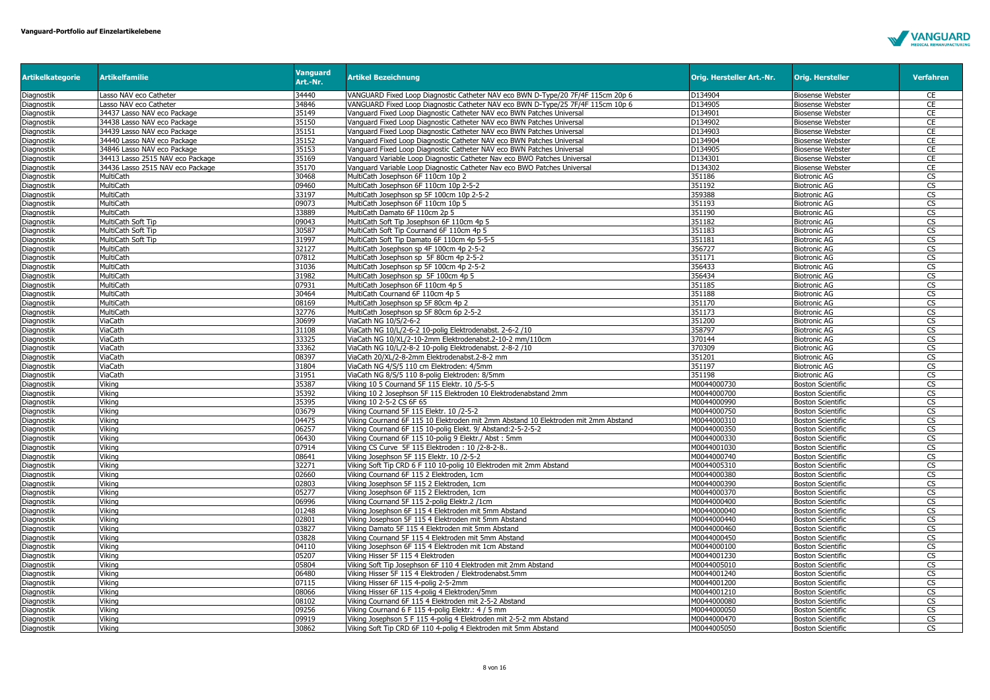

| <b>Artikelkategorie</b>  | <b>Artikelfamilie</b>            | <b>Vanguard</b><br>Art.-Nr. | <b>Artikel Bezeichnung</b>                                                                                           | Orig. Hersteller Art.-Nr. | <b>Orig. Hersteller</b>                    | <b>Verfahren</b>             |
|--------------------------|----------------------------------|-----------------------------|----------------------------------------------------------------------------------------------------------------------|---------------------------|--------------------------------------------|------------------------------|
| Diagnostik               | Lasso NAV eco Catheter           | 34440                       | VANGUARD Fixed Loop Diagnostic Catheter NAV eco BWN D-Type/20 7F/4F 115cm 20p 6                                      | D134904                   | <b>Biosense Webster</b>                    | CE                           |
| Diagnostik               | Lasso NAV eco Catheter           | 34846                       | VANGUARD Fixed Loop Diagnostic Catheter NAV eco BWN D-Type/25 7F/4F 115cm 10p 6                                      | D134905                   | <b>Biosense Webster</b>                    | <b>CE</b>                    |
| Diagnostik               | 34437 Lasso NAV eco Package      | 35149                       | Vanguard Fixed Loop Diagnostic Catheter NAV eco BWN Patches Universal                                                | D134901                   | <b>Biosense Webster</b>                    | CE                           |
| Diagnostik               | 34438 Lasso NAV eco Package      | 35150                       | Vanguard Fixed Loop Diagnostic Catheter NAV eco BWN Patches Universal                                                | D134902                   | <b>Biosense Webster</b>                    | CE                           |
| Diagnostik               | 34439 Lasso NAV eco Package      | 35151                       | Vanguard Fixed Loop Diagnostic Catheter NAV eco BWN Patches Universal                                                | D134903                   | <b>Biosense Webster</b>                    | CE                           |
| Diagnostik               | 34440 Lasso NAV eco Package      | 35152                       | Vanguard Fixed Loop Diagnostic Catheter NAV eco BWN Patches Universal                                                | D134904                   | <b>Biosense Webster</b>                    | CE                           |
| Diagnostik               | 34846 Lasso NAV eco Package      | 35153                       | Vanguard Fixed Loop Diagnostic Catheter NAV eco BWN Patches Universal                                                | D134905                   | <b>Biosense Webster</b>                    | CE                           |
| Diagnostik               | 34413 Lasso 2515 NAV eco Package | 35169                       | Vanguard Variable Loop Diagnostic Catheter Nay eco BWO Patches Universal                                             | D134301                   | <b>Biosense Webster</b>                    | CE                           |
| Diagnostik               | 34436 Lasso 2515 NAV eco Package | 35170                       | Vanguard Variable Loop Diagnostic Catheter Nav eco BWO Patches Universal                                             | D134302                   | <b>Biosense Webster</b>                    | CE                           |
| Diagnostik               | MultiCath                        | 30468                       | MultiCath Josephson 6F 110cm 10p 2                                                                                   | 351186                    | <b>Biotronic AG</b>                        | CS                           |
| Diagnostik               | MultiCath                        | 09460                       | MultiCath Josephson 6F 110cm 10p 2-5-2                                                                               | 351192                    | <b>Biotronic AG</b>                        | CS                           |
| Diagnostik               | MultiCath                        | 33197                       | MultiCath Josephson sp 5F 100cm 10p 2-5-2                                                                            | 359388                    | <b>Biotronic AG</b>                        | $\overline{\text{cs}}$       |
| Diagnostik               | MultiCath                        | 09073                       | MultiCath Josephson 6F 110cm 10p 5                                                                                   | 351193                    | <b>Biotronic AG</b>                        | CS                           |
| Diagnostik               | MultiCath                        | 33889                       | MultiCath Damato 6F 110cm 2p 5                                                                                       | 351190                    | <b>Biotronic AG</b>                        | $\overline{\text{cs}}$       |
| Diagnostik               | MultiCath Soft Tip               | 09043                       | MultiCath Soft Tip Josephson 6F 110cm 4p 5                                                                           | 351182                    | <b>Biotronic AG</b>                        | CS                           |
| Diagnostik               | MultiCath Soft Tip               | 30587                       | MultiCath Soft Tip Cournand 6F 110cm 4p 5                                                                            | 351183                    | <b>Biotronic AG</b>                        | $\overline{\text{CS}}$       |
| Diagnostik               | MultiCath Soft Tip               | 31997                       | MultiCath Soft Tip Damato 6F 110cm 4p 5-5-5                                                                          | 351181                    | <b>Biotronic AG</b>                        | $\overline{\text{cs}}$       |
| Diagnostik               | MultiCath                        | 32127                       | MultiCath Josephson sp 4F 100cm 4p 2-5-2                                                                             | 356727                    | <b>Biotronic AG</b>                        | $\overline{\text{CS}}$       |
| Diagnostik               | MultiCath                        | 07812                       | MultiCath Josephson sp 5F 80cm 4p 2-5-2                                                                              | 351171                    | <b>Biotronic AG</b>                        | CS                           |
| Diagnostik               | MultiCath                        | 31036                       | MultiCath Josephson sp 5F 100cm 4p 2-5-2                                                                             | 356433                    | <b>Biotronic AG</b>                        | $\overline{\text{cs}}$       |
| Diagnostik               | MultiCath                        | 31982                       | MultiCath Josephson sp 5F 100cm 4p 5                                                                                 | 356434                    | <b>Biotronic AG</b>                        | CS                           |
| Diagnostik               | MultiCath                        | 07931                       | MultiCath Josephson 6F 110cm 4p 5                                                                                    | 351185                    | <b>Biotronic AG</b>                        | $\overline{\text{CS}}$       |
| Diagnostik               | MultiCath                        | 30464                       | MultiCath Cournand 6F 110cm 4p 5                                                                                     | 351188                    | <b>Biotronic AG</b>                        | CS                           |
| Diagnostik               | MultiCath                        | 08169                       | MultiCath Josephson sp 5F 80cm 4p 2                                                                                  | 351170<br>351173          | <b>Biotronic AG</b>                        | CS                           |
| Diagnostik               | <b>MultiCath</b>                 | 32776                       | MultiCath Josephson sp 5F 80cm 6p 2-5-2                                                                              |                           | <b>Biotronic AG</b>                        | CS<br>$\overline{\text{CS}}$ |
| Diagnostik               | ViaCath                          | 30699<br>31108              | ViaCath NG 10/S/2-6-2                                                                                                | 351200<br>358797          | <b>Biotronic AG</b>                        |                              |
| Diagnostik               | ViaCath                          |                             | ViaCath NG 10/L/2-6-2 10-polig Elektrodenabst. 2-6-2 /10                                                             |                           | <b>Biotronic AG</b>                        | CS                           |
| Diagnostik               | ViaCath<br>ViaCath               | 33325<br>33362              | ViaCath NG 10/XL/2-10-2mm Elektrodenabst.2-10-2 mm/110cm<br>ViaCath NG 10/L/2-8-2 10-polig Elektrodenabst. 2-8-2 /10 | 370144<br>370309          | <b>Biotronic AG</b><br><b>Biotronic AG</b> | CS<br>CS                     |
| Diagnostik               | ViaCath                          | 08397                       | ViaCath 20/XL/2-8-2mm Elektrodenabst.2-8-2 mm                                                                        | 351201                    | <b>Biotronic AG</b>                        | $\overline{\text{CS}}$       |
| Diagnostik<br>Diagnostik | ViaCath                          | 31804                       | ViaCath NG 4/S/5 110 cm Elektroden: 4/5mm                                                                            | 351197                    | <b>Biotronic AG</b>                        | CS                           |
| Diagnostik               | ViaCath                          | 31951                       | ViaCath NG 8/S/5 110 8-polig Elektroden: 8/5mm                                                                       | 351198                    | <b>Biotronic AG</b>                        | $\overline{\text{cs}}$       |
| Diagnostik               | Viking                           | 35387                       | Viking 10 5 Cournand 5F 115 Elektr. 10 / 5-5-5                                                                       | M0044000730               | <b>Boston Scientific</b>                   | $\overline{\text{CS}}$       |
| Diagnostik               | Vikina                           | 35392                       | Viking 10 2 Josephson 5F 115 Elektroden 10 Elektrodenabstand 2mm                                                     | M0044000700               | <b>Boston Scientific</b>                   | $\overline{\text{cs}}$       |
| Diagnostik               | Viking                           | 35395                       | Viking 10 2-5-2 CS 6F 65                                                                                             | M0044000990               | <b>Boston Scientific</b>                   | CS                           |
| Diagnostik               | Vikina                           | 03679                       | Viking Cournand 5F 115 Elektr, 10 /2-5-2                                                                             | M0044000750               | <b>Boston Scientific</b>                   | $\overline{\text{cs}}$       |
| Diagnostik               | Viking                           | 04475                       | Viking Cournand 6F 115 10 Elektroden mit 2mm Abstand 10 Elektroden mit 2mm Abstand                                   | M0044000310               | <b>Boston Scientific</b>                   | CS                           |
| Diagnostik               | Vikina                           | 06257                       | Viking Cournand 6F 115 10-polig Elekt. 9/ Abstand:2-5-2-5-2                                                          | M0044000350               | <b>Boston Scientific</b>                   | $\overline{\text{cs}}$       |
| Diagnostik               | Viking                           | 06430                       | Viking Cournand 6F 115 10-polig 9 Elektr./ Abst: 5mm                                                                 | M0044000330               | <b>Boston Scientific</b>                   | <b>CS</b>                    |
| Diagnostik               | Vikina                           | 07914                       | Viking CS Curve 5F 115 Elektroden: 10 /2-8-2-8.                                                                      | M0044001030               | <b>Boston Scientific</b>                   | $\overline{\text{cs}}$       |
| Diagnostik               | Viking                           | 08641                       | Viking Josephson 5F 115 Elektr. 10 /2-5-2                                                                            | M0044000740               | <b>Boston Scientific</b>                   | $\overline{\text{CS}}$       |
| Diagnostik               | Vikina                           | 32271                       | Viking Soft Tip CRD 6 F 110 10-polig 10 Elektroden mit 2mm Abstand                                                   | M0044005310               | <b>Boston Scientific</b>                   | $\overline{\text{cs}}$       |
| Diagnostik               | Vikina                           | 02660                       | Viking Cournand 6F 115 2 Elektroden, 1cm                                                                             | M0044000380               | <b>Boston Scientific</b>                   | $\overline{\text{CS}}$       |
| Diagnostik               | Vikina                           | 02803                       | Viking Josephson 5F 115 2 Elektroden, 1cm                                                                            | M0044000390               | <b>Boston Scientific</b>                   | <b>CS</b>                    |
| Diagnostik               | Viking                           | 05277                       | Viking Josephson 6F 115 2 Elektroden, 1cm                                                                            | M0044000370               | <b>Boston Scientific</b>                   | CS                           |
| Diagnostik               | Viking                           | 06996                       | Viking Cournand 5F 115 2-polig Elektr.2 /1cm                                                                         | M0044000400               | <b>Boston Scientific</b>                   | $\overline{\text{CS}}$       |
| Diagnostik               | Vikina                           | 01248                       | Viking Josephson 6F 115 4 Elektroden mit 5mm Abstand                                                                 | M0044000040               | <b>Boston Scientific</b>                   | $\overline{\text{cs}}$       |
| Diagnostik               | Viking                           | 02801                       | Viking Josephson 5F 115 4 Elektroden mit 5mm Abstand                                                                 | M0044000440               | <b>Boston Scientific</b>                   | CS                           |
| Diagnostik               | Viking                           | 03827                       | Viking Damato 5F 115 4 Elektroden mit 5mm Abstand                                                                    | M0044000460               | <b>Boston Scientific</b>                   | CS                           |
| Diagnostik               | Viking                           | 03828                       | Viking Cournand 5F 115 4 Elektroden mit 5mm Abstand                                                                  | M0044000450               | <b>Boston Scientific</b>                   | $\overline{\text{CS}}$       |
| Diagnostik               | Vikina                           | 04110                       | Viking Josephson 6F 115 4 Elektroden mit 1cm Abstand                                                                 | M0044000100               | <b>Boston Scientific</b>                   | $\overline{\text{cs}}$       |
| Diagnostik               | Viking                           | 05207                       | Viking Hisser 5F 115 4 Elektroden                                                                                    | M0044001230               | <b>Boston Scientific</b>                   | $\overline{\text{cs}}$       |
| Diagnostik               | Viking                           | 05804                       | Viking Soft Tip Josephson 6F 110 4 Elektroden mit 2mm Abstand                                                        | M0044005010               | <b>Boston Scientific</b>                   | CS                           |
| Diagnostik               | Vikina                           | 06480                       | Viking Hisser 5F 115 4 Elektroden / Elektrodenabst.5mm                                                               | M0044001240               | <b>Boston Scientific</b>                   | $\overline{\text{cs}}$       |
| Diagnostik               | Vikina                           | 07115                       | Viking Hisser 6F 115 4-polig 2-5-2mm                                                                                 | M0044001200               | <b>Boston Scientific</b>                   | <b>CS</b>                    |
| Diagnostik               | Viking                           | 08066                       | Viking Hisser 6F 115 4-polig 4 Elektroden/5mm                                                                        | M0044001210               | <b>Boston Scientific</b>                   | CS                           |
| Diagnostik               | Viking                           | 08102                       | Viking Cournand 6F 115 4 Elektroden mit 2-5-2 Abstand                                                                | M0044000080               | <b>Boston Scientific</b>                   | CS                           |
| Diagnostik               | Viking                           | 09256                       | Viking Cournand 6 F 115 4-polig Elektr.: 4 / 5 mm                                                                    | M0044000050               | <b>Boston Scientific</b>                   | CS                           |
| Diagnostik               | Vikina                           | 09919                       | Viking Josephson 5 F 115 4-polig 4 Elektroden mit 2-5-2 mm Abstand                                                   | M0044000470               | <b>Boston Scientific</b>                   | CS                           |
| Diagnostik               | Viking                           | 30862                       | Viking Soft Tip CRD 6F 110 4-polig 4 Elektroden mit 5mm Abstand                                                      | M0044005050               | <b>Boston Scientific</b>                   | <b>CS</b>                    |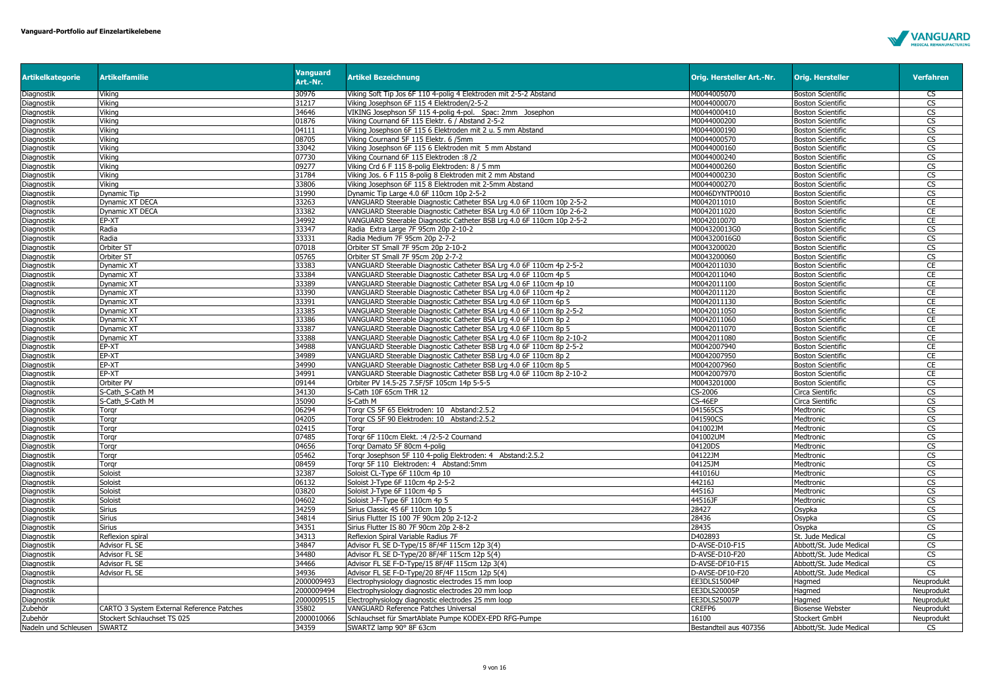

| <b>Artikelkategorie</b>     | <b>Artikelfamilie</b>                     | <b>Vanguard</b><br>Art.-Nr. | <b>Artikel Bezeichnung</b>                                            | Orig. Hersteller Art.-Nr. | <b>Orig. Hersteller</b>  | <b>Verfahren</b>       |
|-----------------------------|-------------------------------------------|-----------------------------|-----------------------------------------------------------------------|---------------------------|--------------------------|------------------------|
| Diagnostik                  | Vikina                                    | 30976                       | Viking Soft Tip Jos 6F 110 4-polig 4 Elektroden mit 2-5-2 Abstand     | M0044005070               | <b>Boston Scientific</b> | $\overline{\text{cs}}$ |
| Diagnostik                  | Viking                                    | 31217                       | Viking Josephson 6F 115 4 Elektroden/2-5-2                            | M0044000070               | <b>Boston Scientific</b> | CS                     |
| Diagnostik                  | Vikina                                    | 34646                       | VIKING Josephson 5F 115 4-poliq 4-pol. Spac: 2mm Josephon             | M0044000410               | <b>Boston Scientific</b> | CS                     |
| Diagnostik                  | Vikina                                    | 01876                       | Viking Cournand 6F 115 Elektr. 6 / Abstand 2-5-2                      | M0044000200               | <b>Boston Scientific</b> | CS                     |
| Diagnostik                  | Vikina                                    | 04111                       | Viking Josephson 6F 115 6 Elektroden mit 2 u. 5 mm Abstand            | M0044000190               | <b>Boston Scientific</b> | $\overline{\text{CS}}$ |
| Diagnostik                  | Viking                                    | 08705                       | Viking Cournand 5F 115 Elektr. 6 /5mm                                 | M0044000570               | <b>Boston Scientific</b> | CS                     |
| Diagnostik                  | Vikina                                    | 33042                       | Viking Josephson 6F 115 6 Elektroden mit 5 mm Abstand                 | M0044000160               | <b>Boston Scientific</b> | $\overline{\text{CS}}$ |
| Diagnostik                  | Viking                                    | 07730                       | Viking Cournand 6F 115 Elektroden :8 /2                               | M0044000240               | <b>Boston Scientific</b> | CS                     |
| Diagnostik                  | Vikina                                    | 09277                       | Viking Crd 6 F 115 8-polig Elektroden: 8 / 5 mm                       | M0044000260               | <b>Boston Scientific</b> | CS                     |
| Diagnostik                  | Viking                                    | 31784                       | Viking Jos. 6 F 115 8-polig 8 Elektroden mit 2 mm Abstand             | M0044000230               | <b>Boston Scientific</b> | $\overline{\text{cs}}$ |
| Diagnostik                  | Viking                                    | 33806                       | Viking Josephson 6F 115 8 Elektroden mit 2-5mm Abstand                | M0044000270               | <b>Boston Scientific</b> | CS                     |
| Diagnostik                  | Dynamic Tip                               | 31990                       | Dynamic Tip Large 4.0 6F 110cm 10p 2-5-2                              | M0046DYNTP0010            | <b>Boston Scientific</b> | CS                     |
| Diagnostik                  | Dynamic XT DECA                           | 33263                       | VANGUARD Steerable Diagnostic Catheter BSA Lrg 4.0 6F 110cm 10p 2-5-2 | M0042011010               | <b>Boston Scientific</b> | CE                     |
| Diagnostik                  | Dynamic XT DECA                           | 33382                       | VANGUARD Steerable Diagnostic Catheter BSA Lrg 4.0 6F 110cm 10p 2-6-2 | M0042011020               | <b>Boston Scientific</b> | CE                     |
| Diagnostik                  | EP-XT                                     | 34992                       | VANGUARD Steerable Diagnostic Catheter BSB Lrg 4.0 6F 110cm 10p 2-5-2 | M0042010070               | <b>Boston Scientific</b> | CE                     |
| Diagnostik                  | Radia                                     | 33347                       | Radia Extra Large 7F 95cm 20p 2-10-2                                  | M004320013G0              | <b>Boston Scientific</b> | CS                     |
| Diagnostik                  | Radia                                     | 33331                       | Radia Medium 7F 95cm 20p 2-7-2                                        | M004320016G0              | <b>Boston Scientific</b> | $\overline{\text{CS}}$ |
| Diagnostik                  | Orbiter ST                                | 07018                       | Orbiter ST Small 7F 95cm 20p 2-10-2                                   | M0043200020               | <b>Boston Scientific</b> | CS                     |
| Diagnostik                  | Orbiter ST                                | 05765                       | Orbiter ST Small 7F 95cm 20p 2-7-2                                    | M0043200060               | <b>Boston Scientific</b> | $\overline{\text{CS}}$ |
| Diagnostik                  | Dynamic XT                                | 33383                       | VANGUARD Steerable Diagnostic Catheter BSA Lrg 4.0 6F 110cm 4p 2-5-2  | M0042011030               | <b>Boston Scientific</b> | <b>CE</b>              |
| Diagnostik                  | Dynamic XT                                | 33384                       | VANGUARD Steerable Diagnostic Catheter BSA Lrg 4.0 6F 110cm 4p 5      | M0042011040               | <b>Boston Scientific</b> | CE                     |
| Diagnostik                  | Dynamic XT                                | 33389                       | VANGUARD Steerable Diagnostic Catheter BSA Lrg 4.0 6F 110cm 4p 10     | M0042011100               | <b>Boston Scientific</b> | CE                     |
| Diagnostik                  | Dynamic XT                                | 33390                       | VANGUARD Steerable Diagnostic Catheter BSA Lrg 4.0 6F 110cm 4p 2      | M0042011120               | <b>Boston Scientific</b> | CE                     |
| Diagnostik                  | Dynamic XT                                | 33391                       | VANGUARD Steerable Diagnostic Catheter BSA Lrg 4.0 6F 110cm 6p 5      | M0042011130               | <b>Boston Scientific</b> | CE                     |
| Diagnostik                  | Dynamic XT                                | 33385                       | VANGUARD Steerable Diagnostic Catheter BSA Lrg 4.0 6F 110cm 8p 2-5-2  | M0042011050               | <b>Boston Scientific</b> | CE                     |
| Diagnostik                  | Dynamic XT                                | 33386                       | VANGUARD Steerable Diagnostic Catheter BSA Lrg 4.0 6F 110cm 8p 2      | M0042011060               | <b>Boston Scientific</b> | CE                     |
| Diagnostik                  | Dynamic XT                                | 33387                       | VANGUARD Steerable Diagnostic Catheter BSA Lrg 4.0 6F 110cm 8p 5      | M0042011070               | <b>Boston Scientific</b> | CE                     |
| <b>Diagnostik</b>           | Dynamic XT                                | 33388                       | VANGUARD Steerable Diagnostic Catheter BSA Lrg 4.0 6F 110cm 8p 2-10-2 | M0042011080               | <b>Boston Scientific</b> | CE                     |
| Diagnostik                  | EP-XT                                     | 34988                       | VANGUARD Steerable Diagnostic Catheter BSB Lrg 4.0 6F 110cm 8p 2-5-2  | M0042007940               | <b>Boston Scientific</b> | CE                     |
| Diagnostik                  | EP-XT                                     | 34989                       | VANGUARD Steerable Diagnostic Catheter BSB Lrg 4.0 6F 110cm 8p 2      | M0042007950               | <b>Boston Scientific</b> | CE                     |
| Diagnostik                  | EP-XT                                     | 34990                       | VANGUARD Steerable Diagnostic Catheter BSB Lrg 4.0 6F 110cm 8p 5      | M0042007960               | <b>Boston Scientific</b> | CE                     |
| Diagnostik                  | EP-XT                                     | 34991                       | VANGUARD Steerable Diagnostic Catheter BSB Lrg 4.0 6F 110cm 8p 2-10-2 | M0042007970               | <b>Boston Scientific</b> | CE                     |
| Diagnostik                  | Orbiter PV                                | 09144                       | Orbiter PV 14.5-25 7.5F/5F 105cm 14p 5-5-5                            | M0043201000               | <b>Boston Scientific</b> | CS                     |
| Diagnostik                  | S-Cath_S-Cath M                           | 34130                       | S-Cath 10F 65cm THR 12                                                | CS-2006                   | Circa Sientific          | CS                     |
| Diagnostik                  | S-Cath S-Cath M                           | 35090                       | S-Cath M                                                              | CS-46EP                   | Circa Sientific          | CS                     |
| Diagnostik                  | Torgr                                     | 06294                       | Torgr CS 5F 65 Elektroden: 10 Abstand:2.5.2                           | 041565CS                  | Medtronic                | $\overline{\text{CS}}$ |
| Diagnostik                  | Torgr                                     | 04205                       | Torgr CS 5F 90 Elektroden: 10 Abstand:2.5.2                           | 041590CS                  | Medtronic                | $\overline{\text{cs}}$ |
| Diagnostik                  | Torgr                                     | 02415                       | Torgr                                                                 | 041002JM                  | Medtronic                | CS                     |
| Diagnostik                  | Torgr                                     | 07485                       | Torgr 6F 110cm Elekt. : 4 / 2-5-2 Cournand                            | 041002UM                  | Medtronic                | CS                     |
| Diagnostik                  | Torgr                                     | 04656                       | Torgr Damato 5F 80cm 4-polig                                          | 04120DS                   | Medtronic                | CS                     |
| Diagnostik                  | Torgr                                     | 05462                       | Torgr Josephson 5F 110 4-polig Elektroden: 4 Abstand:2.5.2            | 04122JM                   | Medtronic                | $\overline{\text{cs}}$ |
| Diagnostik                  | Torar                                     | 08459                       | Torar 5F 110 Elektroden: 4 Abstand: 5mm                               | 04125JM                   | Medtronic                | $\overline{\text{CS}}$ |
| Diagnostik                  | Soloist                                   | 32387                       | Soloist CL-Type 6F 110cm 4p 10                                        | 441016U                   | Medtronic                | CS                     |
| Diagnostik                  | Soloist                                   | 06132                       | Soloist J-Type 6F 110cm 4p 2-5-2                                      | 44216J                    | Medtronic                | $\overline{\text{cs}}$ |
| Diagnostik                  | Soloist                                   | 03820                       | Soloist J-Type 6F 110cm 4p 5                                          | 44516J                    | Medtronic                | CS                     |
| Diagnostik                  | Soloist                                   | 04602                       | Soloist J-F-Type 6F 110cm 4p 5                                        | 44516JF                   | Medtronic                | $\overline{\text{cs}}$ |
| Diagnostik                  | Sirius                                    | 34259                       | Sirius Classic 45 6F 110cm 10p 5                                      | 28427                     | Osypka                   | CS                     |
| Diagnostik                  | Sirius                                    | 34814                       | Sirius Flutter IS 100 7F 90cm 20p 2-12-2                              | 28436                     | Osypka                   | CS                     |
| Diagnostik                  | Sirius                                    | 34351                       | Sirius Flutter IS 80 7F 90cm 20p 2-8-2                                | 28435                     | Osypka                   | $\overline{\text{CS}}$ |
| Diagnostik                  | Reflexion spiral                          | 34313                       | Reflexion Spiral Variable Radius 7F                                   | D402893                   | St. Jude Medical         | <b>CS</b>              |
| Diagnostik                  | Advisor FL SE                             | 34847                       | Advisor FL SE D-Type/15 8F/4F 115cm 12p 3(4)                          | D-AVSE-D10-F15            | Abbott/St. Jude Medical  | CS                     |
| Diagnostik                  | <b>Advisor FL SE</b>                      | 34480<br>34466              | Advisor FL SE D-Type/20 8F/4F 115cm 12p 5(4)                          | D-AVSE-D10-F20            | Abbott/St. Jude Medical  | CS                     |
| Diagnostik                  | Advisor FL SE                             |                             | Advisor FL SE F-D-Type/15 8F/4F 115cm 12p 3(4)                        | D-AVSE-DF10-F15           | Abbott/St. Jude Medical  | CS                     |
| Diagnostik                  | Advisor FL SE                             | 34936                       | Advisor FL SE F-D-Type/20 8F/4F 115cm 12p 5(4)                        | D-AVSE-DF10-F20           | Abbott/St. Jude Medical  | $\overline{\text{cs}}$ |
| Diagnostik                  |                                           | 2000009493                  | Electrophysiology diagnostic electrodes 15 mm loop                    | EE3DLS15004P              | Hagmed                   | Neuprodukt             |
| Diagnostik                  |                                           | 2000009494                  | Electrophysiology diagnostic electrodes 20 mm loop                    | EE3DLS20005P              | Hagmed                   | Neuprodukt             |
| Diagnostik                  |                                           | 2000009515                  | Electrophysiology diagnostic electrodes 25 mm loop                    | EE3DLS25007P              | Hagmed                   | Neuprodukt             |
| Zubehör                     | CARTO 3 System External Reference Patches | 35802                       | VANGUARD Reference Patches Universal                                  | CREFP6                    | <b>Biosense Webster</b>  | Neuprodukt             |
| Zubehör                     | Stockert Schlauchset TS 025               | 2000010066                  | Schlauchset für SmartAblate Pumpe KODEX-EPD RFG-Pumpe                 | 16100                     | Stockert GmbH            | Neuprodukt             |
| Nadeln und Schleusen SWARTZ |                                           | 34359                       | SWARTZ lamp 90° 8F 63cm                                               | Bestandteil aus 407356    | Abbott/St. Jude Medical  | CS                     |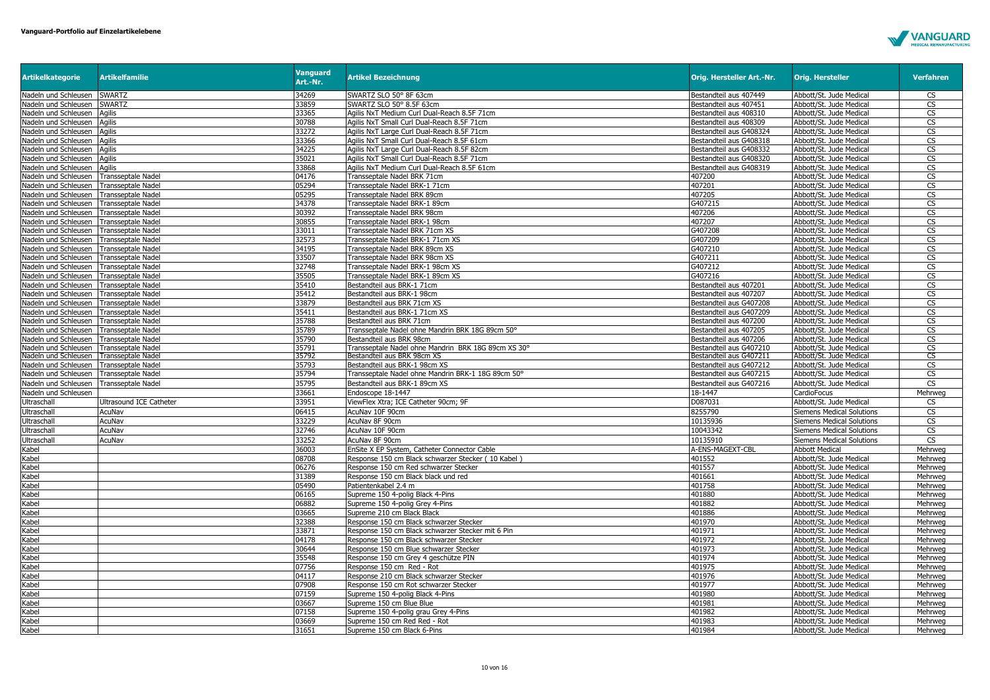

| <b>Artikelkategorie</b> | <b>Artikelfamilie</b>     | <b>Vanguard</b><br>Art.-Nr. | <b>Artikel Bezeichnung</b>                          | Orig. Hersteller Art.-Nr. | <b>Orig. Hersteller</b>          | <b>Verfahren</b>       |
|-------------------------|---------------------------|-----------------------------|-----------------------------------------------------|---------------------------|----------------------------------|------------------------|
| Nadeln und Schleusen    | <b>SWARTZ</b>             | 34269                       | SWARTZ SLO 50° 8F 63cm                              | Bestandteil aus 407449    | Abbott/St. Jude Medical          | <b>CS</b>              |
| Nadeln und Schleusen    | <b>SWARTZ</b>             | 33859                       | SWARTZ SLO 50° 8.5F 63cm                            | Bestandteil aus 407451    | Abbott/St. Jude Medical          | <b>CS</b>              |
| Nadeln und Schleusen    | Agilis                    | 33365                       | Agilis NxT Medium Curl Dual-Reach 8.5F 71cm         | Bestandteil aus 408310    | Abbott/St. Jude Medical          | $\overline{\text{CS}}$ |
| Nadeln und Schleusen    | Agilis                    | 30788                       | Agilis NxT Small Curl Dual-Reach 8.5F 71cm          | Bestandteil aus 408309    | Abbott/St. Jude Medical          | $\overline{\text{CS}}$ |
| Nadeln und Schleusen    | Agilis                    | 33272                       | Agilis NxT Large Curl Dual-Reach 8.5F 71cm          | Bestandteil aus G408324   | Abbott/St. Jude Medica           | $\overline{\text{CS}}$ |
| Nadeln und Schleusen    | Agilis                    | 33366                       | Agilis NxT Small Curl Dual-Reach 8.5F 61cm          | Bestandteil aus G408318   | Abbott/St. Jude Medical          | CS                     |
| Nadeln und Schleusen    | Agilis                    | 34225                       | Agilis NxT Large Curl Dual-Reach 8.5F 82cm          | Bestandteil aus G408332   | Abbott/St. Jude Medical          | $\mathsf{CS}\,$        |
| Nadeln und Schleusen    | Agilis                    | 35021                       | Agilis NxT Small Curl Dual-Reach 8.5F 71cm          | Bestandteil aus G408320   | Abbott/St. Jude Medical          | <b>CS</b>              |
| Nadeln und Schleusen    | Agilis                    | 33868                       | Agilis NxT Medium Curl Dual-Reach 8.5F 61cm         | Bestandteil aus G408319   | Abbott/St. Jude Medical          | CS                     |
| Nadeln und Schleusen    | <b>Transseptale Nadel</b> | 04176                       | Transseptale Nadel BRK 71cm                         | 407200                    | Abbott/St. Jude Medica           | CS                     |
| Nadeln und Schleusen    | <b>Transseptale Nadel</b> | 05294                       | Transseptale Nadel BRK-1 71cm                       | 407201                    | Abbott/St. Jude Medical          | CS                     |
| Nadeln und Schleusen    | Transseptale Nadel        | 05295                       | Transseptale Nadel BRK 89cm                         | 407205                    | Abbott/St. Jude Medical          | $\overline{\text{CS}}$ |
| Nadeln und Schleusen    | Transseptale Nadel        | 34378                       | Transseptale Nadel BRK-1 89cm                       | G407215                   | Abbott/St. Jude Medical          | CS                     |
| Nadeln und Schleusen    | Transseptale Nadel        | 30392                       | Transseptale Nadel BRK 98cm                         | 407206                    | Abbott/St. Jude Medica           | $\overline{\text{CS}}$ |
| Nadeln und Schleusen    | <b>Transseptale Nadel</b> | 30855                       | Transseptale Nadel BRK-1 98cm                       | 407207                    | Abbott/St. Jude Medical          | CS                     |
| Nadeln und Schleusen    | Transseptale Nadel        | 33011                       | Transseptale Nadel BRK 71cm XS                      | G407208                   | Abbott/St. Jude Medica           | CS                     |
| Nadeln und Schleusen    | Transseptale Nadel        | 32573                       | Transseptale Nadel BRK-1 71cm XS                    | G407209                   | Abbott/St. Jude Medica           | <b>CS</b>              |
| Nadeln und Schleusen    | <b>Transseptale Nadel</b> | 34195                       | Transseptale Nadel BRK 89cm XS                      | G407210                   | Abbott/St. Jude Medical          | CS                     |
| Nadeln und Schleusen    | Transseptale Nadel        | 33507                       | Transseptale Nadel BRK 98cm XS                      | G407211                   | Abbott/St. Jude Medical          | <b>CS</b>              |
| Nadeln und Schleusen    | Transseptale Nadel        | 32748                       | Transseptale Nadel BRK-1 98cm XS                    | G407212                   | Abbott/St. Jude Medical          | $\overline{\text{CS}}$ |
| Nadeln und Schleusen    | Transseptale Nadel        | 35505                       | Transseptale Nadel BRK-1 89cm XS                    | G407216                   | Abbott/St. Jude Medical          | CS                     |
| Nadeln und Schleusen    | Transseptale Nadel        | 35410                       | Bestandteil aus BRK-1 71cm                          | Bestandteil aus 407201    | Abbott/St. Jude Medical          | <b>CS</b>              |
| Nadeln und Schleusen    | Transseptale Nadel        | 35412                       | Bestandteil aus BRK-1 98cm                          | Bestandteil aus 407207    | Abbott/St. Jude Medical          | $\overline{\text{cs}}$ |
| Nadeln und Schleusen    | Transseptale Nadel        | 33879                       | Bestandteil aus BRK 71cm XS                         | Bestandteil aus G407208   | Abbott/St. Jude Medical          | <b>CS</b>              |
| Nadeln und Schleusen    | Transseptale Nadel        | 35411                       | Bestandteil aus BRK-1 71cm XS                       | Bestandteil aus G407209   | Abbott/St. Jude Medical          | CS                     |
| Nadeln und Schleusen    | <b>Transseptale Nadel</b> | 35788                       | Bestandteil aus BRK 71cm                            | Bestandteil aus 407200    | Abbott/St. Jude Medica           | $\overline{\text{cs}}$ |
| Nadeln und Schleusen    | Transseptale Nadel        | 35789                       | Transseptale Nadel ohne Mandrin BRK 18G 89cm 50°    | Bestandteil aus 407205    | Abbott/St. Jude Medical          | CS                     |
| Nadeln und Schleusen    | Transseptale Nadel        | 35790                       | Bestandteil aus BRK 98cm                            | Bestandteil aus 407206    | Abbott/St. Jude Medical          | $\overline{\text{cs}}$ |
| Nadeln und Schleusen    | <b>Transseptale Nadel</b> | 35791                       | Transseptale Nadel ohne Mandrin BRK 18G 89cm XS 30° | Bestandteil aus G407210   | Abbott/St. Jude Medical          | CS                     |
| Nadeln und Schleusen    | Transseptale Nadel        | 35792                       | Bestandteil aus BRK 98cm XS                         | Bestandteil aus G407211   | Abbott/St. Jude Medical          | CS                     |
| Nadeln und Schleusen    | <b>Transseptale Nadel</b> | 35793                       | Bestandteil aus BRK-1 98cm XS                       | Bestandteil aus G407212   | Abbott/St. Jude Medical          | CS                     |
| Nadeln und Schleusen    | <b>Transseptale Nadel</b> | 35794                       | Transseptale Nadel ohne Mandrin BRK-1 18G 89cm 50°  | Bestandteil aus G407215   | Abbott/St. Jude Medical          | $\overline{\text{CS}}$ |
| Nadeln und Schleusen    | Transseptale Nadel        | 35795                       | Bestandteil aus BRK-1 89cm XS                       | Bestandteil aus G407216   | Abbott/St. Jude Medical          | CS                     |
| Nadeln und Schleusen    |                           | 33661                       | Endoscope 18-1447                                   | 18-1447                   | CardioFocus                      | Mehrweg                |
| Ultraschall             | Ultrasound ICE Catheter   | 33951                       | ViewFlex Xtra: ICE Catheter 90cm: 9F                | D087031                   | Abbott/St. Jude Medical          | CS                     |
| Ultraschall             | AcuNav                    | 06415                       | AcuNav 10F 90cm                                     | 8255790                   | <b>Siemens Medical Solutions</b> | $\overline{\text{cs}}$ |
| Ultraschall             | AcuNav                    | 33229                       | AcuNav 8F 90cm                                      | 10135936                  | <b>Siemens Medical Solutions</b> | CS                     |
| Ultraschall             | AcuNav                    | 32746                       | AcuNav 10F 90cm                                     | 10043342                  | <b>Siemens Medical Solutions</b> | <b>CS</b>              |
| Ultraschall             | AcuNav                    | 33252                       | AcuNav 8F 90cm                                      | 10135910                  | <b>Siemens Medical Solutions</b> | CS                     |
| Kabel                   |                           | 36003                       | EnSite X EP System, Catheter Connector Cable        | A-ENS-MAGEXT-CBL          | <b>Abbott Medical</b>            | Mehrweg                |
| Kabel                   |                           | 08708                       | Response 150 cm Black schwarzer Stecker (10 Kabel)  | 401552                    | Abbott/St. Jude Medica           | Mehrweg                |
| Kabel                   |                           | 06276                       | Response 150 cm Red schwarzer Stecker               | 401557                    | Abbott/St. Jude Medical          | Mehrweg                |
| Kabel                   |                           | 31389                       | Response 150 cm Black black und red                 | 401661                    | Abbott/St. Jude Medical          | Mehrwea                |
| Kabel                   |                           | 05490                       | Patientenkabel 2.4 m                                | 401758                    | Abbott/St. Jude Medical          | Mehrweg                |
| Kabel                   |                           | 06165                       | Supreme 150 4-polig Black 4-Pins                    | 401880                    | Abbott/St. Jude Medical          | Mehrweg                |
| Kabel                   |                           | 06882                       | Supreme 150 4-polig Grey 4-Pins                     | 401882                    | Abbott/St. Jude Medical          | Mehrweg                |
| Kabel                   |                           | 03665                       | Supreme 210 cm Black Black                          | 401886                    | Abbott/St. Jude Medical          | Mehrweg                |
| Kabel                   |                           | 32388                       | Response 150 cm Black schwarzer Stecker             | 401970                    | Abbott/St. Jude Medical          | Mehrweg                |
| Kabel                   |                           | 33871                       | Response 150 cm Black schwarzer Stecker mit 6 Pin   | 401971                    | Abbott/St. Jude Medical          | Mehrweg                |
| Kabel                   |                           | 04178                       | Response 150 cm Black schwarzer Stecker             | 401972                    | Abbott/St. Jude Medical          | Mehrweg                |
| Kabel                   |                           | 30644                       | Response 150 cm Blue schwarzer Stecker              | 401973                    | Abbott/St. Jude Medical          | Mehrweg                |
| Kabel                   |                           | 35548                       | Response 150 cm Grey 4 geschütze PIN                | 401974                    | Abbott/St. Jude Medical          | Mehrweg                |
|                         |                           | 07756                       | Response 150 cm Red - Rot                           | 401975                    |                                  | Mehrweg                |
| Kabel<br>Kabel          |                           | 04117                       |                                                     | 401976                    | Abbott/St. Jude Medical          | Mehrweg                |
|                         |                           | 07908                       | Response 210 cm Black schwarzer Stecker             | 401977                    | Abbott/St. Jude Medical          |                        |
| Kabel                   |                           | 07159                       | Response 150 cm Rot schwarzer Stecker               | 401980                    | Abbott/St. Jude Medical          | Mehrweg                |
| Kabel                   |                           |                             | Supreme 150 4-polig Black 4-Pins                    |                           | Abbott/St. Jude Medical          | Mehrweg                |
| Kabel                   |                           | 03667                       | Supreme 150 cm Blue Blue                            | 401981                    | Abbott/St. Jude Medical          | Mehrweg                |
| Kabel                   |                           | 07158                       | Supreme 150 4-polig grau Grey 4-Pins                | 401982                    | Abbott/St. Jude Medical          | Mehrweg                |
| Kabel                   |                           | 03669                       | Supreme 150 cm Red Red - Rot                        | 401983                    | Abbott/St. Jude Medical          | Mehrweg                |
| Kabel                   |                           | 31651                       | Supreme 150 cm Black 6-Pins                         | 401984                    | Abbott/St. Jude Medical          | Mehrweg                |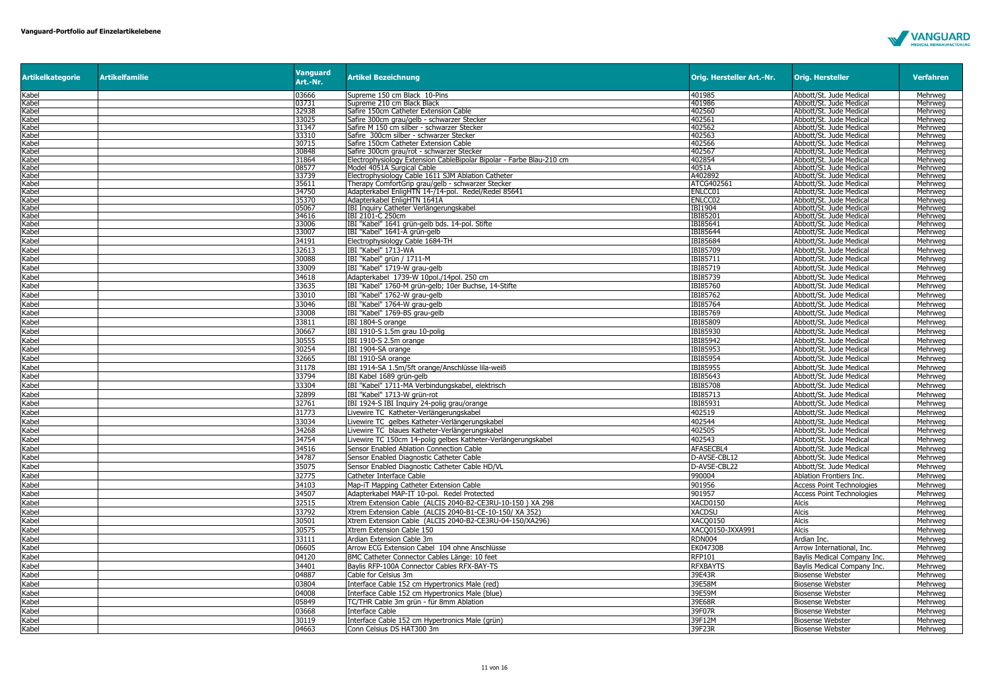

| <b>Artikelkategorie</b>                                                                                                                                        | <b>Artikelfamilie</b> | <b>Vanguard</b><br>Art.-Nr. | <b>Artikel Bezeichnung</b>                                                       | Orig. Hersteller Art.-Nr. | <b>Orig. Hersteller</b>                            | <b>Verfahren</b>   |
|----------------------------------------------------------------------------------------------------------------------------------------------------------------|-----------------------|-----------------------------|----------------------------------------------------------------------------------|---------------------------|----------------------------------------------------|--------------------|
| Kabel                                                                                                                                                          |                       | 03666                       | Supreme 150 cm Black 10-Pins                                                     | 401985                    | Abbott/St. Jude Medical                            | Mehrweg            |
| Kabel                                                                                                                                                          |                       | 03731                       | Supreme 210 cm Black Black                                                       | 401986                    | Abbott/St. Jude Medical                            | Mehrweg            |
| Kabel                                                                                                                                                          |                       | 32938                       | Safire 150cm Catheter Extension Cable                                            | 402560                    | Abbott/St. Jude Medical                            | Mehrweg            |
| <abel< td=""><td></td><td>33025</td><td>Safire 300cm grau/gelb - schwarzer Stecker</td><td>402561</td><td>Abbott/St. Jude Medical</td><td>Mehrwea</td></abel<> |                       | 33025                       | Safire 300cm grau/gelb - schwarzer Stecker                                       | 402561                    | Abbott/St. Jude Medical                            | Mehrwea            |
| Kabel                                                                                                                                                          |                       | 31347                       | Safire M 150 cm silber - schwarzer Stecker                                       | 402562                    | Abbott/St. Jude Medical                            | Mehrweg<br>Mehrweg |
| Kabel<br>Kabel                                                                                                                                                 |                       | 33310<br>30715              | Safire 300cm silber - schwarzer Stecker<br>Safire 150cm Catheter Extension Cable | 402563<br>402566          | Abbott/St. Jude Medical<br>Abbott/St. Jude Medical | Mehrweg            |
| Kabel                                                                                                                                                          |                       | 30848                       | Safire 300cm grau/rot - schwarzer Stecker                                        | 402567                    | Abbott/St. Jude Medical                            | Mehrweg            |
| Kabel                                                                                                                                                          |                       | 31864                       | Electrophysiology Extension CableBipolar Bipolar - Farbe Blau-210 cm             | 402854                    | Abbott/St. Jude Medical                            | Mehrweg            |
| Kabel                                                                                                                                                          |                       | 08577                       | Model 4051A Surgical Cable                                                       | 4051A                     | Abbott/St. Jude Medical                            | Mehrweg            |
| Kabel                                                                                                                                                          |                       | 33739                       | Electrophysiology Cable 1611 SJM Ablation Catheter                               | A402892                   | Abbott/St. Jude Medical                            | Mehrweg            |
| Kabel                                                                                                                                                          |                       | 35611                       | Therapy ComfortGrip grau/gelb - schwarzer Stecker                                | ATCG402561                | Abbott/St. Jude Medical                            | Mehrwea            |
| Kabel                                                                                                                                                          |                       | 34750                       | Adapterkabel EnligHTN 14-/14-pol. Redel/Redel 85641                              | ENLCC01                   | Abbott/St. Jude Medical                            | Mehrweg            |
| Kabel<br>Kabel                                                                                                                                                 |                       | 35370<br>05067              | Adapterkabel EnligHTN 1641A<br>IBI Inquiry Catheter Verlängerungskabel           | ENLCC02<br>IBI1904        | Abbott/St. Jude Medical<br>Abbott/St. Jude Medical | Mehrweg<br>Mehrweg |
| Kabel                                                                                                                                                          |                       | 34616                       | IBI 2101-C 250cm                                                                 | IBI85201                  | Abbott/St. Jude Medical                            | Mehrweg            |
| Kabel                                                                                                                                                          |                       | 33006                       | IBI "Kabel" 1641 grün-gelb bds. 14-pol. Stifte                                   | IBI85641                  | Abbott/St. Jude Medical                            | Mehrweg            |
| Kabel                                                                                                                                                          |                       | 33007                       | IBI "Kabel" 1641-A grün-gelb                                                     | IBI85644                  | Abbott/St. Jude Medical                            | Mehrweg            |
| Kabel                                                                                                                                                          |                       | 34191                       | Electrophysiology Cable 1684-TH                                                  | IBI85684                  | Abbott/St. Jude Medical                            | Mehrweg            |
| Kabel                                                                                                                                                          |                       | 32613                       | IBI "Kabel" 1713-WA                                                              | IBI85709                  | Abbott/St. Jude Medical                            | Mehrweg            |
| Kabel                                                                                                                                                          |                       | 30088                       | IBI "Kabel" grün / 1711-M                                                        | IBI85711                  | Abbott/St. Jude Medical                            | Mehrweg            |
| Kabel                                                                                                                                                          |                       | 33009                       | IBI "Kabel" 1719-W grau-gelb                                                     | IBI85719                  | Abbott/St. Jude Medical                            | Mehrweg            |
| Kabel                                                                                                                                                          |                       | 34618                       | Adapterkabel 1739-W 10pol./14pol. 250 cm                                         | IBI85739                  | Abbott/St. Jude Medical                            | Mehrweg            |
| Kabel                                                                                                                                                          |                       | 33635                       | IBI "Kabel" 1760-M grün-gelb; 10er Buchse, 14-Stifte                             | IBI85760                  | Abbott/St. Jude Medical                            | Mehrweg            |
| Kabel                                                                                                                                                          |                       | 33010                       | IBI "Kabel" 1762-W grau-gelb                                                     | IBI85762                  | Abbott/St. Jude Medical                            | Mehrweg            |
| Kabel                                                                                                                                                          |                       | 33046                       | IBI "Kabel" 1764-W grau-gelb                                                     | <b>IBI85764</b>           | Abbott/St. Jude Medical                            | Mehrwea            |
| Kabel                                                                                                                                                          |                       | 33008                       | IBI "Kabel" 1769-BS grau-gelb                                                    | IBI85769                  | Abbott/St. Jude Medical                            | Mehrweg            |
| Kabel                                                                                                                                                          |                       | 33811                       | IBI 1804-S orange                                                                | IBI85809                  | Abbott/St. Jude Medical                            | Mehrweg            |
| Kabel                                                                                                                                                          |                       | 30667                       | IBI 1910-S 1.5m grau 10-polig                                                    | IBI85930                  | Abbott/St. Jude Medical                            | Mehrweg            |
| Kabel                                                                                                                                                          |                       | 30555                       | IBI 1910-S 2.5m orange                                                           | IBI85942                  | Abbott/St. Jude Medical                            | Mehrweg            |
| Kabel                                                                                                                                                          |                       | 30254                       | IBI 1904-SA orange                                                               | IBI85953                  | Abbott/St. Jude Medical                            | Mehrweg            |
| Kabel                                                                                                                                                          |                       | 32665                       | IBI 1910-SA orange                                                               | <b>IBI85954</b>           | Abbott/St. Jude Medical                            | Mehrweg            |
| Kabel                                                                                                                                                          |                       | 31178                       | IBI 1914-SA 1.5m/5ft orange/Anschlüsse lila-weiß                                 | IBI85955                  | Abbott/St. Jude Medical                            | Mehrweg            |
| Kabel                                                                                                                                                          |                       | 33794                       | IBI Kabel 1689 grün-gelb                                                         | IBI85643                  | Abbott/St. Jude Medical                            | Mehrweg            |
| Kabel                                                                                                                                                          |                       | 33304                       | IBI "Kabel" 1711-MA Verbindungskabel, elektrisch                                 | <b>IBI85708</b>           | Abbott/St. Jude Medical                            | Mehrweg            |
| Kabel                                                                                                                                                          |                       | 32899                       | IBI "Kabel" 1713-W grün-rot                                                      | [BI85713                  | Abbott/St. Jude Medical                            | Mehrweg            |
| Kabel                                                                                                                                                          |                       | 32761                       | IBI 1924-S IBI Inquiry 24-polig grau/orange                                      | IBI85931                  | Abbott/St. Jude Medical                            | Mehrweg            |
| Kabel                                                                                                                                                          |                       | 31773                       | Livewire TC Katheter-Verlängerungskabel                                          | 402519                    | Abbott/St. Jude Medical                            | Mehrweg            |
| Kabel                                                                                                                                                          |                       | 33034                       | Livewire TC gelbes Katheter-Verlängerungskabel                                   | 402544                    | Abbott/St. Jude Medical                            | Mehrweg            |
| Kabel                                                                                                                                                          |                       | 34268                       | Livewire TC blaues Katheter-Verlängerungskabel                                   | 402505                    | Abbott/St. Jude Medical                            | Mehrweg            |
| Kabel                                                                                                                                                          |                       | 34754                       | Livewire TC 150cm 14-polig gelbes Katheter-Verlängerungskabel                    | 402543                    | Abbott/St. Jude Medical                            | Mehrweg            |
| Kabel                                                                                                                                                          |                       | 34516                       | Sensor Enabled Ablation Connection Cable                                         | AFASECBL4                 | Abbott/St. Jude Medical                            | Mehrweg            |
| Kabel                                                                                                                                                          |                       | 34787                       | Sensor Enabled Diagnostic Catheter Cable                                         | D-AVSE-CBL12              | Abbott/St. Jude Medical                            | Mehrweg            |
| Kabel                                                                                                                                                          |                       | 35075                       | Sensor Enabled Diagnostic Catheter Cable HD/VL                                   | D-AVSE-CBL22              | Abbott/St. Jude Medical                            | Mehrweg            |
| Kabel                                                                                                                                                          |                       | 32775                       | Catheter Interface Cable                                                         | 990004                    | Ablation Frontiers Inc.                            | Mehrweg            |
| Kabel                                                                                                                                                          |                       | 34103                       | Map-iT Mapping Catheter Extension Cable                                          | 901956                    | <b>Access Point Technologies</b>                   | Mehrweg            |
| Kabel                                                                                                                                                          |                       | 34507                       | Adapterkabel MAP-IT 10-pol. Redel Protected                                      | 901957                    | <b>Access Point Technologies</b>                   | Mehrwea            |
| Kabel                                                                                                                                                          |                       | 32515                       | Xtrem Extension Cable (ALCIS 2040-B2-CE3RU-10-150) XA 298                        | <b>XACD0150</b>           | <b>Alcis</b>                                       | Mehrweg            |
| Kabel                                                                                                                                                          |                       | 33792                       | Xtrem Extension Cable (ALCIS 2040-B1-CE-10-150/ XA 352)                          | <b>XACDSU</b>             | Alcis                                              | Mehrweg            |
| Kabel                                                                                                                                                          |                       | 30501                       | Xtrem Extension Cable (ALCIS 2040-B2-CE3RU-04-150/XA296)                         | XACQ0150                  | <b>Alcis</b>                                       | Mehrweg            |
| Kabel                                                                                                                                                          |                       | 30575                       | Xtrem Extension Cable 150                                                        | XACO0150-JXXA991          | <b>Alcis</b>                                       | Mehrweg            |
| Kabel                                                                                                                                                          |                       | 33111                       | Ardian Extension Cable 3m                                                        | <b>RDN004</b>             | Ardian Inc.                                        | Mehrweg            |
| Kabel                                                                                                                                                          |                       | 06605                       | Arrow ECG Extension Cabel 104 ohne Anschlüsse                                    | EK04730B                  | Arrow International, Inc.                          | Mehrweg            |
| Kabel                                                                                                                                                          |                       | 04120                       | BMC Catheter Connector Cables Länge: 10 feet                                     | <b>RFP101</b>             | Baylis Medical Company Inc.                        | Mehrweg            |
| Kabel                                                                                                                                                          |                       | 34401                       | Baylis RFP-100A Connector Cables RFX-BAY-TS                                      | <b>RFXBAYTS</b>           | Baylis Medical Company Inc.                        | Mehrwea            |
| Kabel                                                                                                                                                          |                       | 04887                       | Cable for Celsius 3m                                                             | 39E43R                    | <b>Biosense Webster</b>                            | Mehrweg            |
| Kabel                                                                                                                                                          |                       | 03804                       | Interface Cable 152 cm Hypertronics Male (red)                                   | 39E58M                    | <b>Biosense Webster</b>                            | Mehrweg            |
| Kabel                                                                                                                                                          |                       | 04008                       | Interface Cable 152 cm Hypertronics Male (blue)                                  | 39E59M                    | <b>Biosense Webster</b>                            | Mehrweg            |
| Kabel                                                                                                                                                          |                       | 05849                       | TC/THR Cable 3m grün - für 8mm Ablation                                          | 39E68R                    | <b>Biosense Webster</b>                            | Mehrweg            |
| Kabel                                                                                                                                                          |                       | 03668                       | Interface Cable                                                                  | 39F07R                    | Biosense Webster                                   | Mehrwea            |
| Kabel                                                                                                                                                          |                       | 30119                       | Interface Cable 152 cm Hypertronics Male (grün)                                  | 39F12M                    | <b>Biosense Webster</b>                            | Mehrweg            |
| Kabel                                                                                                                                                          |                       | 04663                       | Conn Celsius DS HAT300 3m                                                        | 39F23R                    | <b>Biosense Webster</b>                            | Mehrweg            |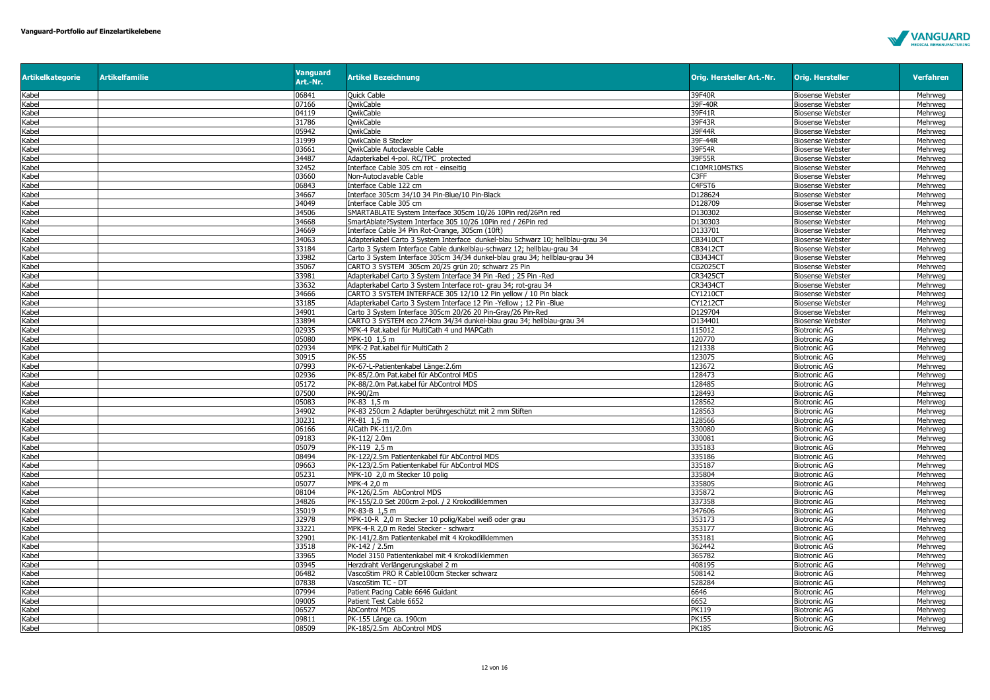

| <b>Artikelkategorie</b> | <b>Artikelfamilie</b> | <b>Vanguard</b><br>Art.-Nr. | <b>Artikel Bezeichnung</b>                                                     | Orig. Hersteller Art.-Nr. | <b>Orig. Hersteller</b> | <b>Verfahren</b> |
|-------------------------|-----------------------|-----------------------------|--------------------------------------------------------------------------------|---------------------------|-------------------------|------------------|
| Kabel                   |                       | 06841                       | <b>Quick Cable</b>                                                             | 39F40R                    | <b>Biosense Webster</b> | Mehrweg          |
| Kabel                   |                       | 07166                       | <b>OwikCable</b>                                                               | 39F-40R                   | <b>Biosense Webster</b> | Mehrweg          |
| Kabel                   |                       | 04119                       | OwikCable                                                                      | 39F41R                    | <b>Biosense Webster</b> | Mehrweg          |
| Kabel                   |                       | 31786                       | <b>OwikCable</b>                                                               | 39F43R                    | <b>Biosense Webster</b> | Mehrweg          |
| Kabel                   |                       | 05942                       | <b>OwikCable</b>                                                               | 39F44R                    | <b>Biosense Webster</b> | Mehrweg          |
| Kabel                   |                       | 31999                       | <b>QwikCable 8 Stecker</b>                                                     | 39F-44R                   | <b>Biosense Webster</b> | Mehrweg          |
| Kabel                   |                       | 03661                       | OwikCable Autoclavable Cable                                                   | 39F54R                    | <b>Biosense Webster</b> | Mehrweg          |
| Kabel                   |                       | 34487                       | Adapterkabel 4-pol. RC/TPC protected                                           | 39F55R                    | <b>Biosense Webster</b> | Mehrweg          |
| Kabel                   |                       | 32452                       | Interface Cable 305 cm rot - einseitig                                         | C10MR10MSTKS              | <b>Biosense Webster</b> | Mehrweg          |
| Kabel                   |                       | 03660                       | Non-Autoclavable Cable                                                         | C <sub>3</sub> FF         | <b>Biosense Webster</b> | Mehrweg          |
| Kabel                   |                       | 06843                       | Interface Cable 122 cm                                                         | C4FST6                    | <b>Biosense Webster</b> | Mehrweg          |
| Kabel                   |                       | 34667                       | Interface 305cm 34/10 34 Pin-Blue/10 Pin-Black                                 | D128624                   | <b>Biosense Webster</b> | Mehrwea          |
| Kabel                   |                       | 34049                       | Interface Cable 305 cm                                                         | D128709                   | <b>Biosense Webster</b> | Mehrweg          |
| Kabel                   |                       | 34506                       | SMARTABLATE System Interface 305cm 10/26 10Pin red/26Pin red                   | D130302                   | <b>Biosense Webster</b> | Mehrweg          |
| Kabel                   |                       | 34668                       | SmartAblate?System Interface 305 10/26 10Pin red / 26Pin red                   | D130303                   | <b>Biosense Webster</b> | Mehrweg          |
| Kabel                   |                       | 34669                       | Interface Cable 34 Pin Rot-Orange, 305cm (10ft)                                | D133701                   | <b>Biosense Webster</b> | Mehrweg          |
| Kabel                   |                       | 34063                       | Adapterkabel Carto 3 System Interface dunkel-blau Schwarz 10; hellblau-grau 34 | CB3410CT                  | <b>Biosense Webster</b> | Mehrweg          |
| Kabel                   |                       | 33184                       | Carto 3 System Interface Cable dunkelblau-schwarz 12; hellblau-grau 34         | <b>CB3412CT</b>           | <b>Biosense Webster</b> | Mehrweg          |
| Kabel                   |                       | 33982                       | Carto 3 System Interface 305cm 34/34 dunkel-blau grau 34; hellblau-grau 34     | <b>CB3434CT</b>           | <b>Biosense Webster</b> | Mehrweg          |
| Kabel                   |                       | 35067                       | CARTO 3 SYSTEM 305cm 20/25 grün 20; schwarz 25 Pin                             | <b>CG2025CT</b>           | <b>Biosense Webster</b> | Mehrweg          |
| Kabel                   |                       | 33981                       | Adapterkabel Carto 3 System Interface 34 Pin -Red ; 25 Pin -Red                | <b>CR3425CT</b>           | <b>Biosense Webster</b> | Mehrweg          |
| Kabel                   |                       | 33632                       | Adapterkabel Carto 3 System Interface rot- grau 34; rot-grau 34                | <b>CR3434CT</b>           | <b>Biosense Webster</b> | Mehrweg          |
| Kabel                   |                       | 34666                       | CARTO 3 SYSTEM INTERFACE 305 12/10 12 Pin yellow / 10 Pin black                | <b>CY1210CT</b>           | <b>Biosense Webster</b> | Mehrweg          |
| Kabel                   |                       | 33185                       | Adapterkabel Carto 3 System Interface 12 Pin -Yellow ; 12 Pin -Blue            | <b>CY1212CT</b>           | <b>Biosense Webster</b> | Mehrweg          |
| Kabel                   |                       | 34901                       | Carto 3 System Interface 305cm 20/26 20 Pin-Gray/26 Pin-Red                    | D129704                   | <b>Biosense Webster</b> | Mehrweg          |
| Kabel                   |                       | 33894                       | CARTO 3 SYSTEM eco 274cm 34/34 dunkel-blau grau 34; hellblau-grau 34           | D134401                   | <b>Biosense Webster</b> | Mehrwea          |
| Kabel                   |                       | 02935                       | MPK-4 Pat.kabel für MultiCath 4 und MAPCath                                    | 115012                    | <b>Biotronic AG</b>     | Mehrweg          |
| Kabel                   |                       | 05080                       | MPK-10 1.5 m                                                                   | 120770                    | <b>Biotronic AG</b>     | Mehrweg          |
| Kabel                   |                       | 02934                       | MPK-2 Pat.kabel für MultiCath 2                                                | 121338                    | <b>Biotronic AG</b>     | Mehrweg          |
| Kabel                   |                       | 30915                       | <b>PK-55</b>                                                                   | 123075                    | <b>Biotronic AG</b>     | Mehrweg          |
| Kabel                   |                       | 07993                       | PK-67-L-Patientenkabel Länge:2.6m                                              | 123672                    | <b>Biotronic AG</b>     | Mehrweg          |
| Kabel                   |                       | 02936                       | PK-85/2.0m Pat.kabel für AbControl MDS                                         | 128473                    | <b>Biotronic AG</b>     | Mehrweg          |
| Kabel                   |                       | 05172                       | PK-88/2.0m Pat.kabel für AbControl MDS                                         | 128485                    | <b>Biotronic AG</b>     | Mehrwea          |
| Kabel                   |                       | 07500                       | PK-90/2m                                                                       | 128493                    | <b>Biotronic AG</b>     | Mehrweg          |
| Kabel                   |                       | 05083                       | PK-83 1,5 m                                                                    | 128562                    | <b>Biotronic AG</b>     | Mehrweg          |
| Kabel                   |                       | 34902                       | PK-83 250cm 2 Adapter berührgeschützt mit 2 mm Stiften                         | 128563                    | <b>Biotronic AG</b>     | Mehrweg          |
| Kabel                   |                       | 30231                       | PK-81 1.5 m                                                                    | 128566                    | <b>Biotronic AG</b>     | Mehrweg          |
| Kabel                   |                       | 06166                       | AlCath PK-111/2.0m                                                             | 330080                    | Biotronic AG            | Mehrweg          |
| Kabel                   |                       | 09183                       | PK-112/2.0m                                                                    | 330081                    | <b>Biotronic AG</b>     | Mehrweg          |
| Kabel                   |                       | 05079                       | PK-119 2,5 m                                                                   | 335183                    | <b>Biotronic AG</b>     | Mehrweg          |
| Kabel                   |                       | 08494                       | PK-122/2.5m Patientenkabel für AbControl MDS                                   | 335186                    | <b>Biotronic AG</b>     | Mehrweg          |
| Kabel                   |                       | 09663                       | PK-123/2.5m Patientenkabel für AbControl MDS                                   | 335187                    | <b>Biotronic AG</b>     | Mehrwea          |
| Kabel                   |                       | 05231                       | MPK-10 2,0 m Stecker 10 polig                                                  | 335804                    | <b>Biotronic AG</b>     | Mehrweg          |
| Kabel                   |                       | 05077                       | MPK-4 2.0 m                                                                    | 335805                    | <b>Biotronic AG</b>     | Mehrweg          |
| Kabel                   |                       | 08104                       | PK-126/2.5m AbControl MDS                                                      | 335872                    | <b>Biotronic AG</b>     | Mehrweg          |
| Kabel                   |                       | 34826                       | PK-155/2.0 Set 200cm 2-pol. / 2 Krokodilklemmen                                | 337358                    | <b>Biotronic AG</b>     | Mehrweg          |
| Kabel                   |                       | 35019                       | PK-83-B 1.5 m                                                                  | 347606                    | <b>Biotronic AG</b>     | Mehrwea          |
| Kabel                   |                       | 32978                       | MPK-10-R 2,0 m Stecker 10 polig/Kabel weiß oder grau                           | 353173                    | <b>Biotronic AG</b>     | Mehrweg          |
| Kabel                   |                       | 33221                       | MPK-4-R 2.0 m Redel Stecker - schwarz                                          | 353177                    | <b>Biotronic AG</b>     | Mehrweg          |
| Kabel                   |                       | 32901                       | PK-141/2.8m Patientenkabel mit 4 Krokodilklemmen                               | 353181                    | <b>Biotronic AG</b>     | Mehrweg          |
| Kabel                   |                       | 33518                       | PK-142 / 2.5m                                                                  | 362442                    | <b>Biotronic AG</b>     | Mehrweg          |
| Kabel                   |                       | 33965                       | Model 3150 Patientenkabel mit 4 Krokodilklemmen                                | 365782                    | <b>Biotronic AG</b>     | Mehrweg          |
| Kabel                   |                       | 03945                       | Herzdraht Verlängerungskabel 2 m                                               | 408195                    | <b>Biotronic AG</b>     | Mehrweg          |
| Kabel                   |                       | 06482                       | VascoStim PRO R Cable100cm Stecker schwarz                                     | 508142                    | <b>Biotronic AG</b>     | Mehrweg          |
| Kabel                   |                       | 07838                       | VascoStim TC - DT                                                              | 528284                    | <b>Biotronic AG</b>     | Mehrweg          |
| Kabel                   |                       | 07994                       | Patient Pacing Cable 6646 Guidant                                              | 6646                      | <b>Biotronic AG</b>     | Mehrweg          |
| Kabel                   |                       | 09005                       | Patient Test Cable 6652                                                        | 6652                      | <b>Biotronic AG</b>     | Mehrweg          |
| Kabel                   |                       | 06527                       | <b>AbControl MDS</b>                                                           | <b>PK119</b>              | <b>Biotronic AG</b>     | Mehrweg          |
| Kabel                   |                       | 09811                       | PK-155 Länge ca. 190cm                                                         | <b>PK155</b>              | Biotronic AG            | Mehrweg          |
| Kabel                   |                       | 08509                       | PK-185/2.5m AbControl MDS                                                      | <b>PK185</b>              | <b>Biotronic AG</b>     | Mehrweg          |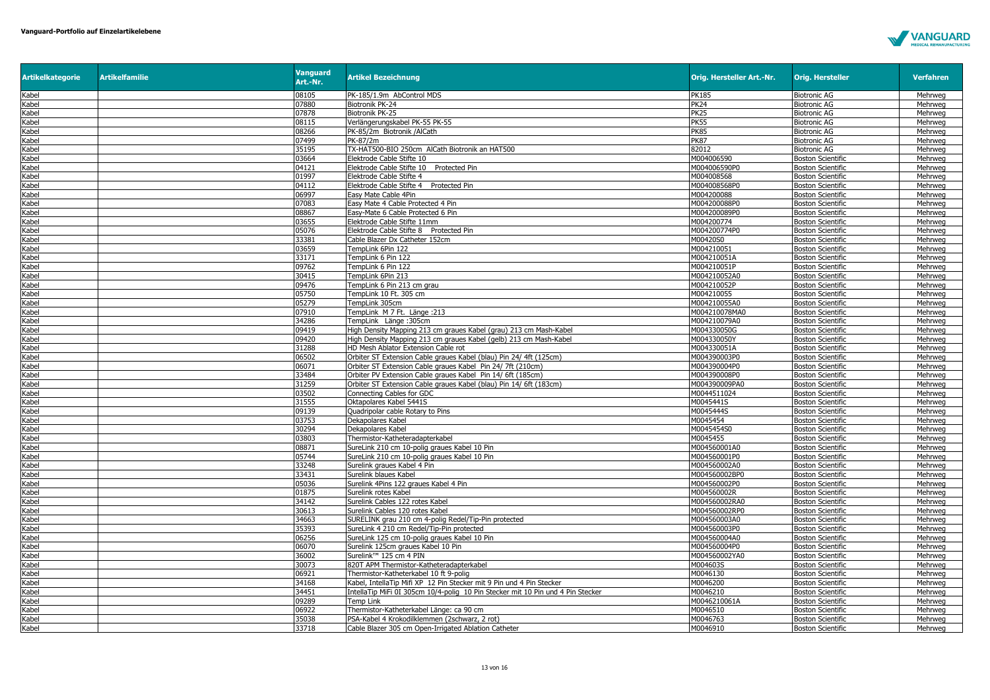

| <b>Artikelkategorie</b> | <b>Artikelfamilie</b> | <b>Vanguard</b><br>Art.-Nr. | <b>Artikel Bezeichnung</b>                                                                 | Orig. Hersteller Art.-Nr. | <b>Orig. Hersteller</b>                              | <b>Verfahren</b>   |
|-------------------------|-----------------------|-----------------------------|--------------------------------------------------------------------------------------------|---------------------------|------------------------------------------------------|--------------------|
| Kabel                   |                       | 08105                       | PK-185/1.9m AbControl MDS                                                                  | PK185                     | <b>Biotronic AG</b>                                  | Mehrweg            |
| Kabel                   |                       | 07880                       | Biotronik PK-24                                                                            | <b>PK24</b>               | <b>Biotronic AG</b>                                  | Mehrweg            |
| Kabel                   |                       | 07878                       | Biotronik PK-25                                                                            | PK25                      | <b>Biotronic AG</b>                                  | Mehrweg            |
| Kabel                   |                       | 08115                       | Verlängerungskabel PK-55 PK-55                                                             | <b>PK55</b>               | <b>Biotronic AG</b>                                  | Mehrweg            |
| Kabel                   |                       | 08266                       | PK-85/2m Biotronik /AlCath                                                                 | <b>PK85</b>               | <b>Biotronic AG</b>                                  | Mehrweg            |
| Kabel                   |                       | 07499                       | PK-87/2m                                                                                   | <b>PK87</b>               | <b>Biotronic AG</b>                                  | Mehrweg            |
| Kabel                   |                       | 35195                       | TX-HAT500-BIO 250cm AlCath Biotronik an HAT500                                             | 82012                     | <b>Biotronic AG</b>                                  | Mehrweg            |
| Kabel                   |                       | 03664                       | Elektrode Cable Stifte 10                                                                  | M004006590                | <b>Boston Scientific</b>                             | Mehrweg            |
| Kabel                   |                       | 04121                       | Elektrode Cable Stifte 10 Protected Pin                                                    | M004006590P0              | <b>Boston Scientific</b>                             | Mehrweg            |
| Kabel                   |                       | 01997                       | Elektrode Cable Stifte 4                                                                   | M004008568                | <b>Boston Scientific</b>                             | Mehrweg            |
| Kabel                   |                       | 04112                       | Elektrode Cable Stifte 4 Protected Pin                                                     | M004008568P0              | <b>Boston Scientific</b>                             | Mehrweg            |
| Kabel                   |                       | 06997                       | Easy Mate Cable 4Pin                                                                       | M004200088                | <b>Boston Scientific</b>                             | Mehrweg            |
| Kabel                   |                       | 07083                       | Easy Mate 4 Cable Protected 4 Pin                                                          | M004200088P0              | <b>Boston Scientific</b>                             | Mehrweg            |
| Kabel                   |                       | 08867                       | Easy-Mate 6 Cable Protected 6 Pin                                                          | M004200089P0              | <b>Boston Scientific</b>                             | Mehrweg            |
| Kabel                   |                       | 03655                       | Elektrode Cable Stifte 11mm                                                                | M004200774                | <b>Boston Scientific</b>                             | Mehrweg            |
| Kabel                   |                       | 05076                       | Elektrode Cable Stifte 8 Protected Pin                                                     | M004200774P0              | <b>Boston Scientific</b>                             | Mehrweg            |
| Kabel                   |                       | 33381                       | Cable Blazer Dx Catheter 152cm                                                             | M00420S0                  | <b>Boston Scientific</b>                             | Mehrweg            |
| Kabel                   |                       | 03659                       | TempLink 6Pin 122                                                                          | M004210051                | <b>Boston Scientific</b>                             | Mehrweg            |
| Kabel                   |                       | 33171                       | TempLink 6 Pin 122                                                                         | M004210051A               | <b>Boston Scientific</b>                             | Mehrweg            |
| Kabel                   |                       | 09762                       | TempLink 6 Pin 122                                                                         | M004210051P               | <b>Boston Scientific</b>                             | Mehrweg            |
| Kabel                   |                       | 30415                       | TempLink 6Pin 213                                                                          | M004210052A0              | <b>Boston Scientific</b>                             | Mehrweg            |
| Kabel                   |                       | 09476                       | TempLink 6 Pin 213 cm grau                                                                 | M004210052P               | <b>Boston Scientific</b>                             | Mehrweg            |
| Kabel                   |                       | 05750                       | TempLink 10 Ft. 305 cm                                                                     | M004210055                | <b>Boston Scientific</b>                             | Mehrweg            |
|                         |                       | 05279                       | TempLink 305cm                                                                             | M004210055A0              |                                                      |                    |
| Kabel<br>Kabel          |                       | 07910                       | TempLink M 7 Ft. Länge :213                                                                | M004210078MA0             | <b>Boston Scientific</b><br><b>Boston Scientific</b> | Mehrweg<br>Mehrweg |
|                         |                       |                             |                                                                                            | M004210079A0              |                                                      |                    |
| Kabel<br>Kabel          |                       | 34286<br>09419              | TempLink Länge: 305cm<br>ligh Density Mapping 213 cm graues Kabel (grau) 213 cm Mash-Kabel | M004330050G               | <b>Boston Scientific</b>                             | Mehrweg<br>Mehrweg |
|                         |                       | 09420                       |                                                                                            |                           | <b>Boston Scientific</b>                             |                    |
| Kabel                   |                       |                             | High Density Mapping 213 cm graues Kabel (gelb) 213 cm Mash-Kabel                          | M004330050Y               | <b>Boston Scientific</b>                             | Mehrweg            |
| Kabel                   |                       | 31288                       | HD Mesh Ablator Extension Cable rot                                                        | M004330051A               | <b>Boston Scientific</b>                             | Mehrweg            |
| Kabel                   |                       | 06502                       | Orbiter ST Extension Cable graues Kabel (blau) Pin 24/4ft (125cm)                          | M004390003P0              | <b>Boston Scientific</b>                             | Mehrweg            |
| Kabel                   |                       | 06071                       | Orbiter ST Extension Cable graues Kabel Pin 24/7ft (210cm)                                 | M004390004P0              | <b>Boston Scientific</b>                             | Mehrweg            |
| Kabel                   |                       | 33484                       | Orbiter PV Extension Cable graues Kabel Pin 14/ 6ft (185cm)                                | M004390008P0              | <b>Boston Scientific</b>                             | Mehrweg            |
| Kabel                   |                       | 31259                       | Orbiter ST Extension Cable graues Kabel (blau) Pin 14/ 6ft (183cm)                         | M004390009PA0             | <b>Boston Scientific</b>                             | Mehrweg            |
| Kabel                   |                       | 03502                       | Connecting Cables for GDC                                                                  | M0044511024               | <b>Boston Scientific</b>                             | Mehrweg            |
| Kabel                   |                       | 31555                       | Oktapolares Kabel 5441S                                                                    | M0045441S                 | <b>Boston Scientific</b>                             | Mehrweg            |
| Kabel                   |                       | 09139                       | Quadripolar cable Rotary to Pins                                                           | M0045444S                 | <b>Boston Scientific</b>                             | Mehrweg            |
| Kabel                   |                       | 03753                       | Dekapolares Kabel                                                                          | M0045454                  | <b>Boston Scientific</b>                             | Mehrweg            |
| Kabel                   |                       | 30294                       | Dekapolares Kabel                                                                          | M0045454S0                | <b>Boston Scientific</b>                             | Mehrweg            |
| Kabel                   |                       | 03803                       | Thermistor-Katheteradapterkabel                                                            | M0045455                  | <b>Boston Scientific</b>                             | Mehrweg            |
| Kabel                   |                       | 08871                       | SureLink 210 cm 10-polig graues Kabel 10 Pin                                               | M004560001A0              | <b>Boston Scientific</b>                             | Mehrweg            |
| Kabel                   |                       | 05744                       | SureLink 210 cm 10-polig graues Kabel 10 Pin                                               | M004560001P0              | <b>Boston Scientific</b>                             | Mehrweg            |
| Kabel                   |                       | 33248                       | Surelink graues Kabel 4 Pin                                                                | M004560002A0              | <b>Boston Scientific</b>                             | Mehrweg            |
| Kabel                   |                       | 33431                       | Surelink blaues Kabel                                                                      | M004560002BP0             | <b>Boston Scientific</b>                             | Mehrweg            |
| Kabel                   |                       | 05036                       | Surelink 4Pins 122 graues Kabel 4 Pin                                                      | M004560002P0              | <b>Boston Scientific</b>                             | Mehrweg            |
| Kabel                   |                       | 01875                       | Surelink rotes Kabel                                                                       | M004560002R               | <b>Boston Scientific</b>                             | Mehrweg            |
| Kabel                   |                       | 34142                       | Surelink Cables 122 rotes Kabel                                                            | M004560002RA0             | <b>Boston Scientific</b>                             | Mehrweg            |
| Kabel                   |                       | 30613                       | Surelink Cables 120 rotes Kabel                                                            | M004560002RP0             | <b>Boston Scientific</b>                             | Mehrweg            |
| Kabel                   |                       | 34663                       | SURELINK grau 210 cm 4-polig Redel/Tip-Pin protected                                       | M004560003A0              | <b>Boston Scientific</b>                             | Mehrweg            |
| Kabel                   |                       | 35393                       | SureLink 4 210 cm Redel/Tip-Pin protected                                                  | M004560003P0              | <b>Boston Scientific</b>                             | Mehrweg            |
| Kabel                   |                       | 06256                       | SureLink 125 cm 10-polig graues Kabel 10 Pin                                               | M004560004A0              | <b>Boston Scientific</b>                             | Mehrweg            |
| Kabel                   |                       | 06070                       | Surelink 125cm graues Kabel 10 Pin                                                         | M004560004P0              | <b>Boston Scientific</b>                             | Mehrweg            |
| Kabel                   |                       | 36002                       | Surelink™ 125 cm 4 PIN                                                                     | M004560002YA0             | <b>Boston Scientific</b>                             | Mehrweg            |
| Kabel                   |                       | 30073                       | 820T APM Thermistor-Katheteradapterkabel                                                   | M004603S                  | <b>Boston Scientific</b>                             | Mehrweg            |
| Kabel                   |                       | 06921                       | Thermistor-Katheterkabel 10 ft 9-polig                                                     | M0046130                  | <b>Boston Scientific</b>                             | Mehrweg            |
| Kabel                   |                       | 34168                       | Kabel, IntellaTip Mifi XP 12 Pin Stecker mit 9 Pin und 4 Pin Stecker                       | M0046200                  | <b>Boston Scientific</b>                             | Mehrweg            |
| Kabel                   |                       | 34451                       | IntellaTip MiFi 0I 305cm 10/4-polig 10 Pin Stecker mit 10 Pin und 4 Pin Stecker            | M0046210                  | <b>Boston Scientific</b>                             | Mehrweg            |
| Kabel                   |                       | 09289                       | <b>Temp Link</b>                                                                           | M0046210061A              | <b>Boston Scientific</b>                             | Mehrweg            |
| Kabel                   |                       | 06922                       | Thermistor-Katheterkabel Länge: ca 90 cm                                                   | M0046510                  | <b>Boston Scientific</b>                             | Mehrweg            |
| Kabel                   |                       | 35038                       | PSA-Kabel 4 Krokodilklemmen (2schwarz, 2 rot)                                              | M0046763                  | <b>Boston Scientific</b>                             | Mehrweg            |
| Kabel                   |                       | 33718                       | Cable Blazer 305 cm Open-Irrigated Ablation Catheter                                       | M0046910                  | <b>Boston Scientific</b>                             | Mehrweg            |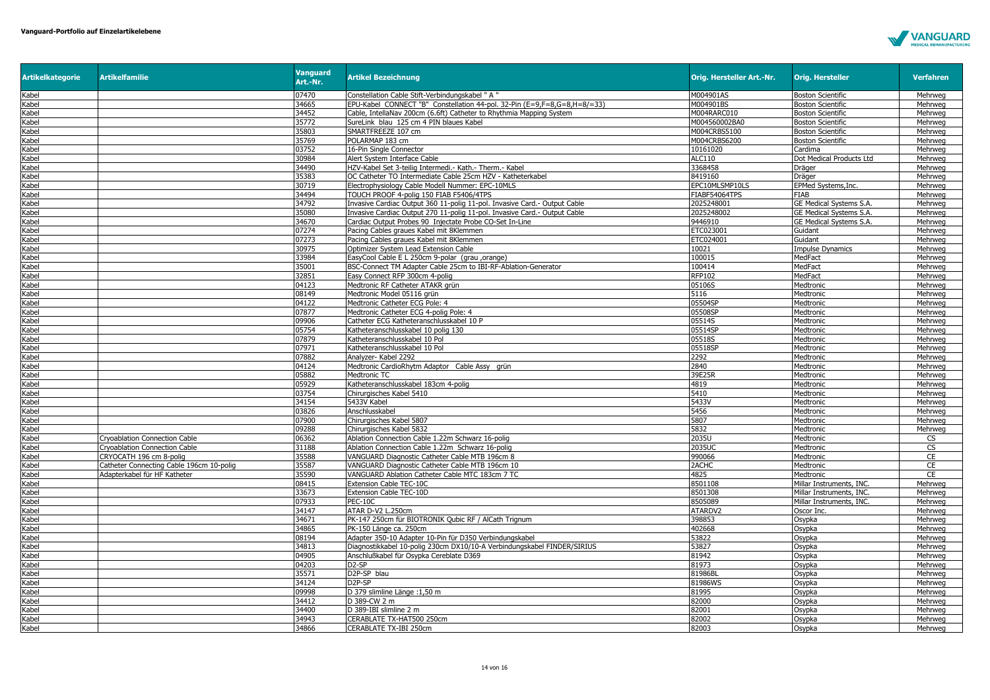

| <b>Artikelkategorie</b> | <b>Artikelfamilie</b>                    | <b>Vanguard</b><br>Art.-Nr. | <b>Artikel Bezeichnung</b>                                                | Orig. Hersteller Art.-Nr. | <b>Orig. Hersteller</b>  | <b>Verfahren</b>   |
|-------------------------|------------------------------------------|-----------------------------|---------------------------------------------------------------------------|---------------------------|--------------------------|--------------------|
| Kabel                   |                                          | 07470                       | Constellation Cable Stift-Verbindungskabel " A "                          | M004901AS                 | <b>Boston Scientific</b> | Mehrweg            |
| Kabel                   |                                          | 34665                       | EPU-Kabel CONNECT "B" Constellation 44-pol. 32-Pin (E=9,F=8,G=8,H=8/=33)  | M004901BS                 | <b>Boston Scientific</b> | Mehrweg            |
| Kabel                   |                                          | 34452                       | Cable, IntellaNav 200cm (6.6ft) Catheter to Rhythmia Mapping System       | M004RARC010               | <b>Boston Scientific</b> | Mehrweg            |
| Kabel                   |                                          | 35772                       | SureLink blau 125 cm 4 PIN blaues Kabel                                   | M004560002BA0             | <b>Boston Scientific</b> | Mehrwea            |
| Kabel                   |                                          | 35803                       | SMARTFREEZE 107 cm                                                        | M004CRBS5100              | <b>Boston Scientific</b> | Mehrweg            |
| Kabel                   |                                          | 35769                       | POLARMAP 183 cm                                                           | M004CRBS6200              | <b>Boston Scientific</b> | Mehrweg            |
| Kabel                   |                                          | 03752                       | 16-Pin Single Connector                                                   | 10161020                  | Cardima                  | Mehrweg            |
| Kabel                   |                                          | 30984                       | Alert System Interface Cable                                              | ALC110                    | Dot Medical Products Ltd | Mehrweg            |
| Kabel                   |                                          | 34490                       | HZV-Kabel Set 3-teilig Intermedi .- Kath.- Therm.- Kabel                  | 3368458                   | Dräger                   | Mehrweg            |
| Kabel                   |                                          | 35383                       | OC Catheter TO Intermediate Cable 25cm HZV - Katheterkabel                | 8419160                   | Dräger                   | Mehrweg            |
| Kabel                   |                                          | 30719                       | Electrophysiology Cable Modell Nummer: EPC-10MLS                          | EPC10MLSMP10LS            | EPMed Systems, Inc.      | Mehrweg            |
| Kabel                   |                                          | 34494                       | TOUCH PROOF 4-polig 150 FIAB F5406/4TPS                                   | FIABF54064TPS             | <b>FIAB</b>              | Mehrweg            |
| Kabel                   |                                          | 34792                       | Invasive Cardiac Output 360 11-polig 11-pol. Invasive Card.- Output Cable | 2025248001                | GE Medical Systems S.A.  | Mehrweg            |
| Kabel                   |                                          | 35080                       | Invasive Cardiac Output 270 11-polig 11-pol. Invasive Card.- Output Cable | 2025248002                | GE Medical Systems S.A.  | Mehrweg            |
| Kabel                   |                                          | 34670                       | Cardiac Output Probes 90 Injectate Probe CO-Set In-Line                   | 9446910                   | GE Medical Systems S.A.  | Mehrweg            |
| Kabel                   |                                          | 07274                       | Pacing Cables graues Kabel mit 8Klemmen                                   | ETC02300:                 | Guidant                  | Mehrweg            |
| Kabel                   |                                          | 07273                       | Pacing Cables graues Kabel mit 8Klemmen                                   | ETC024001                 | Guidant                  | Mehrweg            |
| Kabel                   |                                          | 30975                       | Optimizer System Lead Extension Cable                                     | 10021                     | <b>Impulse Dynamics</b>  | Mehrweg            |
| Kabel                   |                                          | 33984                       | EasyCool Cable E L 250cm 9-polar (grau ,orange)                           | 100015                    | MedFact                  | Mehrweg            |
| Kabel                   |                                          | 35001                       | BSC-Connect TM Adapter Cable 25cm to IBI-RF-Ablation-Generator            | 100414                    | MedFact                  | Mehrweg            |
| Kabel                   |                                          | 32851                       | Easy Connect RFP 300cm 4-polig                                            | RFP102                    | MedFact                  | Mehrweg            |
| Kabel                   |                                          | 04123                       | Medtronic RF Catheter ATAKR grün                                          | 05106S                    | Medtronic                | Mehrweg            |
| Kabel                   |                                          | 08149                       | Medtronic Model 05116 grün                                                | 5116                      | Medtronic                | Mehrweg            |
| Kabel                   |                                          | 04122                       | Medtronic Catheter ECG Pole: 4                                            | 05504SP                   | Medtronic                | Mehrweg            |
| Kabel                   |                                          | 07877                       | Medtronic Catheter ECG 4-polig Pole: 4                                    | 05508SP                   | Medtronic                | Mehrweg            |
| Kabel                   |                                          | 09906                       | Catheter ECG Katheteranschlusskabel 10 P                                  | 05514S                    | Medtronic                | Mehrweg            |
| Kabel                   |                                          | 05754                       | Katheteranschlusskabel 10 polig 130                                       | 05514SP                   | Medtronic                | Mehrweg            |
| Kabel                   |                                          | 07879                       | Katheteranschlusskabel 10 Pol                                             | 05518S                    | Medtronic                | Mehrwea            |
| Kabel                   |                                          | 07971                       | Katheteranschlusskabel 10 Pol                                             | 05518SP                   | Medtronic                | Mehrweg            |
| Kabel                   |                                          | 07882                       | Analyzer- Kabel 2292                                                      | 2292                      | Medtronic                | Mehrweg            |
| Kabel                   |                                          | 04124                       | Medtronic CardioRhytm Adaptor Cable Assy grün                             | 2840                      | Medtronic                | Mehrweg            |
| Kabel<br>Kabel          |                                          | 05882<br>05929              | Medtronic TC                                                              | 39E25R<br>4819            | Medtronic                | Mehrweg            |
|                         |                                          | 03754                       | Katheteranschlusskabel 183cm 4-polig                                      | 5410                      | Medtronic                | Mehrweg            |
| Kabel<br>Kabel          |                                          | 34154                       | Chirurgisches Kabel 5410<br>5433V Kabel                                   | 5433V                     | Medtronic<br>Medtronic   | Mehrweg<br>Mehrweg |
|                         |                                          |                             |                                                                           | 5456                      |                          |                    |
| Kabel<br>Kabel          |                                          | 03826<br>07900              | Anschlusskabel<br>Chirurgisches Kabel 5807                                | 5807                      | Medtronic<br>Medtronic   | Mehrweg<br>Mehrweg |
| Kabel                   |                                          | 09288                       | Chirurgisches Kabel 5832                                                  | 5832                      |                          | Mehrweg            |
| Kabel                   | Cryoablation Connection Cable            | 06362                       | Ablation Connection Cable 1.22m Schwarz 16-polig                          | 2035U                     | Medtronic<br>Medtronic   | CS                 |
| Kabel                   | <b>Cryoablation Connection Cable</b>     | 31188                       | Ablation Connection Cable 1.22m Schwarz 16-polig                          | 2035UC                    | Medtronic                | CS                 |
| Kabel                   | CRYOCATH 196 cm 8-polig                  | 35588                       | VANGUARD Diagnostic Catheter Cable MTB 196cm 8                            | 990066                    | Medtronic                | CE                 |
| Kabel                   | Catheter Connecting Cable 196cm 10-polig | 35587                       | VANGUARD Diagnostic Catheter Cable MTB 196cm 10                           | 2ACHC                     | Medtronic                | CE                 |
| Kabel                   | Adapterkabel für HF Katheter             | 35590                       | VANGUARD Ablation Catheter Cable MTC 183cm 7 TC                           | 4825                      | Medtronic                | CE                 |
| Kabel                   |                                          | 08415                       | Extension Cable TEC-10C                                                   | 8501108                   | Millar Instruments, INC. | Mehrweg            |
| Kabel                   |                                          | 33673                       | Extension Cable TEC-10D                                                   | 8501308                   | Millar Instruments, INC. | Mehrweg            |
| Kabel                   |                                          | 07933                       | <b>PEC-10C</b>                                                            | 8505089                   | Millar Instruments, INC  | Mehrwea            |
| Kabel                   |                                          | 34147                       | ATAR D-V2 L.250cm                                                         | ATARDV2                   | Oscor Inc.               | Mehrweg            |
| Kabel                   |                                          | 34671                       | PK-147 250cm für BIOTRONIK Qubic RF / AlCath Trignum                      | 398853                    | Osypka                   | Mehrweg            |
| Kabel                   |                                          | 34865                       | PK-150 Länge ca. 250cm                                                    | 402668                    | Osypka                   | Mehrweg            |
| Kabel                   |                                          | 08194                       | Adapter 350-10 Adapter 10-Pin für D350 Verbindungskabel                   | 53822                     | Osypka                   | Mehrweg            |
| Kabel                   |                                          | 34813                       | Diagnostikkabel 10-polig 230cm DX10/10-A Verbindungskabel FINDER/SIRIUS   | 53827                     | Osypka                   | Mehrweg            |
| Kabel                   |                                          | 04905                       | Anschlußkabel für Osypka Cereblate D369                                   | 81942                     | Osypka                   | Mehrweg            |
| Kabel                   |                                          | 04203                       | D <sub>2</sub> -SP                                                        | 81973                     | Osypka                   | Mehrweg            |
| Kabel                   |                                          | 35571                       | D <sub>2P</sub> -SP blau                                                  | 81986BI                   | Osypka                   | Mehrwea            |
| Kabel                   |                                          | 34124                       | D <sub>2P</sub> -SP                                                       | 81986WS                   | Osypka                   | Mehrweg            |
| Kabel                   |                                          | 09998                       | D 379 slimline Länge : 1,50 m                                             | 81995                     | Osypka                   | Mehrweg            |
| Kabel                   |                                          | 34412                       | D 389-CW 2 m                                                              | 82000                     | Osypka                   | Mehrweg            |
| Kabel                   |                                          | 34400                       | D 389-IBI slimline 2 m                                                    | 82001                     | Osypka                   | Mehrweg            |
| Kabel                   |                                          | 34943                       | CERABLATE TX-HAT500 250cm                                                 | 82002                     | Osypka                   | Mehrwea            |
| Kabel                   |                                          | 34866                       | CERABLATE TX-IBI 250cm                                                    | 82003                     | Osypka                   | Mehrweg            |
|                         |                                          |                             |                                                                           |                           |                          |                    |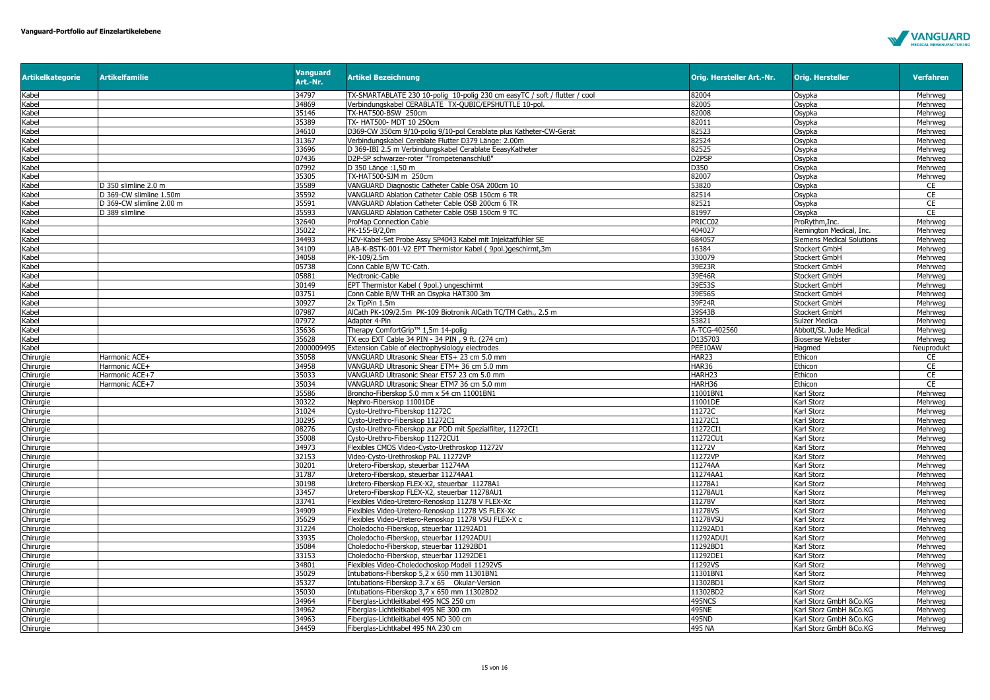

| <b>Artikelkategorie</b> | <b>Artikelfamilie</b>    | <b>Vanguard</b><br>Art.-Nr. | <b>Artikel Bezeichnung</b>                                                      | Orig. Hersteller Art.-Nr. | <b>Orig. Hersteller</b>                  | <b>Verfahren</b>   |
|-------------------------|--------------------------|-----------------------------|---------------------------------------------------------------------------------|---------------------------|------------------------------------------|--------------------|
| Kabel                   |                          | 34797                       | TX-SMARTABLATE 230 10-poliq 10-poliq 230 cm easyTC / soft / flutter / cool      | 82004                     | Osypka                                   | Mehrweg            |
| Kabel                   |                          | 34869                       | Verbindungskabel CERABLATE TX-QUBIC/EPSHUTTLE 10-pol.                           | 82005                     | Osypka                                   | Mehrweg            |
| Kabel                   |                          | 35146                       | TX-HAT500-BSW 250cm                                                             | 82008                     | Osypka                                   | Mehrweg            |
| Kabel                   |                          | 35389                       | TX- HAT500- MDT 10 250cm                                                        | 82011                     | Osypka                                   | Mehrweg            |
| Kabel                   |                          | 34610                       | D369-CW 350cm 9/10-polig 9/10-pol Cerablate plus Katheter-CW-Gerät              | 82523                     | Osypka                                   | Mehrweg            |
| Kabel                   |                          | 31367                       | Verbindungskabel Cereblate Flutter D379 Länge: 2.00m                            | 82524                     | Osypka                                   | Mehrweg            |
| Kabel                   |                          | 33696                       | D 369-IBI 2.5 m Verbindungskabel Cerablate EeasyKatheter                        | 82525                     | Osypka                                   | Mehrweg            |
| Kabel                   |                          | 07436                       | D2P-SP schwarzer-roter "Trompetenanschluß"                                      | D <sub>2</sub> PSP        | Osypka                                   | Mehrweg            |
| Kabel                   |                          | 07992                       | D 350 Länge: 1,50 m                                                             | D350                      | Osypka                                   | Mehrweg            |
| Kabel                   |                          | 35305                       | TX-HAT500-SJM m 250cm                                                           | 82007                     | Osypka                                   | Mehrweg            |
| Kabel                   | D 350 slimline 2.0 m     | 35589                       | VANGUARD Diagnostic Catheter Cable OSA 200cm 10                                 | 53820                     | Osypka                                   | CE                 |
| Kabel                   | D 369-CW slimline 1.50m  | 35592                       | VANGUARD Ablation Catheter Cable OSB 150cm 6 TR                                 | 82514                     | Osypka                                   | CE                 |
| Kabel                   | D 369-CW slimline 2.00 m | 35591                       | VANGUARD Ablation Catheter Cable OSB 200cm 6 TR                                 | 82521                     | Osypka                                   | <b>CE</b>          |
| Kabel                   | D 389 slimline           | 35593                       | VANGUARD Ablation Catheter Cable OSB 150cm 9 TC                                 | 81997                     | Osypka                                   | CE                 |
| Kabel                   |                          | 32640                       | ProMap Connection Cable                                                         | PRICC02                   | ProRythm, Inc.                           | Mehrweg            |
| Kabel                   |                          | 35022                       | PK-155-B/2.0m                                                                   | 404027                    | Remington Medical, Inc.                  | Mehrweg            |
| Kabel                   |                          | 34493                       | HZV-Kabel-Set Probe Assy SP4043 Kabel mit Injektatfühler SE                     | 684057                    | <b>Siemens Medical Solutions</b>         | Mehrweg            |
| Kabel                   |                          | 34109                       | LAB-K-BSTK-001-V2 EPT Thermistor Kabel (9pol.) aeschirmt.3m                     | 16384                     | <b>Stockert GmbH</b>                     | Mehrweg            |
| Kabel                   |                          | 34058                       | PK-109/2.5m                                                                     | 330079                    | Stockert GmbH                            | Mehrweg            |
| Kabel                   |                          | 05738                       | Conn Cable B/W TC-Cath.                                                         | 39E23R                    | Stockert GmbH                            | Mehrweg            |
| Kabel                   |                          | 05881                       | Medtronic-Cable                                                                 | 39E46R                    | Stockert GmbH                            | Mehrweg            |
| Kabel                   |                          | 30149                       | EPT Thermistor Kabel ( 9pol.) ungeschirmt                                       | 39E53S                    | <b>Stockert GmbH</b>                     | Mehrweg            |
| Kabel                   |                          | 03751                       | Conn Cable B/W THR an Osypka HAT300 3m                                          | 39E56S                    | Stockert GmbH                            | Mehrweg            |
| Kabel                   |                          | 30927<br>07987              | 2x TipPin 1.5m<br>AlCath PK-109/2.5m PK-109 Biotronik AlCath TC/TM Cath., 2.5 m | 39F24R<br>39S43B          | Stockert GmbH                            | Mehrweg<br>Mehrwea |
| Kabel                   |                          | 07972                       | Adapter 4-Pin                                                                   | 53821                     | Stockert GmbH                            | Mehrweg            |
| Kabel<br>Kabel          |                          | 35636                       | Therapy ComfortGrip™ 1,5m 14-poliq                                              | A-TCG-402560              | Sulzer Medica<br>Abbott/St. Jude Medical | Mehrweg            |
| Kabel                   |                          | 35628                       | TX eco EXT Cable 34 PIN - 34 PIN, 9 ft. (274 cm)                                | D135703                   | <b>Biosense Webster</b>                  | Mehrweg            |
| Kabel                   |                          | 2000009495                  | Extension Cable of electrophysiology electrodes                                 | PEE10AW                   | Hagmed                                   | Neuprodukt         |
| Chirurgie               | Harmonic ACE+            | 35058                       | VANGUARD Ultrasonic Shear ETS+ 23 cm 5.0 mm                                     | HAR23                     | Ethicon                                  | CE                 |
| Chirurgie               | Harmonic ACE+            | 34958                       | VANGUARD Ultrasonic Shear ETM+ 36 cm 5.0 mm                                     | <b>HAR36</b>              | Ethicon                                  | CE                 |
| Chirurgie               | Harmonic ACE+7           | 35033                       | VANGUARD Ultrasonic Shear ETS7 23 cm 5.0 mm                                     | HARH <sub>23</sub>        | Ethicon                                  | CE                 |
| Chirurgie               | Harmonic ACE+7           | 35034                       | VANGUARD Ultrasonic Shear ETM7 36 cm 5.0 mm                                     | HARH36                    | Ethicon                                  | CE                 |
| Chirurgie               |                          | 35586                       | Broncho-Fiberskop 5.0 mm x 54 cm 11001BN1                                       | 11001BN1                  | Karl Storz                               | Mehrweg            |
| Chirurgie               |                          | 30322                       | Nephro-Fiberskop 11001DE                                                        | 11001DE                   | Karl Storz                               | Mehrweg            |
| Chirurgie               |                          | 31024                       | Cysto-Urethro-Fiberskop 11272C                                                  | 11272C                    | Karl Storz                               | Mehrweg            |
| Chirurgie               |                          | 30295                       | Cysto-Urethro-Fiberskop 11272C1                                                 | 11272C1                   | Karl Storz                               | Mehrweg            |
| Chirurgie               |                          | 08276                       | Cysto-Urethro-Fiberskop zur PDD mit Spezialfilter, 11272CI1                     | 11272CI1                  | Karl Storz                               | Mehrweg            |
| Chirurgie               |                          | 35008                       | Cysto-Urethro-Fiberskop 11272CU1                                                | 11272CU1                  | Karl Storz                               | Mehrweg            |
| Chirurgie               |                          | 34973                       | Flexibles CMOS Video-Cysto-Urethroskop 11272V                                   | 11272V                    | Karl Storz                               | Mehrweg            |
| Chirurgie               |                          | 32153                       | Video-Cysto-Urethroskop PAL 11272VP                                             | 11272VP                   | Karl Storz                               | Mehrweg            |
| Chirurgie               |                          | 30201                       | Uretero-Fiberskop, steuerbar 11274AA                                            | 11274AA                   | Karl Storz                               | Mehrweg            |
| Chiruraie               |                          | 31787                       | Uretero-Fiberskop, steuerbar 11274AA1                                           | 11274AA1                  | Karl Storz                               | Mehrweg            |
| Chirurgie               |                          | 30198                       | Uretero-Fiberskop FLEX-X2, steuerbar 11278A1                                    | 11278A1                   | Karl Storz                               | Mehrweg            |
| Chirurgie               |                          | 33457                       | Uretero-Fiberskop FLEX-X2, steuerbar 11278AU1                                   | 11278AU1                  | Karl Storz                               | Mehrweg            |
| Chirurgie               |                          | 33741                       | Flexibles Video-Uretero-Renoskop 11278 V FLEX-Xc                                | 11278V                    | Karl Storz                               | Mehrweg            |
| Chirurgie               |                          | 34909                       | Flexibles Video-Uretero-Renoskop 11278 VS FLEX-Xc                               | 11278VS                   | Karl Storz                               | Mehrweg            |
| Chirurgie               |                          | 35629                       | Flexibles Video-Uretero-Renoskop 11278 VSU FLEX-X c                             | 11278VSU                  | Karl Storz                               | Mehrweg            |
| Chirurgie               |                          | 31224                       | Choledocho-Fiberskop, steuerbar 11292AD1                                        | 11292AD1                  | Karl Storz                               | Mehrweg            |
| Chirurgie               |                          | 33935                       | Choledocho-Fiberskop, steuerbar 11292ADU1                                       | 11292ADU1                 | Karl Storz                               | Mehrweg            |
| Chirurgie               |                          | 35084                       | Choledocho-Fiberskop, steuerbar 11292BD1                                        | 11292BD1                  | Karl Storz                               | Mehrweg            |
| Chirurgie               |                          | 33153                       | Choledocho-Fiberskop, steuerbar 11292DE1                                        | 11292DE1                  | Karl Storz                               | Mehrweg            |
| Chirurgie               |                          | 34801                       | Flexibles Video-Choledochoskop Modell 11292VS                                   | 11292VS                   | Karl Storz                               | Mehrweg            |
| Chirurgie               |                          | 35029                       | Intubations-Fiberskop 5,2 x 650 mm 11301BN1                                     | 11301BN1                  | Karl Storz                               | Mehrweg            |
| Chirurgie               |                          | 35327                       | Intubations-Fiberskop 3.7 x 65 Okular-Version                                   | 11302BD1                  | Karl Storz                               | Mehrweg            |
| Chirurgie               |                          | 35030                       | Intubations-Fiberskop 3,7 x 650 mm 11302BD2                                     | 11302BD2                  | Karl Storz                               | Mehrweg            |
| Chirurgie               |                          | 34964                       | Fiberglas-Lichtleitkabel 495 NCS 250 cm                                         | 495NCS                    | Karl Storz GmbH &Co.KG                   | Mehrweg            |
| Chirurgie               |                          | 34962                       | Fiberglas-Lichtleitkabel 495 NE 300 cm                                          | 495NE                     | Karl Storz GmbH &Co.KG                   | Mehrweg            |
| Chirurgie               |                          | 34963                       | Fiberglas-Lichtleitkabel 495 ND 300 cm                                          | 495ND                     | Karl Storz GmbH &Co.KG                   | Mehrweg            |
| Chirurgie               |                          | 34459                       | Fiberglas-Lichtkabel 495 NA 230 cm                                              | 495 NA                    | Karl Storz GmbH &Co.KG                   | Mehrweg            |